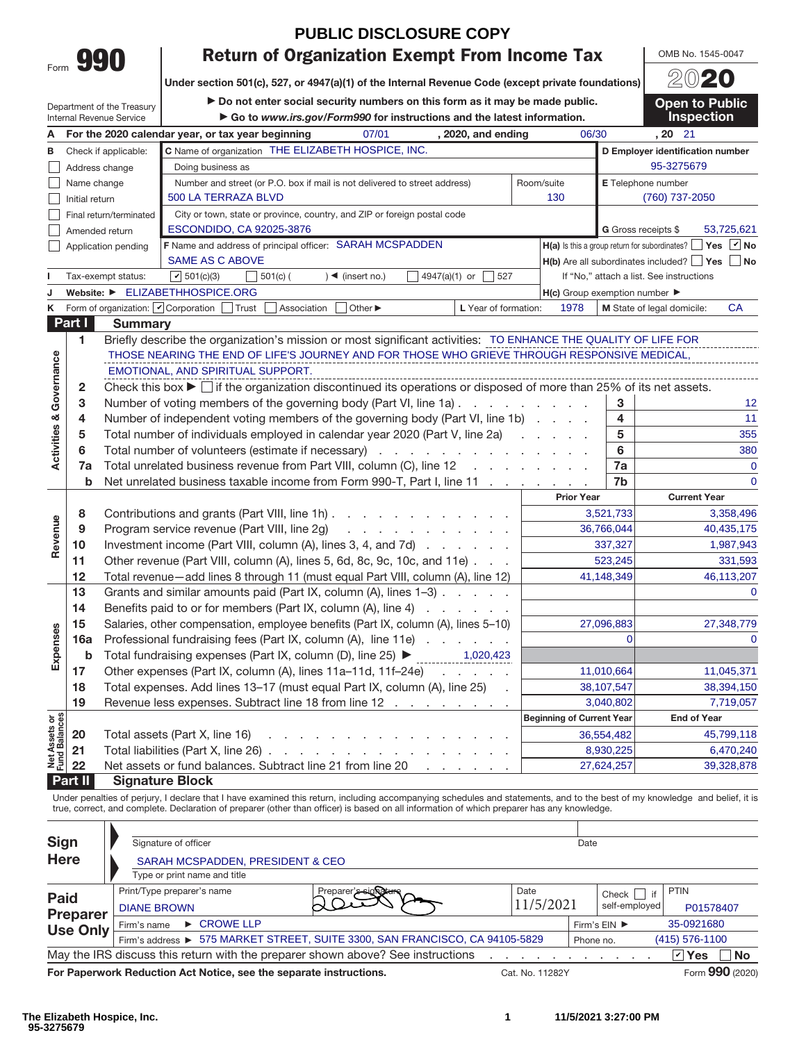# **Return of Organization Exempt From Income Tax**  $\frac{\text{OMB No. 1545-00}}{20}$ **PUBLIC DISCLOSURE COPY**

OMB No. 1545-0047

**Return of Organization Exempt From Income Tax Under section 501(c), 527, or 4947(a)(1) of the Internal Revenue Code (except private foundations)**

Department of the Treasury

▶ Do not enter social security numbers on this form as it may be made public.

**Open to Public Inspection**

|                                |                | Internal Revenue Service                           | ► Go to www.irs.gov/Form990 for instructions and the latest information.                                                                    |                                  |                   |                                                                      | <b>Inspection</b>                                          |
|--------------------------------|----------------|----------------------------------------------------|---------------------------------------------------------------------------------------------------------------------------------------------|----------------------------------|-------------------|----------------------------------------------------------------------|------------------------------------------------------------|
| A                              |                |                                                    | For the 2020 calendar year, or tax year beginning<br>07/01<br>, 2020, and ending                                                            |                                  | 06/30             |                                                                      | , 20 21                                                    |
| в                              |                | Check if applicable:                               | C Name of organization THE ELIZABETH HOSPICE, INC.                                                                                          |                                  |                   | D Employer identification number                                     |                                                            |
|                                |                | Address change                                     | Doing business as                                                                                                                           |                                  |                   | 95-3275679                                                           |                                                            |
|                                | Name change    |                                                    | Number and street (or P.O. box if mail is not delivered to street address)                                                                  |                                  |                   | E Telephone number                                                   |                                                            |
|                                | Initial return |                                                    | 500 LA TERRAZA BLVD                                                                                                                         |                                  |                   | (760) 737-2050                                                       |                                                            |
|                                |                | Final return/terminated                            | City or town, state or province, country, and ZIP or foreign postal code                                                                    |                                  |                   |                                                                      |                                                            |
|                                |                | Amended return                                     | ESCONDIDO, CA 92025-3876                                                                                                                    |                                  |                   | 53,725,621<br><b>G</b> Gross receipts \$                             |                                                            |
|                                |                | Application pending                                | F Name and address of principal officer: SARAH MCSPADDEN                                                                                    |                                  |                   | $H(a)$ Is this a group return for subordinates? $\Box$ Yes $\Box$ No |                                                            |
|                                |                |                                                    | SAME AS C ABOVE                                                                                                                             |                                  |                   |                                                                      | $H(b)$ Are all subordinates included? $\Box$ Yes $\Box$ No |
|                                |                | Tax-exempt status:                                 | $\vert$ $\vert$ 501(c)(3)<br>$501(c)$ (<br>527<br>$\rightarrow$ (insert no.)<br>4947(a)(1) or                                               |                                  |                   |                                                                      | If "No," attach a list. See instructions                   |
| J                              |                |                                                    | Website: ▶ ELIZABETHHOSPICE.ORG                                                                                                             |                                  |                   |                                                                      | $H(c)$ Group exemption number $\blacktriangleright$        |
| Κ                              |                | Form of organization: $  \mathbf{v}  $ Corporation | Other ▶<br>Trust<br>Association<br>L Year of formation:                                                                                     |                                  | 1978              |                                                                      | CA<br>M State of legal domicile:                           |
|                                | Part I         | <b>Summary</b>                                     |                                                                                                                                             |                                  |                   |                                                                      |                                                            |
|                                | $\blacksquare$ |                                                    | Briefly describe the organization's mission or most significant activities: TO ENHANCE THE QUALITY OF LIFE FOR                              |                                  |                   |                                                                      |                                                            |
| Activities & Governance        |                |                                                    | THOSE NEARING THE END OF LIFE'S JOURNEY AND FOR THOSE WHO GRIEVE THROUGH RESPONSIVE MEDICAL,                                                |                                  |                   |                                                                      |                                                            |
|                                |                |                                                    | EMOTIONAL, AND SPIRITUAL SUPPORT.                                                                                                           |                                  |                   |                                                                      |                                                            |
|                                | 2              |                                                    | Check this box $\blacktriangleright$ $\Box$ if the organization discontinued its operations or disposed of more than 25% of its net assets. |                                  |                   |                                                                      |                                                            |
|                                | 3              |                                                    | Number of voting members of the governing body (Part VI, line 1a).                                                                          | the contract of the contract of  |                   | 3                                                                    | 12                                                         |
|                                | 4              |                                                    | Number of independent voting members of the governing body (Part VI, line 1b)                                                               |                                  | 4                 | 11                                                                   |                                                            |
|                                | 5              |                                                    | Total number of individuals employed in calendar year 2020 (Part V, line 2a)                                                                |                                  |                   | 5                                                                    | 355                                                        |
|                                | 6              |                                                    | Total number of volunteers (estimate if necessary)                                                                                          |                                  |                   | 6                                                                    | 380                                                        |
|                                | 7a             |                                                    | Total unrelated business revenue from Part VIII, column (C), line 12                                                                        |                                  |                   | 7a                                                                   | 0                                                          |
|                                | b              |                                                    | Net unrelated business taxable income from Form 990-T, Part I, line 11                                                                      |                                  | $\cdot$           | 7b                                                                   | $\mathbf 0$                                                |
|                                |                |                                                    |                                                                                                                                             |                                  | <b>Prior Year</b> |                                                                      | <b>Current Year</b>                                        |
|                                | 8              |                                                    | Contributions and grants (Part VIII, line 1h) $\ldots$                                                                                      |                                  |                   | 3,521,733                                                            | 3,358,496                                                  |
| Revenue                        | 9              |                                                    | Program service revenue (Part VIII, line 2g)<br>and a state of the contract of the                                                          |                                  |                   | 36,766,044                                                           | 40,435,175                                                 |
|                                | 10             |                                                    | Investment income (Part VIII, column (A), lines 3, 4, and 7d)                                                                               |                                  |                   | 337,327                                                              | 1,987,943                                                  |
|                                | 11             |                                                    | Other revenue (Part VIII, column (A), lines 5, 6d, 8c, 9c, 10c, and 11e)                                                                    |                                  |                   | 523,245                                                              | 331,593                                                    |
|                                | 12             |                                                    | Total revenue-add lines 8 through 11 (must equal Part VIII, column (A), line 12)                                                            |                                  |                   | 41,148,349                                                           | 46,113,207                                                 |
|                                | 13             |                                                    | Grants and similar amounts paid (Part IX, column (A), lines 1-3)                                                                            |                                  |                   |                                                                      | $\mathbf 0$                                                |
|                                | 14             |                                                    | Benefits paid to or for members (Part IX, column (A), line 4)                                                                               |                                  |                   |                                                                      |                                                            |
|                                | 15             |                                                    | Salaries, other compensation, employee benefits (Part IX, column (A), lines 5-10)                                                           |                                  |                   | 27,096,883                                                           | 27,348,779                                                 |
| Expenses                       | 16a            |                                                    | Professional fundraising fees (Part IX, column (A), line 11e)                                                                               |                                  |                   | $\mathbf{0}$                                                         | 0                                                          |
|                                | b              |                                                    | Total fundraising expenses (Part IX, column (D), line 25) ▶<br>1,020,423                                                                    |                                  |                   |                                                                      |                                                            |
|                                | 17             |                                                    | Other expenses (Part IX, column (A), lines 11a-11d, 11f-24e)<br>and a state of                                                              |                                  |                   | 11,010,664                                                           | 11,045,371                                                 |
|                                | 18             |                                                    | Total expenses. Add lines 13-17 (must equal Part IX, column (A), line 25)                                                                   |                                  |                   | 38,107,547                                                           | 38,394,150                                                 |
|                                | 19             |                                                    | Revenue less expenses. Subtract line 18 from line 12                                                                                        |                                  |                   | 3,040,802                                                            | 7,719,057                                                  |
| Net Assets or<br>Fund Balances |                |                                                    |                                                                                                                                             | <b>Beginning of Current Year</b> |                   |                                                                      | <b>End of Year</b>                                         |
|                                | 20             |                                                    | Total assets (Part X, line 16)                                                                                                              |                                  |                   | 36,554,482                                                           | 45,799,118                                                 |
|                                | 21             |                                                    |                                                                                                                                             |                                  |                   | 8,930,225                                                            | 6,470,240                                                  |
|                                | 22<br>TT       |                                                    | Net assets or fund balances. Subtract line 21 from line 20<br>the company of the company<br>Clamentine Diesels                              |                                  |                   | 27,624,257                                                           | 39,328,878                                                 |

**Part II Signature Block**

Under penalties of perjury, I declare that I have examined this return, including accompanying schedules and statements, and to the best of my knowledge and belief, it is true, correct, and complete. Declaration of preparer (other than officer) is based on all information of which preparer has any knowledge.

| <b>Sign</b>     | Signature of officer                                                                                     |           | Date      |                       |                             |  |  |  |  |  |
|-----------------|----------------------------------------------------------------------------------------------------------|-----------|-----------|-----------------------|-----------------------------|--|--|--|--|--|
| <b>Here</b>     | SARAH MCSPADDEN, PRESIDENT & CEO                                                                         |           |           |                       |                             |  |  |  |  |  |
|                 | Type or print name and title                                                                             |           |           |                       |                             |  |  |  |  |  |
| <b>Paid</b>     | Preparer's signal<br>Print/Type preparer's name                                                          | Date      |           | if<br>$Check$ $\vert$ | PTIN                        |  |  |  |  |  |
| <b>Preparer</b> | <b>DIANE BROWN</b>                                                                                       | 11/5/2021 |           | self-employed         | P01578407                   |  |  |  |  |  |
| <b>Use Only</b> | $\triangleright$ CROWE LLP<br>Firm's name                                                                |           |           | Firm's EIN ▶          | 35-0921680                  |  |  |  |  |  |
|                 | Firm's address ▶ 575 MARKET STREET, SUITE 3300, SAN FRANCISCO, CA 94105-5829                             |           | Phone no. |                       | (415) 576-1100              |  |  |  |  |  |
|                 | May the IRS discuss this return with the preparer shown above? See instructions                          |           |           |                       | <b>No</b><br>l <b>√ Yes</b> |  |  |  |  |  |
|                 | Form 990 (2020)<br>For Paperwork Reduction Act Notice, see the separate instructions.<br>Cat. No. 11282Y |           |           |                       |                             |  |  |  |  |  |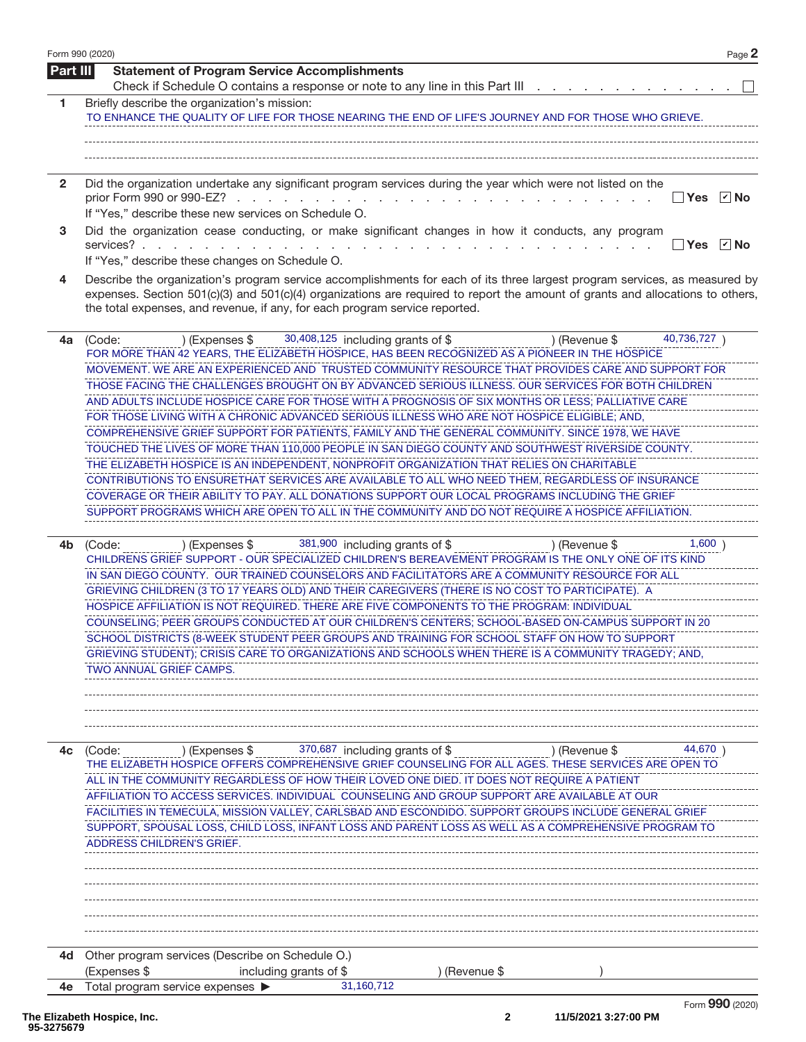| Form 990 (2020) |                                                                                                                                                                                                                                                                                                                                             | Page 2 |
|-----------------|---------------------------------------------------------------------------------------------------------------------------------------------------------------------------------------------------------------------------------------------------------------------------------------------------------------------------------------------|--------|
| Part III        | <b>Statement of Program Service Accomplishments</b><br>Check if Schedule O contains a response or note to any line in this Part III                                                                                                                                                                                                         |        |
| 1               | Briefly describe the organization's mission:                                                                                                                                                                                                                                                                                                |        |
|                 | TO ENHANCE THE QUALITY OF LIFE FOR THOSE NEARING THE END OF LIFE'S JOURNEY AND FOR THOSE WHO GRIEVE.                                                                                                                                                                                                                                        |        |
|                 |                                                                                                                                                                                                                                                                                                                                             |        |
|                 |                                                                                                                                                                                                                                                                                                                                             |        |
| $\mathbf{2}$    | Did the organization undertake any significant program services during the year which were not listed on the                                                                                                                                                                                                                                |        |
|                 | $\Box$ Yes $\Box$ No                                                                                                                                                                                                                                                                                                                        |        |
|                 | If "Yes," describe these new services on Schedule O.                                                                                                                                                                                                                                                                                        |        |
| 3               | Did the organization cease conducting, or make significant changes in how it conducts, any program                                                                                                                                                                                                                                          |        |
|                 | $\Box$ Yes $\Box$ No                                                                                                                                                                                                                                                                                                                        |        |
|                 | If "Yes," describe these changes on Schedule O.                                                                                                                                                                                                                                                                                             |        |
| 4               | Describe the organization's program service accomplishments for each of its three largest program services, as measured by<br>expenses. Section 501(c)(3) and 501(c)(4) organizations are required to report the amount of grants and allocations to others,<br>the total expenses, and revenue, if any, for each program service reported. |        |
| 4a              | 40,736,727<br>30,408,125 including grants of $$$<br>(Code:<br>) (Expenses \$<br>) (Revenue \$                                                                                                                                                                                                                                               |        |
|                 | FOR MORE THAN 42 YEARS, THE ELIZABETH HOSPICE, HAS BEEN RECOGNIZED AS A PIONEER IN THE HOSPICE                                                                                                                                                                                                                                              |        |
|                 | MOVEMENT. WE ARE AN EXPERIENCED AND TRUSTED COMMUNITY RESOURCE THAT PROVIDES CARE AND SUPPORT FOR                                                                                                                                                                                                                                           |        |
|                 | THOSE FACING THE CHALLENGES BROUGHT ON BY ADVANCED SERIOUS ILLNESS. OUR SERVICES FOR BOTH CHILDREN                                                                                                                                                                                                                                          |        |
|                 | AND ADULTS INCLUDE HOSPICE CARE FOR THOSE WITH A PROGNOSIS OF SIX MONTHS OR LESS; PALLIATIVE CARE                                                                                                                                                                                                                                           |        |
|                 | FOR THOSE LIVING WITH A CHRONIC ADVANCED SERIOUS ILLNESS WHO ARE NOT HOSPICE ELIGIBLE; AND,<br>COMPREHENSIVE GRIEF SUPPORT FOR PATIENTS, FAMILY AND THE GENERAL COMMUNITY. SINCE 1978, WE HAVE                                                                                                                                              |        |
|                 | TOUCHED THE LIVES OF MORE THAN 110,000 PEOPLE IN SAN DIEGO COUNTY AND SOUTHWEST RIVERSIDE COUNTY.                                                                                                                                                                                                                                           |        |
|                 | THE ELIZABETH HOSPICE IS AN INDEPENDENT, NONPROFIT ORGANIZATION THAT RELIES ON CHARITABLE                                                                                                                                                                                                                                                   |        |
|                 | CONTRIBUTIONS TO ENSURETHAT SERVICES ARE AVAILABLE TO ALL WHO NEED THEM, REGARDLESS OF INSURANCE                                                                                                                                                                                                                                            |        |
|                 | COVERAGE OR THEIR ABILITY TO PAY. ALL DONATIONS SUPPORT OUR LOCAL PROGRAMS INCLUDING THE GRIEF                                                                                                                                                                                                                                              |        |
|                 | SUPPORT PROGRAMS WHICH ARE OPEN TO ALL IN THE COMMUNITY AND DO NOT REQUIRE A HOSPICE AFFILIATION.                                                                                                                                                                                                                                           |        |
|                 |                                                                                                                                                                                                                                                                                                                                             |        |
| 4b              | 381,900 including grants of \$<br>1,600)<br>) (Expenses \$<br>) (Revenue \$<br>(Code:<br>CHILDRENS GRIEF SUPPORT - OUR SPECIALIZED CHILDREN'S BEREAVEMENT PROGRAM IS THE ONLY ONE OF ITS KIND                                                                                                                                               |        |
|                 | IN SAN DIEGO COUNTY. OUR TRAINED COUNSELORS AND FACILITATORS ARE A COMMUNITY RESOURCE FOR ALL                                                                                                                                                                                                                                               |        |
|                 | GRIEVING CHILDREN (3 TO 17 YEARS OLD) AND THEIR CAREGIVERS (THERE IS NO COST TO PARTICIPATE). A                                                                                                                                                                                                                                             |        |
|                 | HOSPICE AFFILIATION IS NOT REQUIRED. THERE ARE FIVE COMPONENTS TO THE PROGRAM: INDIVIDUAL                                                                                                                                                                                                                                                   |        |
|                 | COUNSELING; PEER GROUPS CONDUCTED AT OUR CHILDREN'S CENTERS; SCHOOL-BASED ON-CAMPUS SUPPORT IN 20                                                                                                                                                                                                                                           |        |
|                 | SCHOOL DISTRICTS (8-WEEK STUDENT PEER GROUPS AND TRAINING FOR SCHOOL STAFF ON HOW TO SUPPORT                                                                                                                                                                                                                                                |        |
|                 | GRIEVING STUDENT); CRISIS CARE TO ORGANIZATIONS AND SCHOOLS WHEN THERE IS A COMMUNITY TRAGEDY; AND,                                                                                                                                                                                                                                         |        |
|                 | TWO ANNUAL GRIEF CAMPS.                                                                                                                                                                                                                                                                                                                     |        |
|                 |                                                                                                                                                                                                                                                                                                                                             |        |
|                 |                                                                                                                                                                                                                                                                                                                                             |        |
|                 |                                                                                                                                                                                                                                                                                                                                             |        |
| 4c              | 370,687 including grants of \$<br>44,670)<br>) (Revenue \$<br>(Code:<br>) (Expenses \$<br>THE ELIZABETH HOSPICE OFFERS COMPREHENSIVE GRIEF COUNSELING FOR ALL AGES. THESE SERVICES ARE OPEN TO                                                                                                                                              |        |
|                 | ALL IN THE COMMUNITY REGARDLESS OF HOW THEIR LOVED ONE DIED. IT DOES NOT REQUIRE A PATIENT                                                                                                                                                                                                                                                  |        |
|                 | AFFILIATION TO ACCESS SERVICES. INDIVIDUAL COUNSELING AND GROUP SUPPORT ARE AVAILABLE AT OUR                                                                                                                                                                                                                                                |        |
|                 | FACILITIES IN TEMECULA, MISSION VALLEY, CARLSBAD AND ESCONDIDO. SUPPORT GROUPS INCLUDE GENERAL GRIEF                                                                                                                                                                                                                                        |        |
|                 | SUPPORT, SPOUSAL LOSS, CHILD LOSS, INFANT LOSS AND PARENT LOSS AS WELL AS A COMPREHENSIVE PROGRAM TO                                                                                                                                                                                                                                        |        |
|                 | ADDRESS CHILDREN'S GRIEF.                                                                                                                                                                                                                                                                                                                   |        |
|                 |                                                                                                                                                                                                                                                                                                                                             |        |
|                 |                                                                                                                                                                                                                                                                                                                                             |        |
|                 |                                                                                                                                                                                                                                                                                                                                             |        |
|                 |                                                                                                                                                                                                                                                                                                                                             |        |
|                 |                                                                                                                                                                                                                                                                                                                                             |        |
| 4d              | Other program services (Describe on Schedule O.)                                                                                                                                                                                                                                                                                            |        |
|                 | (Expenses \$<br>including grants of \$<br>) (Revenue \$                                                                                                                                                                                                                                                                                     |        |
| 4е              | Total program service expenses ▶<br>31,160,712                                                                                                                                                                                                                                                                                              |        |
|                 | Form 990 (2020)<br>Flizabeth Hospice, Inc.<br>11/5/2021 3:27:00 PM                                                                                                                                                                                                                                                                          |        |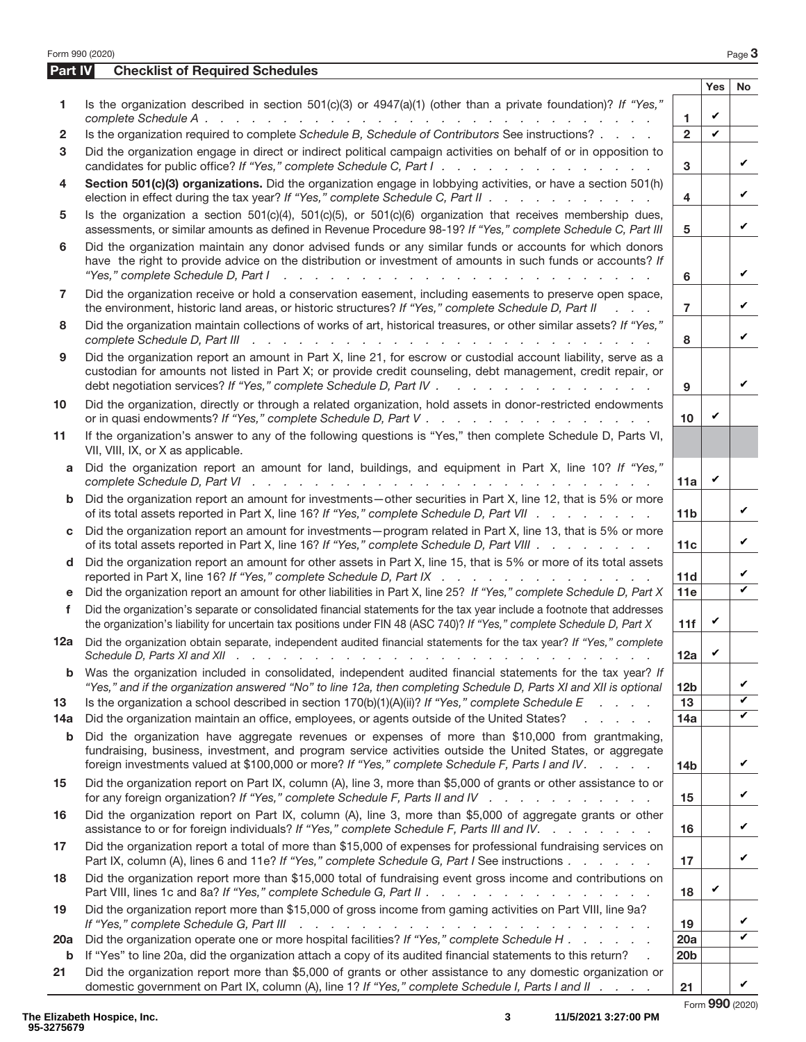|            | Form 990 (2020)                                                                                                                                                                                                                                                                                                                                                                |                         |            | Page 3                       |
|------------|--------------------------------------------------------------------------------------------------------------------------------------------------------------------------------------------------------------------------------------------------------------------------------------------------------------------------------------------------------------------------------|-------------------------|------------|------------------------------|
| Part IV    | <b>Checklist of Required Schedules</b>                                                                                                                                                                                                                                                                                                                                         |                         |            |                              |
| 1          | Is the organization described in section $501(c)(3)$ or $4947(a)(1)$ (other than a private foundation)? If "Yes,"                                                                                                                                                                                                                                                              |                         | <b>Yes</b> | No                           |
|            |                                                                                                                                                                                                                                                                                                                                                                                | 1                       | V          |                              |
| 2          | Is the organization required to complete Schedule B, Schedule of Contributors See instructions?                                                                                                                                                                                                                                                                                | $\mathbf{2}$            | V          |                              |
| 3          | Did the organization engage in direct or indirect political campaign activities on behalf of or in opposition to<br>candidates for public office? If "Yes," complete Schedule C, Part I.                                                                                                                                                                                       | 3                       |            | ✓                            |
| 4          | Section 501(c)(3) organizations. Did the organization engage in lobbying activities, or have a section 501(h)<br>election in effect during the tax year? If "Yes," complete Schedule C, Part II                                                                                                                                                                                | $\overline{\mathbf{4}}$ |            | ✓                            |
| 5          | Is the organization a section $501(c)(4)$ , $501(c)(5)$ , or $501(c)(6)$ organization that receives membership dues,<br>assessments, or similar amounts as defined in Revenue Procedure 98-19? If "Yes," complete Schedule C, Part III                                                                                                                                         | 5                       |            | V                            |
| 6          | Did the organization maintain any donor advised funds or any similar funds or accounts for which donors<br>have the right to provide advice on the distribution or investment of amounts in such funds or accounts? If<br>"Yes," complete Schedule D, Part I<br>and a complete the complete state of the complete state of the state of the state of the state of the state of | 6                       |            | V                            |
| 7          | Did the organization receive or hold a conservation easement, including easements to preserve open space,<br>the environment, historic land areas, or historic structures? If "Yes," complete Schedule D, Part II<br>$\mathcal{L} = \mathcal{L} = \mathcal{L}$                                                                                                                 | $\overline{7}$          |            | V                            |
| 8          | Did the organization maintain collections of works of art, historical treasures, or other similar assets? If "Yes,"<br>complete Schedule D, Part III (ed. 2008) complete Schedule D, Part III (ed. 2008) complete Schedule D, Part III                                                                                                                                         | 8                       |            | V                            |
| 9          | Did the organization report an amount in Part X, line 21, for escrow or custodial account liability, serve as a<br>custodian for amounts not listed in Part X; or provide credit counseling, debt management, credit repair, or<br>debt negotiation services? If "Yes," complete Schedule D, Part IV                                                                           | 9                       |            | ✓                            |
| 10         | Did the organization, directly or through a related organization, hold assets in donor-restricted endowments                                                                                                                                                                                                                                                                   | 10                      | V          |                              |
| 11         | If the organization's answer to any of the following questions is "Yes," then complete Schedule D, Parts VI,<br>VII, VIII, IX, or X as applicable.                                                                                                                                                                                                                             |                         |            |                              |
| a          | Did the organization report an amount for land, buildings, and equipment in Part X, line 10? If "Yes,"                                                                                                                                                                                                                                                                         | 11a                     | V          |                              |
| b          | Did the organization report an amount for investments—other securities in Part X, line 12, that is 5% or more<br>of its total assets reported in Part X, line 16? If "Yes," complete Schedule D, Part VII                                                                                                                                                                      | 11 <sub>b</sub>         |            | ✓                            |
| C          | Did the organization report an amount for investments - program related in Part X, line 13, that is 5% or more<br>of its total assets reported in Part X, line 16? If "Yes," complete Schedule D, Part VIII                                                                                                                                                                    | 11c                     |            | V                            |
| d<br>е     | Did the organization report an amount for other assets in Part X, line 15, that is 5% or more of its total assets<br>reported in Part X, line 16? If "Yes," complete Schedule D, Part IX<br>Did the organization report an amount for other liabilities in Part X, line 25? If "Yes," complete Schedule D, Part X                                                              | 11d<br>11e              |            | ✓<br>✓                       |
| f          | Did the organization's separate or consolidated financial statements for the tax year include a footnote that addresses                                                                                                                                                                                                                                                        |                         |            |                              |
|            | the organization's liability for uncertain tax positions under FIN 48 (ASC 740)? If "Yes," complete Schedule D, Part X                                                                                                                                                                                                                                                         | 11f                     | V          |                              |
| 12a        | Did the organization obtain separate, independent audited financial statements for the tax year? If "Yes," complete                                                                                                                                                                                                                                                            | 12a                     | V          |                              |
| b<br>13    | Was the organization included in consolidated, independent audited financial statements for the tax year? If<br>"Yes," and if the organization answered "No" to line 12a, then completing Schedule D, Parts XI and XII is optional<br>Is the organization a school described in section $170(b)(1)(A)(ii)?$ If "Yes," complete Schedule E                                      | 12 <sub>b</sub><br>13   |            | V<br>$\overline{\mathbf{v}}$ |
| 14a        | Did the organization maintain an office, employees, or agents outside of the United States?<br>and the contract of the                                                                                                                                                                                                                                                         | 14a                     |            | $\overline{\mathbf{v}}$      |
| b          | Did the organization have aggregate revenues or expenses of more than \$10,000 from grantmaking,<br>fundraising, business, investment, and program service activities outside the United States, or aggregate<br>foreign investments valued at \$100,000 or more? If "Yes," complete Schedule F, Parts I and IV.                                                               | 14 <sub>b</sub>         |            | V                            |
| 15         | Did the organization report on Part IX, column (A), line 3, more than \$5,000 of grants or other assistance to or<br>for any foreign organization? If "Yes," complete Schedule F, Parts II and IV                                                                                                                                                                              | 15                      |            | V                            |
| 16         | Did the organization report on Part IX, column (A), line 3, more than \$5,000 of aggregate grants or other<br>assistance to or for foreign individuals? If "Yes," complete Schedule F, Parts III and IV.                                                                                                                                                                       | 16                      |            | V                            |
| 17         | Did the organization report a total of more than \$15,000 of expenses for professional fundraising services on<br>Part IX, column (A), lines 6 and 11e? If "Yes," complete Schedule G, Part I See instructions                                                                                                                                                                 | 17                      |            | V                            |
| 18         | Did the organization report more than \$15,000 total of fundraising event gross income and contributions on<br>Part VIII, lines 1c and 8a? If "Yes," complete Schedule G, Part II                                                                                                                                                                                              | 18                      | V          |                              |
| 19         | Did the organization report more than \$15,000 of gross income from gaming activities on Part VIII, line 9a?<br>If "Yes," complete Schedule G, Part III<br>and the contract of the contract of the contract of the contract of the contract of                                                                                                                                 | 19                      |            | V                            |
| <b>20a</b> | Did the organization operate one or more hospital facilities? If "Yes," complete Schedule H                                                                                                                                                                                                                                                                                    | 20a                     |            | $\overline{\mathcal{C}}$     |
| b          | If "Yes" to line 20a, did the organization attach a copy of its audited financial statements to this return?                                                                                                                                                                                                                                                                   | 20 <sub>b</sub>         |            |                              |
| 21         | Did the organization report more than \$5,000 of grants or other assistance to any domestic organization or<br>domestic government on Part IX, column (A), line 1? If "Yes," complete Schedule I, Parts I and II                                                                                                                                                               | 21                      |            | V                            |
|            |                                                                                                                                                                                                                                                                                                                                                                                |                         |            | Form 990 (2020)              |

**The Elizabeth Hospice, Inc. 95-3275679**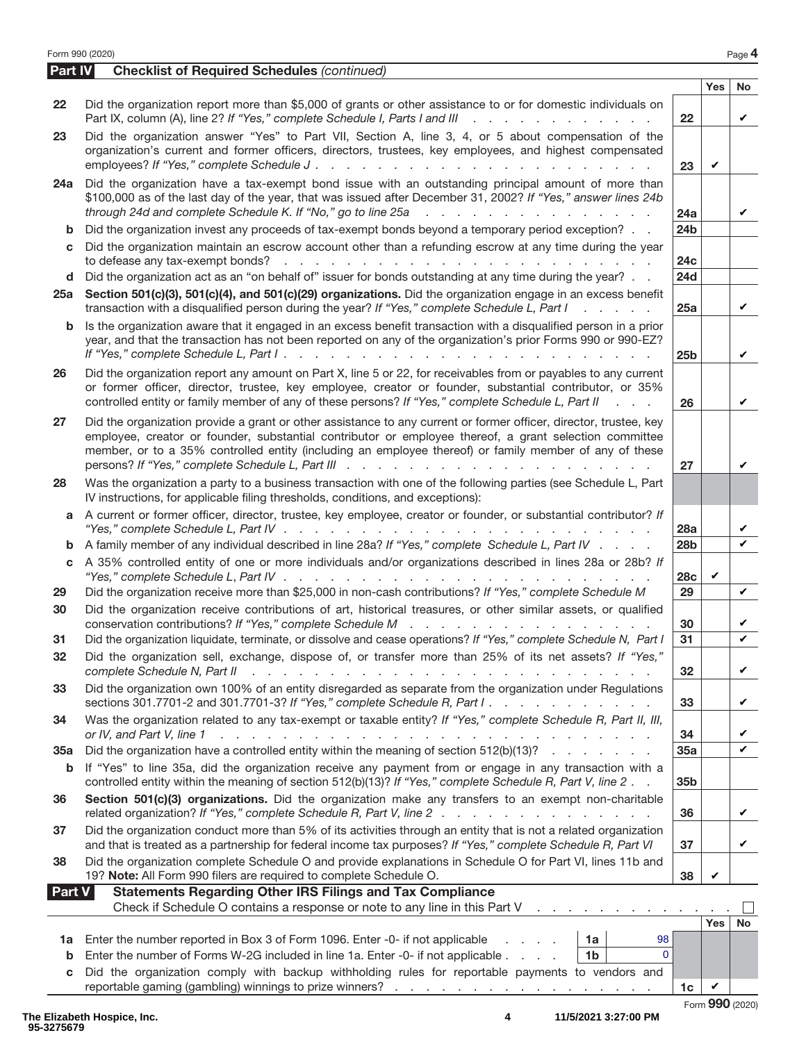|               | Form 990 (2020)                                                                                                                                                                                                                                                                                                                                                              |                        |              | Page 4    |
|---------------|------------------------------------------------------------------------------------------------------------------------------------------------------------------------------------------------------------------------------------------------------------------------------------------------------------------------------------------------------------------------------|------------------------|--------------|-----------|
| Part IV       | <b>Checklist of Required Schedules (continued)</b>                                                                                                                                                                                                                                                                                                                           |                        |              |           |
|               |                                                                                                                                                                                                                                                                                                                                                                              |                        | Yes          | <b>No</b> |
| 22            | Did the organization report more than \$5,000 of grants or other assistance to or for domestic individuals on<br>Part IX, column (A), line 2? If "Yes," complete Schedule I, Parts I and III<br>and the state of the state of the state of                                                                                                                                   | 22                     |              | V         |
| 23            | Did the organization answer "Yes" to Part VII, Section A, line 3, 4, or 5 about compensation of the<br>organization's current and former officers, directors, trustees, key employees, and highest compensated                                                                                                                                                               | 23                     | V            |           |
| 24a           | Did the organization have a tax-exempt bond issue with an outstanding principal amount of more than<br>\$100,000 as of the last day of the year, that was issued after December 31, 2002? If "Yes," answer lines 24b<br>through 24d and complete Schedule K. If "No," go to line 25a<br>المتحاول والمتحاول والمتحاول والمتحاول والمتحاول                                     | 24a                    |              | V         |
| b<br>c        | Did the organization invest any proceeds of tax-exempt bonds beyond a temporary period exception?<br>Did the organization maintain an escrow account other than a refunding escrow at any time during the year                                                                                                                                                               | 24 <sub>b</sub><br>24c |              |           |
| d             | Did the organization act as an "on behalf of" issuer for bonds outstanding at any time during the year?                                                                                                                                                                                                                                                                      | <b>24d</b>             |              |           |
| 25a           | Section 501(c)(3), 501(c)(4), and 501(c)(29) organizations. Did the organization engage in an excess benefit<br>transaction with a disqualified person during the year? If "Yes," complete Schedule L, Part I<br>$1 - 1 - 1 - 1 = 1$                                                                                                                                         | 25a                    |              | ✓         |
| b             | Is the organization aware that it engaged in an excess benefit transaction with a disqualified person in a prior<br>year, and that the transaction has not been reported on any of the organization's prior Forms 990 or 990-EZ?                                                                                                                                             | 25 <sub>b</sub>        |              | ✓         |
| 26            | Did the organization report any amount on Part X, line 5 or 22, for receivables from or payables to any current<br>or former officer, director, trustee, key employee, creator or founder, substantial contributor, or 35%<br>controlled entity or family member of any of these persons? If "Yes," complete Schedule L, Part II<br><b>Service</b> State                     | 26                     |              | ✓         |
| 27            | Did the organization provide a grant or other assistance to any current or former officer, director, trustee, key<br>employee, creator or founder, substantial contributor or employee thereof, a grant selection committee<br>member, or to a 35% controlled entity (including an employee thereof) or family member of any of these                                        | 27                     |              | V         |
| 28            | Was the organization a party to a business transaction with one of the following parties (see Schedule L, Part<br>IV instructions, for applicable filing thresholds, conditions, and exceptions):                                                                                                                                                                            |                        |              |           |
| a             | A current or former officer, director, trustee, key employee, creator or founder, or substantial contributor? If                                                                                                                                                                                                                                                             | 28a                    |              | V         |
| b<br>c        | A family member of any individual described in line 28a? If "Yes," complete Schedule L, Part IV<br>A 35% controlled entity of one or more individuals and/or organizations described in lines 28a or 28b? If                                                                                                                                                                 | 28 <sub>b</sub>        |              | ✓         |
|               | "Yes," complete Schedule L, Part IV $\ldots$ $\ldots$ $\ldots$ $\ldots$ $\ldots$ $\ldots$ $\ldots$                                                                                                                                                                                                                                                                           | 28c                    | $\checkmark$ |           |
| 29<br>30      | Did the organization receive more than \$25,000 in non-cash contributions? If "Yes," complete Schedule M<br>Did the organization receive contributions of art, historical treasures, or other similar assets, or qualified<br>conservation contributions? If "Yes," complete Schedule M                                                                                      | 29<br>30               |              | ✓<br>✓    |
| 31            | Did the organization liquidate, terminate, or dissolve and cease operations? If "Yes," complete Schedule N, Part I                                                                                                                                                                                                                                                           | $\overline{31}$        |              |           |
| 32            | Did the organization sell, exchange, dispose of, or transfer more than 25% of its net assets? If "Yes,"<br>complete Schedule N, Part II                                                                                                                                                                                                                                      | 32                     |              | V         |
| 33            | Did the organization own 100% of an entity disregarded as separate from the organization under Regulations<br>sections 301.7701-2 and 301.7701-3? If "Yes," complete Schedule R, Part I.                                                                                                                                                                                     | 33                     |              | V         |
| 34            | Was the organization related to any tax-exempt or taxable entity? If "Yes," complete Schedule R, Part II, III,<br>or IV, and Part V, line 1<br>a constitution of the constitution of the constitution of the constitution of the constitution of the constitution of the constitution of the constitution of the constitution of the constitution of the constitution of the | 34                     |              | V         |
| 35a           | Did the organization have a controlled entity within the meaning of section $512(b)(13)?$                                                                                                                                                                                                                                                                                    | 35a                    |              | ✓         |
| b             | If "Yes" to line 35a, did the organization receive any payment from or engage in any transaction with a<br>controlled entity within the meaning of section 512(b)(13)? If "Yes," complete Schedule R, Part V, line 2.                                                                                                                                                        | 35b                    |              |           |
| 36            | Section 501(c)(3) organizations. Did the organization make any transfers to an exempt non-charitable<br>related organization? If "Yes," complete Schedule R, Part V, line 2                                                                                                                                                                                                  | 36                     |              | V         |
| 37            | Did the organization conduct more than 5% of its activities through an entity that is not a related organization<br>and that is treated as a partnership for federal income tax purposes? If "Yes," complete Schedule R, Part VI                                                                                                                                             | 37                     |              | V         |
| 38            | Did the organization complete Schedule O and provide explanations in Schedule O for Part VI, lines 11b and<br>19? Note: All Form 990 filers are required to complete Schedule O.                                                                                                                                                                                             | 38                     | V            |           |
| <b>Part V</b> | <b>Statements Regarding Other IRS Filings and Tax Compliance</b>                                                                                                                                                                                                                                                                                                             |                        |              |           |
|               | Check if Schedule O contains a response or note to any line in this Part V<br>the contract of the contract of the                                                                                                                                                                                                                                                            |                        |              |           |
|               | Enter the number reported in Box 3 of Form 1096. Enter -0- if not applicable<br>1a<br>98                                                                                                                                                                                                                                                                                     |                        | <b>Yes</b>   | No        |
| 1a<br>b       | $\Omega$<br>Enter the number of Forms W-2G included in line 1a. Enter -0- if not applicable<br>1 <sub>b</sub>                                                                                                                                                                                                                                                                |                        |              |           |
| c             | Did the organization comply with backup withholding rules for reportable payments to vendors and                                                                                                                                                                                                                                                                             |                        |              |           |
|               |                                                                                                                                                                                                                                                                                                                                                                              | 1 <sub>c</sub>         | V            |           |

Form **990** (2020)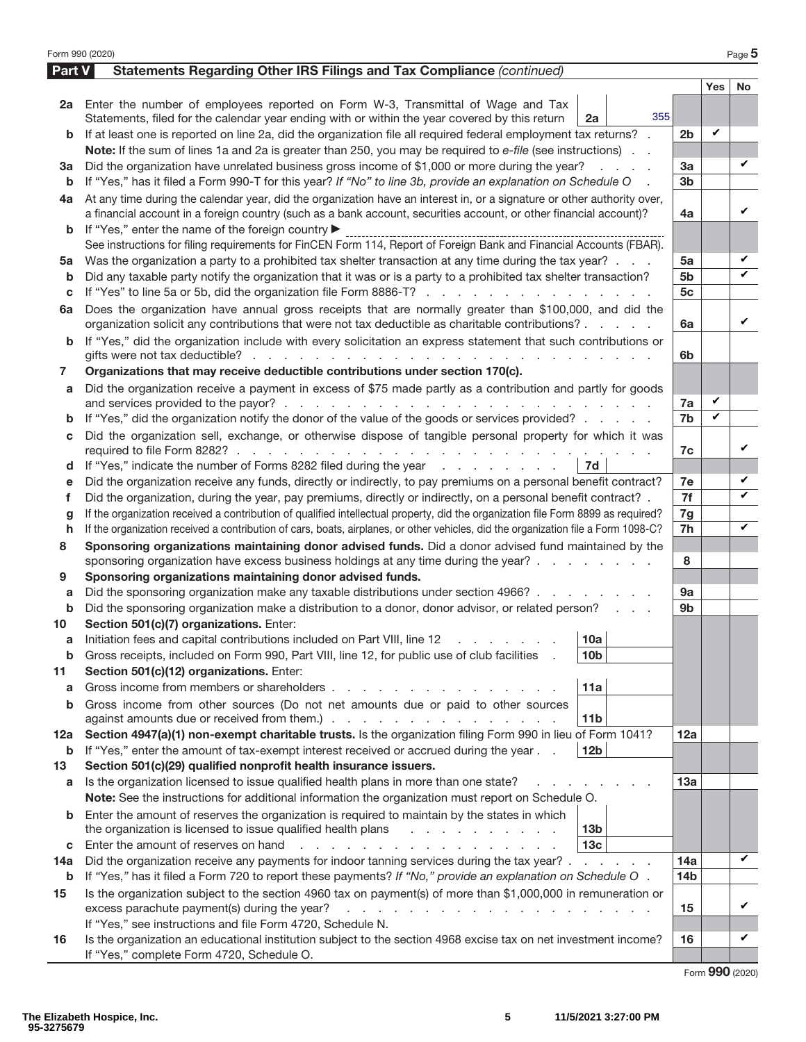| Form 990 (2020) |                                                                                                                                                                                                              |                 |              | Page 5 |  |  |  |  |  |
|-----------------|--------------------------------------------------------------------------------------------------------------------------------------------------------------------------------------------------------------|-----------------|--------------|--------|--|--|--|--|--|
| Part V          | Statements Regarding Other IRS Filings and Tax Compliance (continued)                                                                                                                                        |                 |              |        |  |  |  |  |  |
|                 |                                                                                                                                                                                                              |                 | <b>Yes</b>   | No     |  |  |  |  |  |
|                 | 2a Enter the number of employees reported on Form W-3, Transmittal of Wage and Tax                                                                                                                           |                 |              |        |  |  |  |  |  |
|                 | 355<br>Statements, filed for the calendar year ending with or within the year covered by this return<br>2a                                                                                                   |                 |              |        |  |  |  |  |  |
| b               | If at least one is reported on line 2a, did the organization file all required federal employment tax returns? .                                                                                             | 2 <sub>b</sub>  | V            |        |  |  |  |  |  |
|                 | Note: If the sum of lines 1a and 2a is greater than 250, you may be required to e-file (see instructions).                                                                                                   |                 |              |        |  |  |  |  |  |
| За              | Did the organization have unrelated business gross income of \$1,000 or more during the year?                                                                                                                | 3a              |              | V      |  |  |  |  |  |
| b               | If "Yes," has it filed a Form 990-T for this year? If "No" to line 3b, provide an explanation on Schedule O                                                                                                  | 3 <sub>b</sub>  |              |        |  |  |  |  |  |
| 4a              | At any time during the calendar year, did the organization have an interest in, or a signature or other authority over,                                                                                      |                 |              |        |  |  |  |  |  |
|                 | a financial account in a foreign country (such as a bank account, securities account, or other financial account)?                                                                                           | 4a              |              | V      |  |  |  |  |  |
| b               | If "Yes," enter the name of the foreign country ▶                                                                                                                                                            |                 |              |        |  |  |  |  |  |
|                 | See instructions for filing requirements for FinCEN Form 114, Report of Foreign Bank and Financial Accounts (FBAR).                                                                                          |                 |              |        |  |  |  |  |  |
| 5а              | Was the organization a party to a prohibited tax shelter transaction at any time during the tax year?                                                                                                        | 5a              |              | V      |  |  |  |  |  |
| b               | Did any taxable party notify the organization that it was or is a party to a prohibited tax shelter transaction?                                                                                             | 5 <sub>b</sub>  |              | V      |  |  |  |  |  |
| С               | If "Yes" to line 5a or 5b, did the organization file Form 8886-T?                                                                                                                                            | 5 <sub>c</sub>  |              |        |  |  |  |  |  |
| 6a              | Does the organization have annual gross receipts that are normally greater than \$100,000, and did the                                                                                                       |                 |              |        |  |  |  |  |  |
|                 | organization solicit any contributions that were not tax deductible as charitable contributions?                                                                                                             | 6a              |              | V      |  |  |  |  |  |
| b               | If "Yes," did the organization include with every solicitation an express statement that such contributions or                                                                                               |                 |              |        |  |  |  |  |  |
|                 |                                                                                                                                                                                                              | 6b              |              |        |  |  |  |  |  |
| 7               | Organizations that may receive deductible contributions under section 170(c).                                                                                                                                |                 |              |        |  |  |  |  |  |
| a               | Did the organization receive a payment in excess of \$75 made partly as a contribution and partly for goods                                                                                                  |                 |              |        |  |  |  |  |  |
|                 |                                                                                                                                                                                                              | 7a              | $\checkmark$ |        |  |  |  |  |  |
| b               | If "Yes," did the organization notify the donor of the value of the goods or services provided?                                                                                                              | 7b              | V            |        |  |  |  |  |  |
| C               | Did the organization sell, exchange, or otherwise dispose of tangible personal property for which it was                                                                                                     |                 |              |        |  |  |  |  |  |
|                 |                                                                                                                                                                                                              | 7c              |              | V      |  |  |  |  |  |
| d               | If "Yes," indicate the number of Forms 8282 filed during the year<br>7d                                                                                                                                      | 7e              |              | V      |  |  |  |  |  |
| е               | Did the organization receive any funds, directly or indirectly, to pay premiums on a personal benefit contract?                                                                                              |                 |              |        |  |  |  |  |  |
|                 | Did the organization, during the year, pay premiums, directly or indirectly, on a personal benefit contract? .<br>f                                                                                          |                 |              |        |  |  |  |  |  |
| g               | If the organization received a contribution of qualified intellectual property, did the organization file Form 8899 as required?                                                                             |                 |              |        |  |  |  |  |  |
|                 | If the organization received a contribution of cars, boats, airplanes, or other vehicles, did the organization file a Form 1098-C?<br>h                                                                      |                 |              |        |  |  |  |  |  |
|                 | Sponsoring organizations maintaining donor advised funds. Did a donor advised fund maintained by the<br>8                                                                                                    |                 |              |        |  |  |  |  |  |
|                 | sponsoring organization have excess business holdings at any time during the year?<br>Sponsoring organizations maintaining donor advised funds.                                                              | 8               |              |        |  |  |  |  |  |
| 9               | Did the sponsoring organization make any taxable distributions under section 4966?                                                                                                                           | 9a              |              |        |  |  |  |  |  |
| а<br>b          | Did the sponsoring organization make a distribution to a donor, donor advisor, or related person?                                                                                                            | 9b              |              |        |  |  |  |  |  |
| 10              | Section 501(c)(7) organizations. Enter:                                                                                                                                                                      |                 |              |        |  |  |  |  |  |
|                 | 10a <br>Initiation fees and capital contributions included on Part VIII, line 12 \[matter capital contributions included on Part VIII, line 12 \[matter capital contributions included on Part VIII, line 12 |                 |              |        |  |  |  |  |  |
| b               | Gross receipts, included on Form 990, Part VIII, line 12, for public use of club facilities<br>10 <sub>b</sub>                                                                                               |                 |              |        |  |  |  |  |  |
| 11              | Section 501(c)(12) organizations. Enter:                                                                                                                                                                     |                 |              |        |  |  |  |  |  |
| a               | Gross income from members or shareholders.<br>11a                                                                                                                                                            |                 |              |        |  |  |  |  |  |
| b               | Gross income from other sources (Do not net amounts due or paid to other sources                                                                                                                             |                 |              |        |  |  |  |  |  |
|                 | 11 <sub>b</sub>                                                                                                                                                                                              |                 |              |        |  |  |  |  |  |
| 12a             | Section 4947(a)(1) non-exempt charitable trusts. Is the organization filing Form 990 in lieu of Form 1041?                                                                                                   | 12a             |              |        |  |  |  |  |  |
| b               | If "Yes," enter the amount of tax-exempt interest received or accrued during the year<br>12 <sub>b</sub>                                                                                                     |                 |              |        |  |  |  |  |  |
| 13              | Section 501(c)(29) qualified nonprofit health insurance issuers.                                                                                                                                             |                 |              |        |  |  |  |  |  |
| a               | Is the organization licensed to issue qualified health plans in more than one state?                                                                                                                         | 13a             |              |        |  |  |  |  |  |
|                 | Note: See the instructions for additional information the organization must report on Schedule O.                                                                                                            |                 |              |        |  |  |  |  |  |
|                 | Enter the amount of reserves the organization is required to maintain by the states in which                                                                                                                 |                 |              |        |  |  |  |  |  |
|                 | the organization is licensed to issue qualified health plans<br>13 <sub>b</sub>                                                                                                                              |                 |              |        |  |  |  |  |  |
| С               | 13 <sub>c</sub><br>Enter the amount of reserves on hand<br>and a strain and a strain and a                                                                                                                   |                 |              |        |  |  |  |  |  |
| 14a             | Did the organization receive any payments for indoor tanning services during the tax year?                                                                                                                   | 14a             |              | V      |  |  |  |  |  |
| b               | If "Yes," has it filed a Form 720 to report these payments? If "No," provide an explanation on Schedule O.                                                                                                   | 14 <sub>b</sub> |              |        |  |  |  |  |  |
| 15              | Is the organization subject to the section 4960 tax on payment(s) of more than \$1,000,000 in remuneration or                                                                                                |                 |              |        |  |  |  |  |  |
|                 | excess parachute payment(s) during the year?<br>$\mathbf{r}$ , $\mathbf{r}$ , $\mathbf{r}$ , $\mathbf{r}$ , $\mathbf{r}$ , $\mathbf{r}$ , $\mathbf{r}$ , $\mathbf{r}$                                        | 15              |              | V      |  |  |  |  |  |
|                 | If "Yes," see instructions and file Form 4720, Schedule N.                                                                                                                                                   |                 |              |        |  |  |  |  |  |
| 16              | Is the organization an educational institution subject to the section 4968 excise tax on net investment income?                                                                                              | 16              |              | V      |  |  |  |  |  |
|                 | If "Yes," complete Form 4720, Schedule O.                                                                                                                                                                    |                 |              |        |  |  |  |  |  |

Form **990** (2020)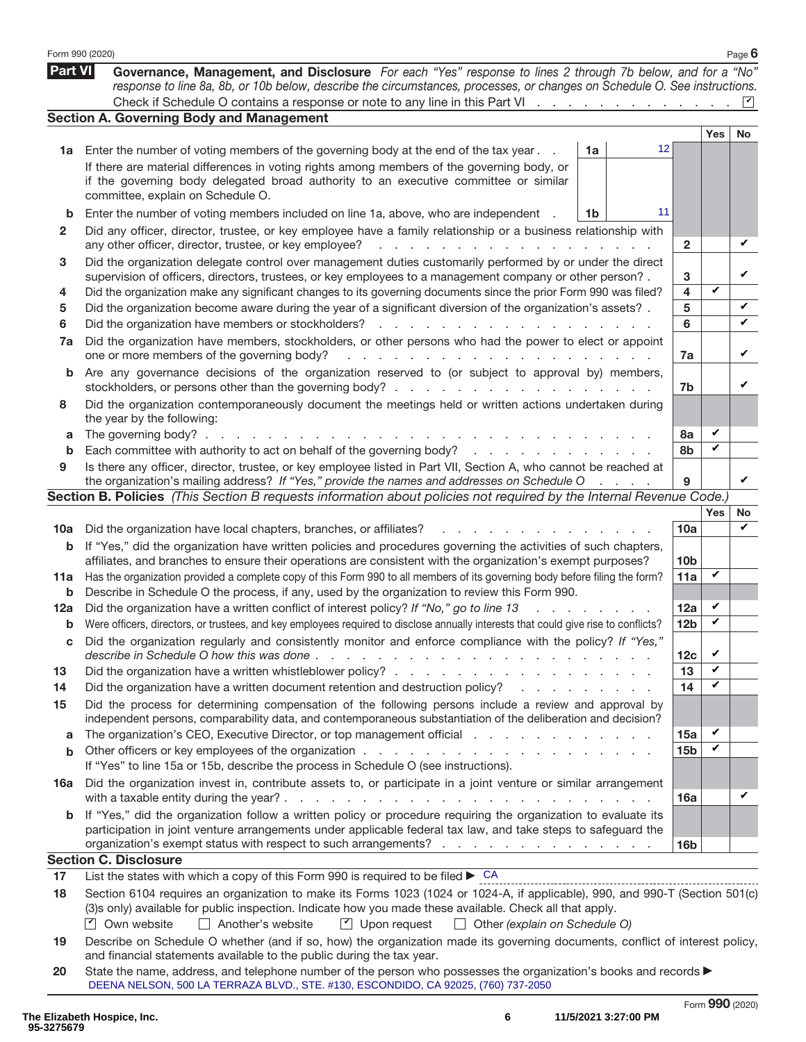|                                                                                                                                                                                                                  | Form 990 (2020)                                                                                                                                                                                                                                                                                                                                                                         |    |    |                 |              | Page $6$ |  |  |  |  |  |  |
|------------------------------------------------------------------------------------------------------------------------------------------------------------------------------------------------------------------|-----------------------------------------------------------------------------------------------------------------------------------------------------------------------------------------------------------------------------------------------------------------------------------------------------------------------------------------------------------------------------------------|----|----|-----------------|--------------|----------|--|--|--|--|--|--|
| <b>Part VI</b>                                                                                                                                                                                                   | Governance, Management, and Disclosure For each "Yes" response to lines 2 through 7b below, and for a "No"<br>response to line 8a, 8b, or 10b below, describe the circumstances, processes, or changes on Schedule O. See instructions.                                                                                                                                                 |    |    |                 |              |          |  |  |  |  |  |  |
|                                                                                                                                                                                                                  | Check if Schedule O contains a response or note to any line in this Part VI                                                                                                                                                                                                                                                                                                             |    |    |                 |              |          |  |  |  |  |  |  |
|                                                                                                                                                                                                                  | <b>Section A. Governing Body and Management</b>                                                                                                                                                                                                                                                                                                                                         |    |    |                 |              |          |  |  |  |  |  |  |
|                                                                                                                                                                                                                  |                                                                                                                                                                                                                                                                                                                                                                                         |    |    |                 | Yes          | No       |  |  |  |  |  |  |
| 1a                                                                                                                                                                                                               | Enter the number of voting members of the governing body at the end of the tax year.                                                                                                                                                                                                                                                                                                    | 1a | 12 |                 |              |          |  |  |  |  |  |  |
|                                                                                                                                                                                                                  | If there are material differences in voting rights among members of the governing body, or                                                                                                                                                                                                                                                                                              |    |    |                 |              |          |  |  |  |  |  |  |
|                                                                                                                                                                                                                  | if the governing body delegated broad authority to an executive committee or similar                                                                                                                                                                                                                                                                                                    |    |    |                 |              |          |  |  |  |  |  |  |
|                                                                                                                                                                                                                  | committee, explain on Schedule O.                                                                                                                                                                                                                                                                                                                                                       |    |    |                 |              |          |  |  |  |  |  |  |
|                                                                                                                                                                                                                  | 11<br>Enter the number of voting members included on line 1a, above, who are independent<br>1b<br>b                                                                                                                                                                                                                                                                                     |    |    |                 |              |          |  |  |  |  |  |  |
| Did any officer, director, trustee, or key employee have a family relationship or a business relationship with<br>2<br>any other officer, director, trustee, or key employee?<br>the contract of the contract of |                                                                                                                                                                                                                                                                                                                                                                                         |    |    |                 |              |          |  |  |  |  |  |  |
| 3                                                                                                                                                                                                                | Did the organization delegate control over management duties customarily performed by or under the direct                                                                                                                                                                                                                                                                               |    |    | 3               |              | V        |  |  |  |  |  |  |
|                                                                                                                                                                                                                  | supervision of officers, directors, trustees, or key employees to a management company or other person?.                                                                                                                                                                                                                                                                                |    |    |                 |              |          |  |  |  |  |  |  |
| 4                                                                                                                                                                                                                | Did the organization make any significant changes to its governing documents since the prior Form 990 was filed?                                                                                                                                                                                                                                                                        |    |    | 4               | V            |          |  |  |  |  |  |  |
| 5                                                                                                                                                                                                                | Did the organization become aware during the year of a significant diversion of the organization's assets? .                                                                                                                                                                                                                                                                            |    |    | 5               |              | ✓        |  |  |  |  |  |  |
| 6                                                                                                                                                                                                                | Did the organization have members or stockholders?<br><b>Contractor</b><br>and a state                                                                                                                                                                                                                                                                                                  |    |    | 6               |              | ✓        |  |  |  |  |  |  |
| 7a                                                                                                                                                                                                               | Did the organization have members, stockholders, or other persons who had the power to elect or appoint<br>one or more members of the governing body?<br>and the contract of the contract of the contract of the contract of the contract of the contract of the contract of the contract of the contract of the contract of the contract of the contract of the contract of the contra |    |    | 7a              |              | V        |  |  |  |  |  |  |
| b                                                                                                                                                                                                                | Are any governance decisions of the organization reserved to (or subject to approval by) members,                                                                                                                                                                                                                                                                                       |    |    | 7b              |              | V        |  |  |  |  |  |  |
| 8                                                                                                                                                                                                                | Did the organization contemporaneously document the meetings held or written actions undertaken during                                                                                                                                                                                                                                                                                  |    |    |                 |              |          |  |  |  |  |  |  |
|                                                                                                                                                                                                                  | the year by the following:                                                                                                                                                                                                                                                                                                                                                              |    |    |                 |              |          |  |  |  |  |  |  |
| a                                                                                                                                                                                                                | The governing body? $\ldots$ .<br>the contract of the contract of                                                                                                                                                                                                                                                                                                                       |    |    | 8а              | V            |          |  |  |  |  |  |  |
| b                                                                                                                                                                                                                | Each committee with authority to act on behalf of the governing body?                                                                                                                                                                                                                                                                                                                   |    |    | 8b              | V            |          |  |  |  |  |  |  |
| 9                                                                                                                                                                                                                | Is there any officer, director, trustee, or key employee listed in Part VII, Section A, who cannot be reached at<br>the organization's mailing address? If "Yes," provide the names and addresses on Schedule O<br>and a state                                                                                                                                                          |    |    |                 |              |          |  |  |  |  |  |  |
|                                                                                                                                                                                                                  | Section B. Policies (This Section B requests information about policies not required by the Internal Revenue Code.)                                                                                                                                                                                                                                                                     |    |    |                 |              |          |  |  |  |  |  |  |
|                                                                                                                                                                                                                  |                                                                                                                                                                                                                                                                                                                                                                                         |    |    |                 | Yes          | No       |  |  |  |  |  |  |
| 10a                                                                                                                                                                                                              | Did the organization have local chapters, branches, or affiliates?                                                                                                                                                                                                                                                                                                                      |    |    | 10a             |              | ✓        |  |  |  |  |  |  |
| b                                                                                                                                                                                                                | If "Yes," did the organization have written policies and procedures governing the activities of such chapters,                                                                                                                                                                                                                                                                          |    |    |                 |              |          |  |  |  |  |  |  |
|                                                                                                                                                                                                                  | affiliates, and branches to ensure their operations are consistent with the organization's exempt purposes?                                                                                                                                                                                                                                                                             |    |    | 10 <sub>b</sub> |              |          |  |  |  |  |  |  |
| 11a                                                                                                                                                                                                              | Has the organization provided a complete copy of this Form 990 to all members of its governing body before filing the form?                                                                                                                                                                                                                                                             |    |    | 11a             | V            |          |  |  |  |  |  |  |
| b                                                                                                                                                                                                                | Describe in Schedule O the process, if any, used by the organization to review this Form 990.                                                                                                                                                                                                                                                                                           |    |    |                 |              |          |  |  |  |  |  |  |
| 12a                                                                                                                                                                                                              | Did the organization have a written conflict of interest policy? If "No," go to line 13                                                                                                                                                                                                                                                                                                 |    |    | 12a             | V            |          |  |  |  |  |  |  |
| b                                                                                                                                                                                                                | Were officers, directors, or trustees, and key employees required to disclose annually interests that could give rise to conflicts?                                                                                                                                                                                                                                                     |    |    | 12 <sub>b</sub> | V            |          |  |  |  |  |  |  |
| С                                                                                                                                                                                                                | Did the organization regularly and consistently monitor and enforce compliance with the policy? If "Yes,                                                                                                                                                                                                                                                                                |    |    | 12 <sub>c</sub> | V            |          |  |  |  |  |  |  |
| 13                                                                                                                                                                                                               |                                                                                                                                                                                                                                                                                                                                                                                         |    |    | 13              | V            |          |  |  |  |  |  |  |
| 14                                                                                                                                                                                                               | Did the organization have a written document retention and destruction policy?<br>and the contract of the contract of                                                                                                                                                                                                                                                                   |    |    | 14              | V            |          |  |  |  |  |  |  |
| 15                                                                                                                                                                                                               | Did the process for determining compensation of the following persons include a review and approval by                                                                                                                                                                                                                                                                                  |    |    |                 |              |          |  |  |  |  |  |  |
|                                                                                                                                                                                                                  | independent persons, comparability data, and contemporaneous substantiation of the deliberation and decision?                                                                                                                                                                                                                                                                           |    |    |                 |              |          |  |  |  |  |  |  |
| a                                                                                                                                                                                                                | The organization's CEO, Executive Director, or top management official                                                                                                                                                                                                                                                                                                                  |    |    | 15a             | $\checkmark$ |          |  |  |  |  |  |  |
| b                                                                                                                                                                                                                |                                                                                                                                                                                                                                                                                                                                                                                         |    |    | 15 <sub>b</sub> | V            |          |  |  |  |  |  |  |
|                                                                                                                                                                                                                  | If "Yes" to line 15a or 15b, describe the process in Schedule O (see instructions).                                                                                                                                                                                                                                                                                                     |    |    |                 |              |          |  |  |  |  |  |  |
| 16a                                                                                                                                                                                                              | Did the organization invest in, contribute assets to, or participate in a joint venture or similar arrangement                                                                                                                                                                                                                                                                          |    |    |                 |              |          |  |  |  |  |  |  |
|                                                                                                                                                                                                                  | with a taxable entity during the year? $\ldots$ $\ldots$ $\ldots$ $\ldots$ $\ldots$ $\ldots$ $\ldots$ $\ldots$ $\ldots$                                                                                                                                                                                                                                                                 |    |    | 16a             |              | V        |  |  |  |  |  |  |
| b                                                                                                                                                                                                                | If "Yes," did the organization follow a written policy or procedure requiring the organization to evaluate its                                                                                                                                                                                                                                                                          |    |    |                 |              |          |  |  |  |  |  |  |
|                                                                                                                                                                                                                  | participation in joint venture arrangements under applicable federal tax law, and take steps to safeguard the                                                                                                                                                                                                                                                                           |    |    |                 |              |          |  |  |  |  |  |  |
|                                                                                                                                                                                                                  | organization's exempt status with respect to such arrangements?                                                                                                                                                                                                                                                                                                                         |    |    | 16 <sub>b</sub> |              |          |  |  |  |  |  |  |
|                                                                                                                                                                                                                  | <b>Section C. Disclosure</b>                                                                                                                                                                                                                                                                                                                                                            |    |    |                 |              |          |  |  |  |  |  |  |
| 17                                                                                                                                                                                                               | List the states with which a copy of this Form 990 is required to be filed $\triangleright$ CA                                                                                                                                                                                                                                                                                          |    |    |                 |              |          |  |  |  |  |  |  |
| 18                                                                                                                                                                                                               | Section 6104 requires an organization to make its Forms 1023 (1024 or 1024-A, if applicable), 990, and 990-T (Section 501(c)                                                                                                                                                                                                                                                            |    |    |                 |              |          |  |  |  |  |  |  |
|                                                                                                                                                                                                                  | (3)s only) available for public inspection. Indicate how you made these available. Check all that apply.                                                                                                                                                                                                                                                                                |    |    |                 |              |          |  |  |  |  |  |  |
|                                                                                                                                                                                                                  | $\triangledown$ Own website<br>$\Box$ Another's website<br>$\Box$ Upon request<br>$\Box$ Other (explain on Schedule O)                                                                                                                                                                                                                                                                  |    |    |                 |              |          |  |  |  |  |  |  |
| 19                                                                                                                                                                                                               | Describe on Schedule O whether (and if so, how) the organization made its governing documents, conflict of interest policy,                                                                                                                                                                                                                                                             |    |    |                 |              |          |  |  |  |  |  |  |
|                                                                                                                                                                                                                  | and financial statements available to the public during the tax year.                                                                                                                                                                                                                                                                                                                   |    |    |                 |              |          |  |  |  |  |  |  |
| 20                                                                                                                                                                                                               | State the name, address, and telephone number of the person who possesses the organization's books and records $\blacktriangleright$                                                                                                                                                                                                                                                    |    |    |                 |              |          |  |  |  |  |  |  |

DEENA NELSON, 500 LA TERRAZA BLVD., STE. #130, ESCONDIDO, CA 92025, (760) 737-2050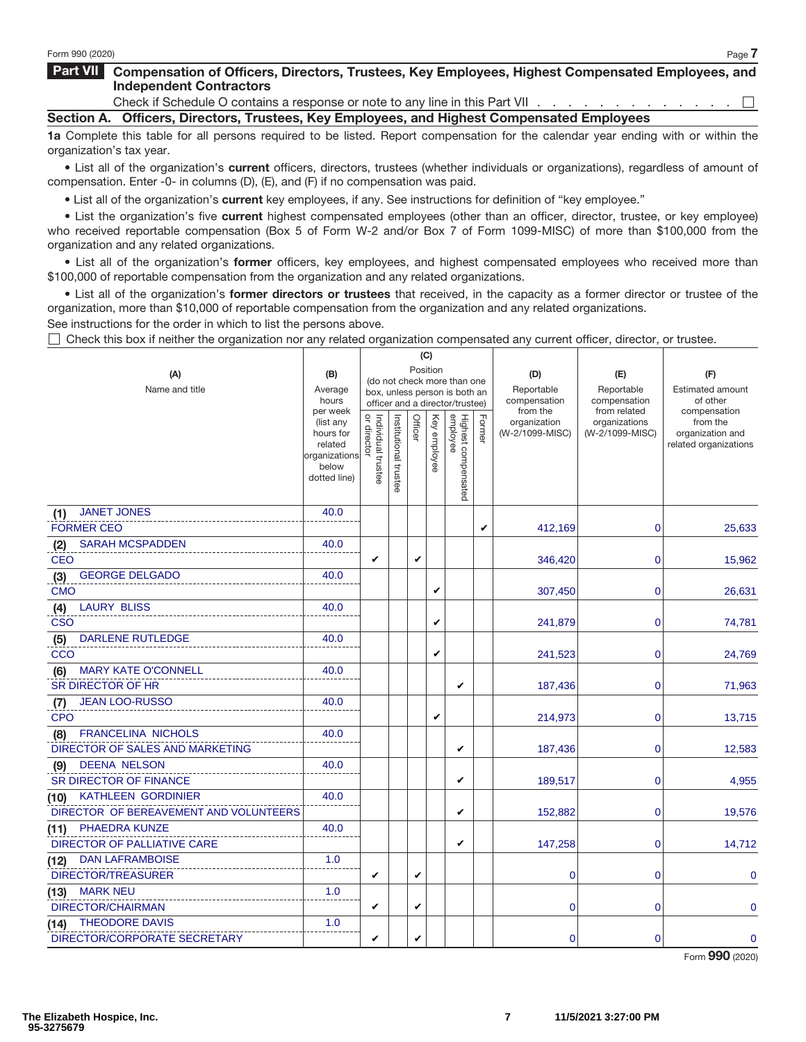### **Part VII Compensation of Officers, Directors, Trustees, Key Employees, Highest Compensated Employees, and Independent Contractors**

Check if Schedule O contains a response or note to any line in this Part VII . .  $\Box$ **Section A. Officers, Directors, Trustees, Key Employees, and Highest Compensated Employees**

**1a** Complete this table for all persons required to be listed. Report compensation for the calendar year ending with or within the organization's tax year.

• List all of the organization's **current** officers, directors, trustees (whether individuals or organizations), regardless of amount of compensation. Enter -0- in columns (D), (E), and (F) if no compensation was paid.

• List all of the organization's **current** key employees, if any. See instructions for definition of "key employee."

• List the organization's five **current** highest compensated employees (other than an officer, director, trustee, or key employee) who received reportable compensation (Box 5 of Form W-2 and/or Box 7 of Form 1099-MISC) of more than \$100,000 from the organization and any related organizations.

• List all of the organization's **former** officers, key employees, and highest compensated employees who received more than \$100,000 of reportable compensation from the organization and any related organizations.

• List all of the organization's **former directors or trustees** that received, in the capacity as a former director or trustee of the organization, more than \$10,000 of reportable compensation from the organization and any related organizations.

See instructions for the order in which to list the persons above.

 $\Box$  Check this box if neither the organization nor any related organization compensated any current officer, director, or trustee.

|                                        |                       |                                   |                               | (C)     |                                         |                                 |        |                          |                              |                                           |
|----------------------------------------|-----------------------|-----------------------------------|-------------------------------|---------|-----------------------------------------|---------------------------------|--------|--------------------------|------------------------------|-------------------------------------------|
| (A)                                    | (B)                   |                                   |                               |         | Position<br>(do not check more than one |                                 |        | (D)<br>Reportable        | (E)                          | (F)                                       |
| Name and title                         | Average               |                                   | box, unless person is both an |         |                                         |                                 |        |                          | Reportable                   | <b>Estimated amount</b>                   |
|                                        | hours<br>per week     |                                   |                               |         | officer and a director/trustee)         |                                 |        | compensation<br>from the | compensation<br>from related | of other<br>compensation                  |
|                                        | (list any             | Individual trustee<br>or director | Institutional trustee         | Officer | Key employee                            |                                 | Former | organization             | organizations                | from the                                  |
|                                        | hours for<br>related  |                                   |                               |         |                                         |                                 |        | (W-2/1099-MISC)          | (W-2/1099-MISC)              | organization and<br>related organizations |
|                                        | organizations         |                                   |                               |         |                                         |                                 |        |                          |                              |                                           |
|                                        | below<br>dotted line) |                                   |                               |         |                                         |                                 |        |                          |                              |                                           |
|                                        |                       |                                   |                               |         |                                         | Highest compensated<br>employee |        |                          |                              |                                           |
| <b>JANET JONES</b><br>(1)              | 40.0                  |                                   |                               |         |                                         |                                 |        |                          |                              |                                           |
| <b>FORMER CEO</b>                      |                       |                                   |                               |         |                                         |                                 | V      | 412,169                  | 0                            | 25,633                                    |
| <b>SARAH MCSPADDEN</b><br>(2)          | 40.0                  |                                   |                               |         |                                         |                                 |        |                          |                              |                                           |
| <b>CEO</b>                             |                       | V                                 |                               | V       |                                         |                                 |        | 346,420                  | 0                            | 15,962                                    |
| (3)<br><b>GEORGE DELGADO</b>           | 40.0                  |                                   |                               |         |                                         |                                 |        |                          |                              |                                           |
| <b>CMO</b>                             |                       |                                   |                               |         | V                                       |                                 |        | 307,450                  | 0                            | 26,631                                    |
| <b>LAURY BLISS</b><br>(4)              | 40.0                  |                                   |                               |         |                                         |                                 |        |                          |                              |                                           |
| <b>CSO</b>                             |                       |                                   |                               |         | V                                       |                                 |        | 241,879                  | 0                            | 74,781                                    |
| <b>DARLENE RUTLEDGE</b><br>(5)         | 40.0                  |                                   |                               |         |                                         |                                 |        |                          |                              |                                           |
| <b>CCO</b>                             |                       |                                   |                               |         | V                                       |                                 |        | 241,523                  | 0                            | 24,769                                    |
| <b>MARY KATE O'CONNELL</b><br>(6)      | 40.0                  |                                   |                               |         |                                         |                                 |        |                          |                              |                                           |
| SR DIRECTOR OF HR                      |                       |                                   |                               |         |                                         | V                               |        | 187,436                  | 0                            | 71,963                                    |
| <b>JEAN LOO-RUSSO</b><br>(7)           | 40.0                  |                                   |                               |         |                                         |                                 |        |                          |                              |                                           |
| <b>CPO</b>                             |                       |                                   |                               |         | V                                       |                                 |        | 214,973                  | 0                            | 13,715                                    |
| <b>FRANCELINA NICHOLS</b><br>(8)       | 40.0                  |                                   |                               |         |                                         |                                 |        |                          |                              |                                           |
| DIRECTOR OF SALES AND MARKETING        |                       |                                   |                               |         |                                         | V                               |        | 187,436                  | 0                            | 12,583                                    |
| <b>DEENA NELSON</b><br>(9)             | 40.0                  |                                   |                               |         |                                         |                                 |        |                          |                              |                                           |
| <b>SR DIRECTOR OF FINANCE</b>          |                       |                                   |                               |         |                                         | V                               |        | 189,517                  | 0                            | 4,955                                     |
| KATHLEEN GORDINIER<br>(10)             | 40.0                  |                                   |                               |         |                                         |                                 |        |                          |                              |                                           |
| DIRECTOR OF BEREAVEMENT AND VOLUNTEERS |                       |                                   |                               |         |                                         | V                               |        | 152,882                  | 0                            | 19,576                                    |
| PHAEDRA KUNZE<br>(11)                  | 40.0                  |                                   |                               |         |                                         |                                 |        |                          |                              |                                           |
| <b>DIRECTOR OF PALLIATIVE CARE</b>     |                       |                                   |                               |         |                                         | V                               |        | 147,258                  | 0                            | 14,712                                    |
| <b>DAN LAFRAMBOISE</b><br>(12)         | 1.0                   |                                   |                               |         |                                         |                                 |        |                          |                              |                                           |
| <b>DIRECTOR/TREASURER</b>              |                       | V                                 |                               | V       |                                         |                                 |        | $\mathbf 0$              | 0                            | 0                                         |
| (13) MARK NEU                          | 1.0                   |                                   |                               |         |                                         |                                 |        |                          |                              |                                           |
| <b>DIRECTOR/CHAIRMAN</b>               |                       | V                                 |                               | V       |                                         |                                 |        | 0                        | 0                            | 0                                         |
| <b>THEODORE DAVIS</b><br>(14)          | 1.0                   |                                   |                               |         |                                         |                                 |        |                          |                              |                                           |
| DIRECTOR/CORPORATE SECRETARY           |                       | V                                 |                               | V       |                                         |                                 |        | $\overline{0}$           | $\overline{0}$               | 0                                         |

Form **990** (2020)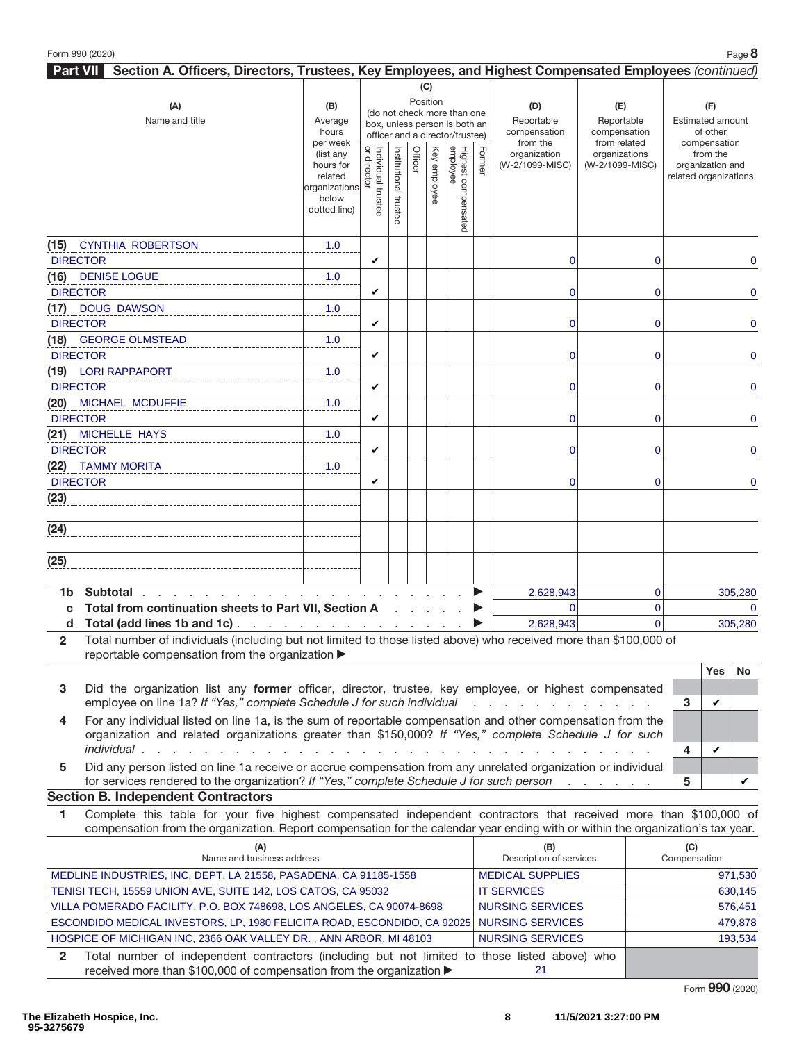| ٧<br>× |
|--------|

| <b>Part VII</b><br>Section A. Officers, Directors, Trustees, Key Employees, and Highest Compensated Employees (continued)         |                                                 |                                     |                       |         |              |                                                              |        |                          |                              |                                           |
|-----------------------------------------------------------------------------------------------------------------------------------|-------------------------------------------------|-------------------------------------|-----------------------|---------|--------------|--------------------------------------------------------------|--------|--------------------------|------------------------------|-------------------------------------------|
|                                                                                                                                   |                                                 |                                     |                       |         | (C)          |                                                              |        |                          |                              |                                           |
| (A)                                                                                                                               | (B)                                             |                                     |                       |         | Position     |                                                              |        | (D)                      | (E)                          | (F)                                       |
| Name and title                                                                                                                    | Average                                         |                                     |                       |         |              | (do not check more than one<br>box, unless person is both an |        | Reportable               | Reportable                   | Estimated amount                          |
|                                                                                                                                   | hours<br>per week                               |                                     |                       |         |              | officer and a director/trustee)                              |        | compensation<br>from the | compensation<br>from related | of other<br>compensation                  |
|                                                                                                                                   | (list any                                       | Individual trustee<br>  or director | Institutional trustee | Officer | Key employee |                                                              | Former | organization             | organizations                | from the                                  |
|                                                                                                                                   | hours for<br>related                            |                                     |                       |         |              |                                                              |        | (W-2/1099-MISC)          | (W-2/1099-MISC)              | organization and<br>related organizations |
|                                                                                                                                   | organizations                                   |                                     |                       |         |              |                                                              |        |                          |                              |                                           |
|                                                                                                                                   | below<br>dotted line)                           |                                     |                       |         |              |                                                              |        |                          |                              |                                           |
|                                                                                                                                   |                                                 |                                     |                       |         |              | Highest compensated<br>employee                              |        |                          |                              |                                           |
| (15) CYNTHIA ROBERTSON                                                                                                            | 1.0                                             |                                     |                       |         |              |                                                              |        |                          |                              |                                           |
| <b>DIRECTOR</b>                                                                                                                   |                                                 | V                                   |                       |         |              |                                                              |        | 0                        | 0                            | 0                                         |
| (16) DENISE LOGUE                                                                                                                 | 1.0                                             |                                     |                       |         |              |                                                              |        |                          |                              |                                           |
| <b>DIRECTOR</b>                                                                                                                   |                                                 | V                                   |                       |         |              |                                                              |        | $\Omega$                 | $\overline{0}$               | $\mathbf 0$                               |
| (17) DOUG DAWSON                                                                                                                  | 1.0                                             |                                     |                       |         |              |                                                              |        |                          |                              |                                           |
| <b>DIRECTOR</b>                                                                                                                   |                                                 | V                                   |                       |         |              |                                                              |        | 0                        | 0                            | $\pmb{0}$                                 |
| (18) GEORGE OLMSTEAD                                                                                                              | 1.0                                             |                                     |                       |         |              |                                                              |        |                          |                              |                                           |
| <b>DIRECTOR</b>                                                                                                                   |                                                 | V                                   |                       |         |              |                                                              |        | 0                        | $\mathbf 0$                  | $\mathbf 0$                               |
| (19) LORI RAPPAPORT                                                                                                               | 1.0                                             |                                     |                       |         |              |                                                              |        |                          |                              |                                           |
| <b>DIRECTOR</b>                                                                                                                   |                                                 | V                                   |                       |         |              |                                                              |        | $\mathbf 0$              | $\mathbf 0$                  | $\mathbf 0$                               |
| (20) MICHAEL MCDUFFIE                                                                                                             | 1.0                                             |                                     |                       |         |              |                                                              |        |                          |                              |                                           |
| <b>DIRECTOR</b>                                                                                                                   |                                                 | V                                   |                       |         |              |                                                              |        | $\mathbf 0$              | 0                            | $\pmb{0}$                                 |
| (21) MICHELLE HAYS                                                                                                                | 1.0                                             |                                     |                       |         |              |                                                              |        |                          |                              |                                           |
| <b>DIRECTOR</b>                                                                                                                   |                                                 | V                                   |                       |         |              |                                                              |        | $\mathbf{0}$             | $\overline{0}$               | $\mathbf 0$                               |
| (22) TAMMY MORITA                                                                                                                 | 1.0                                             |                                     |                       |         |              |                                                              |        |                          |                              |                                           |
| <b>DIRECTOR</b>                                                                                                                   |                                                 | V                                   |                       |         |              |                                                              |        | $\mathbf{0}$             | $\overline{0}$               | $\mathbf 0$                               |
| (23)                                                                                                                              |                                                 |                                     |                       |         |              |                                                              |        |                          |                              |                                           |
| (24)                                                                                                                              |                                                 |                                     |                       |         |              |                                                              |        |                          |                              |                                           |
| (25)                                                                                                                              |                                                 |                                     |                       |         |              |                                                              |        |                          |                              |                                           |
| <b>Subtotal</b><br>1b                                                                                                             |                                                 |                                     |                       |         |              |                                                              |        | 2,628,943                | $\overline{0}$               | 305,280                                   |
| Total from continuation sheets to Part VII, Section A<br>$\mathbf{c}$                                                             |                                                 |                                     |                       |         |              |                                                              |        | $\Omega$                 | $\overline{0}$               | $\Omega$                                  |
| d<br>Total (add lines 1b and 1c).                                                                                                 | the contract of the contract of the contract of |                                     |                       |         |              |                                                              |        | 2,628,943                | $\overline{0}$               | 305,280                                   |
| Total number of individuals (including but not limited to those listed above) who received more than \$100,000 of<br>$\mathbf{2}$ |                                                 |                                     |                       |         |              |                                                              |        |                          |                              |                                           |

reportable compensation from the organization  $\blacktriangleright$ 

| Did the organization list any former officer, director, trustee, key employee, or highest compensated |  |   |  |     |
|-------------------------------------------------------------------------------------------------------|--|---|--|-----|
| employee on line 1a? If "Yes," complete Schedule J for such individual                                |  | . |  | - 3 |

- **4** For any individual listed on line 1a, is the sum of reportable compensation and other compensation from the organization and related organizations greater than \$150,000? If "Yes," complete Schedule J for such individual . . . . . . . . . . . . . . . . . . . . . . . . . . . . . . . . . **4**
- **5** Did any person listed on line 1a receive or accrue compensation from any unrelated organization or individual for services rendered to the organization? If "Yes," complete Schedule J for such person . . . . . . **5**

#### **Section B. Independent Contractors**

**1** Complete this table for your five highest compensated independent contractors that received more than \$100,000 of compensation from the organization. Report compensation for the calendar year ending with or within the organization's tax year.

| (A)                                                                                           | (B)                     | (C)          |
|-----------------------------------------------------------------------------------------------|-------------------------|--------------|
| Name and business address                                                                     | Description of services | Compensation |
| MEDLINE INDUSTRIES, INC, DEPT. LA 21558, PASADENA, CA 91185-1558                              | <b>MEDICAL SUPPLIES</b> | 971.530      |
| TENISI TECH, 15559 UNION AVE, SUITE 142, LOS CATOS, CA 95032                                  | 630.145                 |              |
| VILLA POMERADO FACILITY, P.O. BOX 748698, LOS ANGELES, CA 90074-8698                          | 576,451                 |              |
| ESCONDIDO MEDICAL INVESTORS, LP, 1980 FELICITA ROAD, ESCONDIDO, CA 92025 NURSING SERVICES     |                         | 479.878      |
| HOSPICE OF MICHIGAN INC, 2366 OAK VALLEY DR., ANN ARBOR, MI 48103                             | <b>NURSING SERVICES</b> | 193.534      |
| Total number of independent contractors (including but not limited to those listed above) who |                         |              |
| received more than \$100,000 of compensation from the organization ▶                          |                         |              |

**Yes No**

✔

✔

✔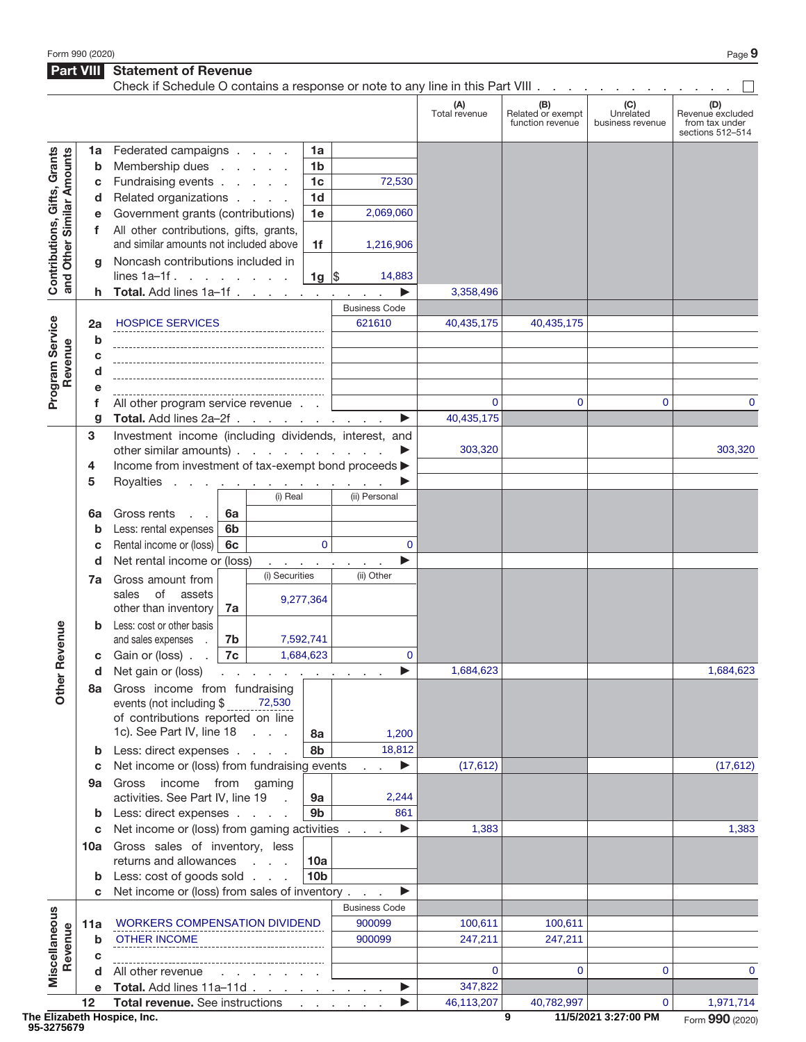**Part VIII Statement of Revenue** 

|                                                           |         | Check if Schedule O contains a response or note to any line in this Part VIII |                |                                                    |                 |                                      |                      |                                              |                                      |                                                               |
|-----------------------------------------------------------|---------|-------------------------------------------------------------------------------|----------------|----------------------------------------------------|-----------------|--------------------------------------|----------------------|----------------------------------------------|--------------------------------------|---------------------------------------------------------------|
|                                                           |         |                                                                               |                |                                                    |                 |                                      | (A)<br>Total revenue | (B)<br>Related or exempt<br>function revenue | (C)<br>Unrelated<br>business revenue | (D)<br>Revenue excluded<br>from tax under<br>sections 512-514 |
|                                                           | 1a      | Federated campaigns                                                           |                |                                                    | 1a              |                                      |                      |                                              |                                      |                                                               |
| Contributions, Gifts, Grants<br>and Other Similar Amounts | b       | Membership dues<br>1 <sub>b</sub>                                             |                |                                                    |                 |                                      |                      |                                              |                                      |                                                               |
|                                                           | С       | Fundraising events<br>1 <sub>c</sub>                                          |                |                                                    |                 | 72,530                               |                      |                                              |                                      |                                                               |
|                                                           | d       | Related organizations<br>1 <sub>d</sub>                                       |                |                                                    |                 |                                      |                      |                                              |                                      |                                                               |
|                                                           |         | Government grants (contributions)<br>1e                                       |                |                                                    | 2,069,060       |                                      |                      |                                              |                                      |                                                               |
|                                                           | f       | All other contributions, gifts, grants,                                       |                |                                                    |                 |                                      |                      |                                              |                                      |                                                               |
|                                                           |         | and similar amounts not included above                                        |                |                                                    | 1f              | 1,216,906                            |                      |                                              |                                      |                                                               |
|                                                           | q       | Noncash contributions included in                                             |                |                                                    |                 |                                      |                      |                                              |                                      |                                                               |
|                                                           |         | lines $1a-1f$ .                                                               |                |                                                    | $1g \,$ \$      | 14,883                               |                      |                                              |                                      |                                                               |
|                                                           |         | <b>Total.</b> Add lines 1a-1f                                                 |                |                                                    |                 | ▶                                    | 3,358,496            |                                              |                                      |                                                               |
|                                                           |         | <b>HOSPICE SERVICES</b>                                                       |                |                                                    |                 | <b>Business Code</b><br>621610       | 40,435,175           | 40,435,175                                   |                                      |                                                               |
|                                                           | 2a<br>b |                                                                               |                |                                                    |                 |                                      |                      |                                              |                                      |                                                               |
| Revenue                                                   | c       |                                                                               |                |                                                    |                 |                                      |                      |                                              |                                      |                                                               |
|                                                           | d       |                                                                               |                |                                                    |                 |                                      |                      |                                              |                                      |                                                               |
|                                                           | е       |                                                                               |                |                                                    |                 |                                      |                      |                                              |                                      |                                                               |
| Program Service                                           | f       | All other program service revenue                                             |                |                                                    |                 |                                      | $\mathbf 0$          | $\mathbf{0}$                                 | $\mathbf 0$                          | $\mathbf 0$                                                   |
|                                                           | g       | Total. Add lines 2a-2f                                                        |                |                                                    |                 | ▶                                    | 40,435,175           |                                              |                                      |                                                               |
|                                                           | 3       | Investment income (including dividends, interest, and                         |                |                                                    |                 |                                      |                      |                                              |                                      |                                                               |
|                                                           |         | other similar amounts)                                                        |                |                                                    |                 |                                      | 303,320              |                                              |                                      | 303,320                                                       |
|                                                           | 4       | Income from investment of tax-exempt bond proceeds >                          |                |                                                    |                 |                                      |                      |                                              |                                      |                                                               |
|                                                           | 5       | Royalties                                                                     |                | and a series of the contract of the series         |                 |                                      |                      |                                              |                                      |                                                               |
|                                                           |         |                                                                               |                | (i) Real                                           |                 | (ii) Personal                        |                      |                                              |                                      |                                                               |
|                                                           | 6a      | Gross rents                                                                   | 6a             |                                                    |                 |                                      |                      |                                              |                                      |                                                               |
|                                                           | b       | Less: rental expenses                                                         | 6 <sub>b</sub> |                                                    |                 |                                      |                      |                                              |                                      |                                                               |
|                                                           | c       | Rental income or (loss)                                                       | 6с             |                                                    | $\mathbf{0}$    | $\mathbf 0$                          |                      |                                              |                                      |                                                               |
|                                                           | d       | Net rental income or (loss)                                                   |                | and a straightful and a straight<br>(i) Securities |                 | ▶<br>(ii) Other                      |                      |                                              |                                      |                                                               |
|                                                           | 7a      | Gross amount from<br>of<br>sales<br>assets                                    |                |                                                    |                 |                                      |                      |                                              |                                      |                                                               |
|                                                           |         | other than inventory                                                          | 7a             |                                                    | 9,277,364       |                                      |                      |                                              |                                      |                                                               |
|                                                           | b       | Less: cost or other basis                                                     |                |                                                    |                 |                                      |                      |                                              |                                      |                                                               |
| evenue                                                    |         | and sales expenses                                                            | 7b             |                                                    | 7,592,741       |                                      |                      |                                              |                                      |                                                               |
|                                                           | C       | Gain or (loss).                                                               | 7c             |                                                    | 1,684,623       | $\mathbf 0$                          |                      |                                              |                                      |                                                               |
| œ                                                         | a       | Net gain or (loss)                                                            |                | المتعاطف والمتعارف والمتعاط المتعاطف               |                 | ▶                                    | 1,684,623            |                                              |                                      | 1,684,623                                                     |
| <b>Other</b>                                              | 8a      | Gross income from fundraising                                                 |                |                                                    |                 |                                      |                      |                                              |                                      |                                                               |
|                                                           |         | events (not including \$                                                      |                | 72,530                                             |                 |                                      |                      |                                              |                                      |                                                               |
|                                                           |         | of contributions reported on line                                             |                |                                                    |                 |                                      |                      |                                              |                                      |                                                               |
|                                                           |         | 1c). See Part IV, line 18                                                     |                |                                                    | 8а              | 1,200                                |                      |                                              |                                      |                                                               |
|                                                           | b       | Less: direct expenses                                                         |                |                                                    | 8b              | 18,812                               |                      |                                              |                                      |                                                               |
|                                                           | c       | Net income or (loss) from fundraising events                                  |                |                                                    |                 | ▶                                    | (17, 612)            |                                              |                                      | (17, 612)                                                     |
|                                                           | 9а      | Gross income from gaming<br>activities. See Part IV, line 19                  |                | $\sim$                                             | 9а              | 2,244                                |                      |                                              |                                      |                                                               |
|                                                           | b       | Less: direct expenses                                                         |                |                                                    | 9b              | 861                                  |                      |                                              |                                      |                                                               |
|                                                           | c       | Net income or (loss) from gaming activities                                   |                |                                                    |                 | ▶                                    | 1,383                |                                              |                                      | 1,383                                                         |
|                                                           | 10a     | Gross sales of inventory, less                                                |                |                                                    |                 |                                      |                      |                                              |                                      |                                                               |
|                                                           |         | returns and allowances                                                        |                |                                                    | 10a             |                                      |                      |                                              |                                      |                                                               |
|                                                           | b       | Less: cost of goods sold                                                      |                |                                                    | 10 <sub>b</sub> |                                      |                      |                                              |                                      |                                                               |
|                                                           | C       | Net income or (loss) from sales of inventory.                                 |                |                                                    |                 | ▶                                    |                      |                                              |                                      |                                                               |
|                                                           |         |                                                                               |                |                                                    |                 | <b>Business Code</b>                 |                      |                                              |                                      |                                                               |
|                                                           | 11a     | WORKERS COMPENSATION DIVIDEND                                                 |                |                                                    |                 | 900099                               | 100,611              | 100,611                                      |                                      |                                                               |
|                                                           | b       | <b>OTHER INCOME</b>                                                           |                |                                                    |                 | 900099                               | 247,211              | 247,211                                      |                                      |                                                               |
| Revenue                                                   | c       |                                                                               |                |                                                    |                 |                                      |                      |                                              |                                      |                                                               |
| Miscellaneous                                             |         | All other revenue                                                             |                | and the company of the com-                        |                 |                                      | $\mathbf 0$          | 0                                            | 0                                    | $\mathbf{0}$                                                  |
|                                                           | е       | Total. Add lines 11a-11d                                                      |                |                                                    |                 | ▶                                    | 347,822              |                                              |                                      |                                                               |
|                                                           | 12      | <b>Total revenue.</b> See instructions                                        |                |                                                    |                 | ▶<br>the contract of the contract of | 46,113,207           | 40,782,997                                   | 0                                    | 1,971,714                                                     |

**9 11/5/2021 3:27:00 PM**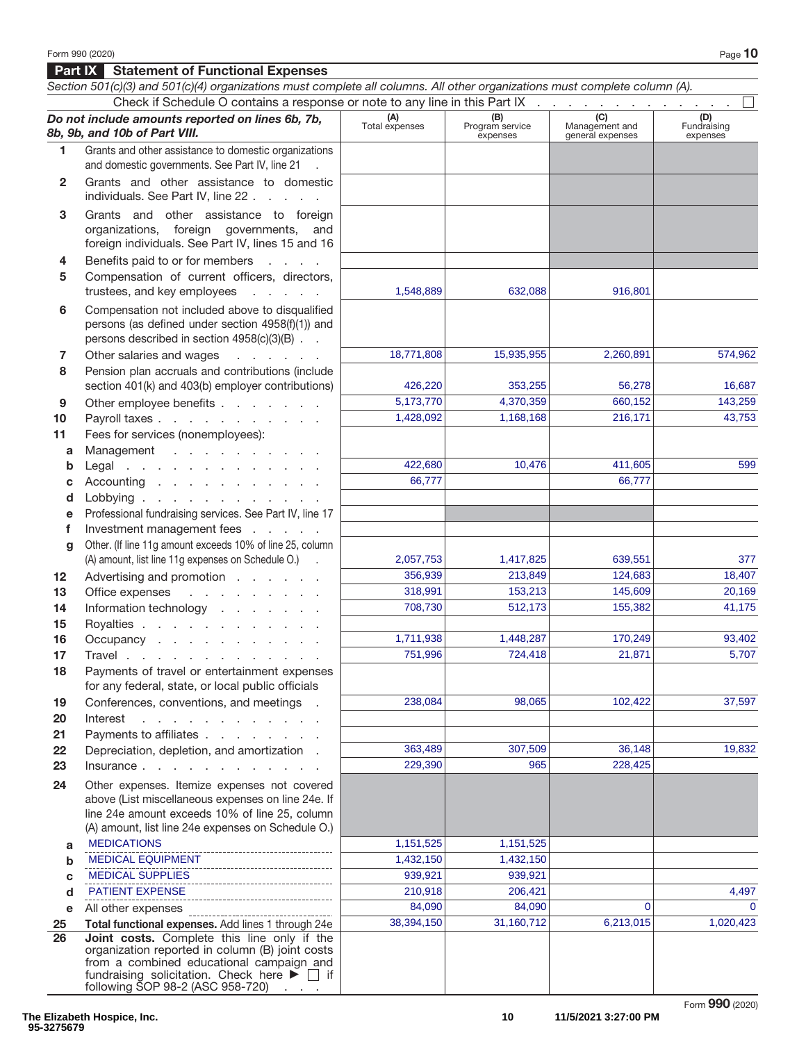**Part IX Statement of Functional Expenses**

#### Section 501(c)(3) and 501(c)(4) organizations must complete all columns. All other organizations must complete column (A). Check if Schedule O contains a response or note to any line in this Part IX *Do not include amounts reported on lines 6b, 7b, 8b, 9b, and 10b of Part VIII.* **(A)**  Total expenses **(B)**  Program service expenses **(C)**  Management and general expenses **(D)**  Fundraising expenses **1** Grants and other assistance to domestic organizations and domestic governments. See Part IV, line 21 **2** Grants and other assistance to domestic individuals. See Part IV, line 22 . . . . . **3** Grants and other assistance to foreign organizations, foreign governments, and foreign individuals. See Part IV, lines 15 and 16 **4** Benefits paid to or for members . . . . **5** Compensation of current officers, directors, trustees, and key employees . . . . . **6** Compensation not included above to disqualified persons (as defined under section 4958(f)(1)) and persons described in section 4958(c)(3)(B) . . **7** Other salaries and wages . . . . . . **8** Pension plan accruals and contributions (include section 401(k) and 403(b) employer contributions) **9** Other employee benefits . . . . . . . **10** Payroll taxes . . . . . . . . **11** Fees for services (nonemployees): **a** Management . . . . . . . . . **b** Legal . . . . . . . . . . . . **c** Accounting . . . . . . . . . **d** Lobbying . . . . . . . **e** Professional fundraising services. See Part IV, line 17 **f** Investment management fees . . . . . **g** Other. (If line 11g amount exceeds 10% of line 25, column (A) amount, list line 11g expenses on Schedule O.) . **12** Advertising and promotion . . . . . . **13** Office expenses . . . . . . . . . **14** Information technology . . . . . **15** Royalties . . . . . . . . . **16** Occupancy . . . . . . . . . . . **17** Travel . . . . . . . . . . . . . **18** Payments of travel or entertainment expenses for any federal, state, or local public officials **19** Conferences, conventions, and meetings . **20 Interest** . . . . . . . . . . . **21** Payments to affiliates . . . . . **22** Depreciation, depletion, and amortization . **23 Insurance** . . . . . . . . . . . . **24** Other expenses. Itemize expenses not covered above (List miscellaneous expenses on line 24e. If line 24e amount exceeds 10% of line 25, column (A) amount, list line 24e expenses on Schedule O.) **a b c d e** All other expenses ............. **25 Total functional expenses.** Add lines 1 through 24e **26 Joint costs.** Complete this line only if the organization reported in column (B) joint costs from a combined educational campaign and fundraising solicitation. Check here  $\blacktriangleright \Box$  if following SOP 98-2 (ASC 958-720) 1,548,889 632,088 916,801 18,771,808 15,935,955 2,260,891 574,962 426,220 353,255 56,278 16,687 5,173,770 4,370,359 660,152 143,259 1,428,092 1,168,168 216,171 43,753 422,680 10,476 411,605 599 66,777 66,777 2,057,753 1,417,825 639,551 377 356,939 213,849 124,683 18,407 318,991 153,213 145,609 20,169 708,730 512,173 155,382 41,175 1,711,938 1,448,287 170,249 93,402 751,996 724,418 21,871 5,707 238,084 98,065 102,422 37,597 363,489 307,509 36,148 19,832 229,390 965 228,425 MEDICATIONS 1,151,525 1,151,525 MEDICAL EQUIPMENT 1,432,150 1,432,150 MEDICAL SUPPLIES 939,921 939,921 PATIENT EXPENSE 4,497 84,090 84,090 0 0 38,394,150 31,160,712 6,213,015 1,020,423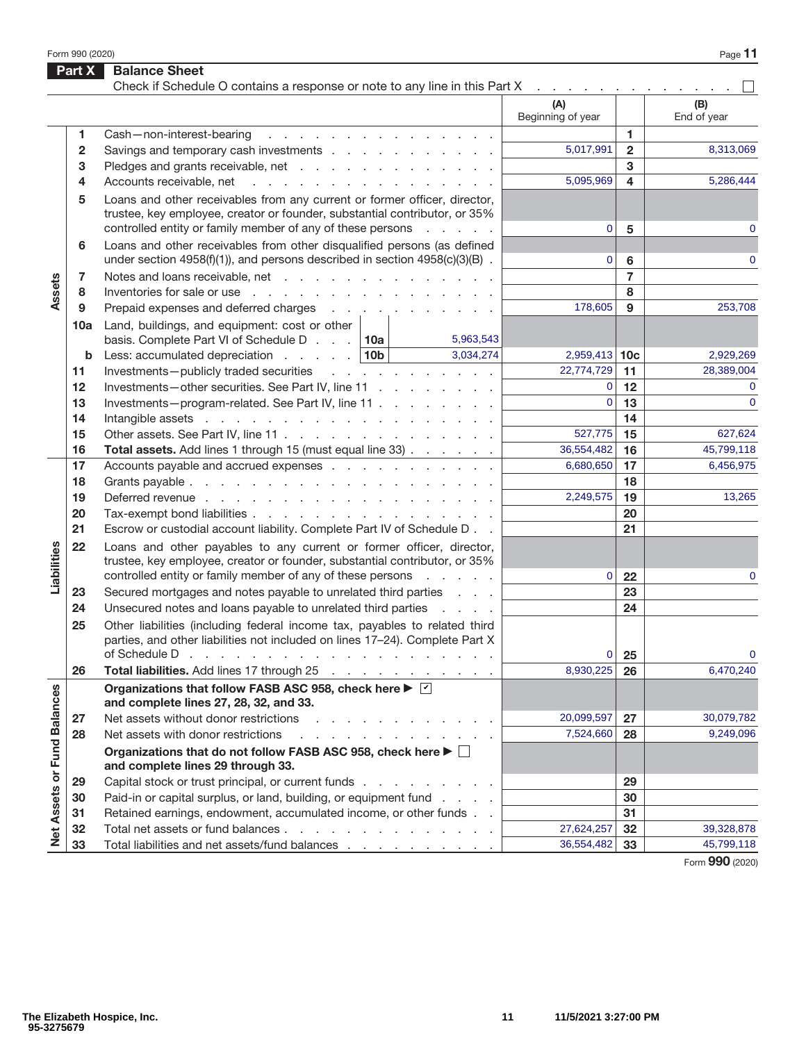Form 990 (2020) Page **11** 

|                             | Part X             | <b>Balance Sheet</b><br>Check if Schedule O contains a response or note to any line in this Part X                                                                                                                                                                  |                          |                      |                    |
|-----------------------------|--------------------|---------------------------------------------------------------------------------------------------------------------------------------------------------------------------------------------------------------------------------------------------------------------|--------------------------|----------------------|--------------------|
|                             |                    |                                                                                                                                                                                                                                                                     | (A)<br>Beginning of year |                      | (B)<br>End of year |
|                             | 1.<br>$\mathbf{2}$ | Cash-non-interest-bearing<br>the contract of the contract of the contract of the contract of the contract of the contract of the contract of                                                                                                                        | 5,017,991                | 1.<br>$\overline{2}$ | 8,313,069          |
|                             | 3<br>4             | Pledges and grants receivable, net<br>Accounts receivable, net<br>and the contract of the contract of the contract of                                                                                                                                               | 5,095,969                | 3<br>4               | 5,286,444          |
|                             | 5                  | Loans and other receivables from any current or former officer, director,<br>trustee, key employee, creator or founder, substantial contributor, or 35%<br>controlled entity or family member of any of these persons                                               | $\mathbf 0$              | 5                    | 0                  |
|                             | 6                  | Loans and other receivables from other disqualified persons (as defined<br>under section $4958(f)(1)$ , and persons described in section $4958(c)(3)(B)$ .                                                                                                          | 0                        | 6                    | $\mathbf{0}$       |
| Assets                      | 7                  | Notes and loans receivable, net                                                                                                                                                                                                                                     |                          | $\overline{7}$<br>8  |                    |
|                             | 8<br>9             | Prepaid expenses and deferred charges                                                                                                                                                                                                                               | 178,605                  | 9                    | 253,708            |
|                             | 10a                | Land, buildings, and equipment: cost or other<br>basis. Complete Part VI of Schedule D $\ldots$ 10a<br>5,963,543                                                                                                                                                    |                          |                      |                    |
|                             | b                  | Less: accumulated depreciation $\ldots$ $\ldots$ 10b<br>3,034,274                                                                                                                                                                                                   | $2,959,413$ 10c          |                      | 2,929,269          |
|                             | 11                 | Investments-publicly traded securities<br>and the contract of the contract of the                                                                                                                                                                                   | 22,774,729               | 11                   | 28,389,004         |
|                             | 12                 | Investments-other securities. See Part IV, line 11                                                                                                                                                                                                                  | $\mathbf 0$              | 12                   | $\mathbf{0}$       |
|                             | 13                 | Investments-program-related. See Part IV, line 11                                                                                                                                                                                                                   | $\mathbf{0}$             | 13                   | $\mathbf{0}$       |
|                             | 14                 |                                                                                                                                                                                                                                                                     |                          | 14                   |                    |
|                             | 15                 | Other assets. See Part IV, line 11                                                                                                                                                                                                                                  | 527,775                  | 15                   | 627,624            |
|                             | 16                 | Total assets. Add lines 1 through 15 (must equal line 33)                                                                                                                                                                                                           | 36,554,482               | 16                   | 45,799,118         |
|                             | 17                 | Accounts payable and accrued expenses                                                                                                                                                                                                                               | 6,680,650                | 17                   | 6,456,975          |
|                             | 18                 |                                                                                                                                                                                                                                                                     |                          | 18                   |                    |
|                             | 19                 |                                                                                                                                                                                                                                                                     | 2,249,575                | 19                   | 13,265             |
|                             | 20                 | Tax-exempt bond liabilities                                                                                                                                                                                                                                         |                          | 20                   |                    |
|                             | 21                 | Escrow or custodial account liability. Complete Part IV of Schedule D                                                                                                                                                                                               |                          | 21                   |                    |
| Liabilities                 | 22                 | Loans and other payables to any current or former officer, director,<br>trustee, key employee, creator or founder, substantial contributor, or 35%                                                                                                                  |                          |                      |                    |
|                             |                    | controlled entity or family member of any of these persons<br>and a state of                                                                                                                                                                                        | 0                        | 22                   | $\mathbf 0$        |
|                             | 23                 | Secured mortgages and notes payable to unrelated third parties                                                                                                                                                                                                      |                          | 23<br>24             |                    |
|                             | 24                 | Unsecured notes and loans payable to unrelated third parties<br><b>Contractor</b>                                                                                                                                                                                   |                          |                      |                    |
|                             | 25                 | Other liabilities (including federal income tax, payables to related third<br>parties, and other liabilities not included on lines 17-24). Complete Part X<br>of Schedule D $\cdots$ $\cdots$ $\cdots$ $\cdots$ $\cdots$ $\cdots$ $\cdots$ $\cdots$ $\cdots$        | $\overline{0}$           | 25                   | $\mathbf 0$        |
|                             | 26                 | Total liabilities. Add lines 17 through 25                                                                                                                                                                                                                          | 8,930,225                | 26                   | 6,470,240          |
|                             |                    | Organizations that follow FASB ASC 958, check here ▶ Ø<br>and complete lines 27, 28, 32, and 33.                                                                                                                                                                    |                          |                      |                    |
|                             | 27                 | Net assets without donor restrictions<br>the contract of the contract of the con-                                                                                                                                                                                   | 20,099,597               | 27                   | 30,079,782         |
|                             | 28                 | Net assets with donor restrictions<br>a construction of the construction of the construction of the construction of the construction of the construction of the construction of the construction of the construction of the construction of the construction of the | 7,524,660                | 28                   | 9,249,096          |
| Net Assets or Fund Balances |                    | Organizations that do not follow FASB ASC 958, check here ▶ □<br>and complete lines 29 through 33.                                                                                                                                                                  |                          |                      |                    |
|                             | 29                 | Capital stock or trust principal, or current funds                                                                                                                                                                                                                  |                          | 29                   |                    |
|                             | 30                 | Paid-in or capital surplus, or land, building, or equipment fund                                                                                                                                                                                                    |                          | 30                   |                    |
|                             | 31                 | Retained earnings, endowment, accumulated income, or other funds                                                                                                                                                                                                    |                          | 31                   |                    |
|                             | 32                 | Total net assets or fund balances                                                                                                                                                                                                                                   | 27,624,257               | 32                   | 39,328,878         |
|                             | 33                 | Total liabilities and net assets/fund balances                                                                                                                                                                                                                      | 36,554,482               | 33                   | 45,799,118         |

Form **990** (2020)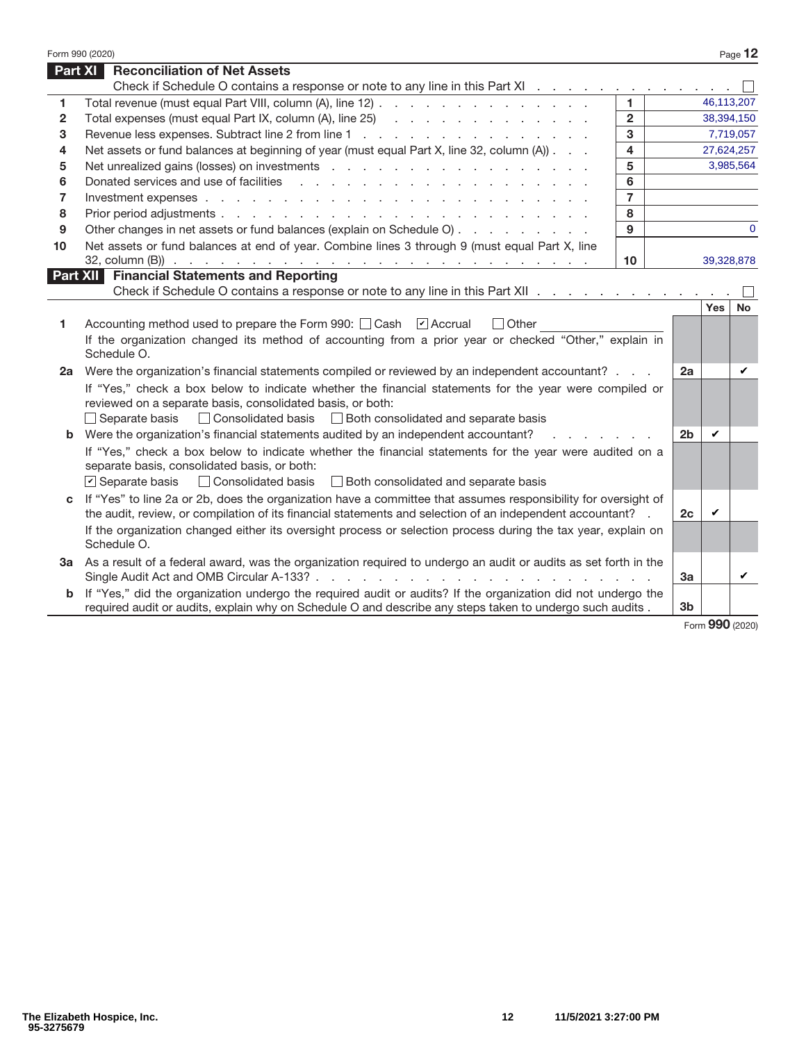|                | Form 990 (2020)                                                                                                                                                                                                                |                         |                |            | Page 12    |
|----------------|--------------------------------------------------------------------------------------------------------------------------------------------------------------------------------------------------------------------------------|-------------------------|----------------|------------|------------|
| <b>Part XI</b> | <b>Reconciliation of Net Assets</b>                                                                                                                                                                                            |                         |                |            |            |
|                | Check if Schedule O contains a response or note to any line in this Part XI                                                                                                                                                    |                         |                |            |            |
| 1              | Total revenue (must equal Part VIII, column (A), line 12)                                                                                                                                                                      | $\blacksquare$          |                | 46,113,207 |            |
| $\mathbf{2}$   | Total expenses (must equal Part IX, column (A), line 25) (all contact and contact and contact and contact and contact and contact and contact and contact and contact and contact and contact and contact and contact and cont | $\overline{2}$          |                |            | 38,394,150 |
| 3              |                                                                                                                                                                                                                                | 3                       |                |            | 7,719,057  |
| 4              | Net assets or fund balances at beginning of year (must equal Part X, line 32, column (A))                                                                                                                                      | $\overline{\mathbf{4}}$ |                |            | 27,624,257 |
| 5              |                                                                                                                                                                                                                                | 5                       |                |            | 3,985,564  |
| 6              | Donated services and use of facilities                                                                                                                                                                                         | 6                       |                |            |            |
| $\overline{7}$ |                                                                                                                                                                                                                                | $\overline{7}$          |                |            |            |
| 8              |                                                                                                                                                                                                                                | 8                       |                |            |            |
| 9              | Other changes in net assets or fund balances (explain on Schedule O)                                                                                                                                                           | 9                       |                |            | $\Omega$   |
| 10             | Net assets or fund balances at end of year. Combine lines 3 through 9 (must equal Part X, line                                                                                                                                 |                         |                |            |            |
|                |                                                                                                                                                                                                                                | 10                      |                | 39,328,878 |            |
|                | <b>Part XII Financial Statements and Reporting</b>                                                                                                                                                                             |                         |                |            |            |
|                | Check if Schedule O contains a response or note to any line in this Part XII                                                                                                                                                   |                         |                |            |            |
|                |                                                                                                                                                                                                                                |                         |                | Yes        | <b>No</b>  |
| 1.             | Accounting method used to prepare the Form 990: □ Cash ☑ Accrual<br>$\Box$ Other                                                                                                                                               |                         |                |            |            |
|                | If the organization changed its method of accounting from a prior year or checked "Other," explain in<br>Schedule O.                                                                                                           |                         |                |            |            |
| 2а             | Were the organization's financial statements compiled or reviewed by an independent accountant?                                                                                                                                |                         | 2a             |            | V          |
|                | If "Yes," check a box below to indicate whether the financial statements for the year were compiled or                                                                                                                         |                         |                |            |            |
|                | reviewed on a separate basis, consolidated basis, or both:                                                                                                                                                                     |                         |                |            |            |
|                | $\Box$ Separate basis<br>□ Consolidated basis □ Both consolidated and separate basis                                                                                                                                           |                         |                |            |            |
|                | <b>b</b> Were the organization's financial statements audited by an independent accountant?                                                                                                                                    |                         | 2 <sub>b</sub> | V          |            |
|                | If "Yes," check a box below to indicate whether the financial statements for the year were audited on a                                                                                                                        |                         |                |            |            |
|                | separate basis, consolidated basis, or both:                                                                                                                                                                                   |                         |                |            |            |
|                | $\triangleright$ Separate basis<br>□ Consolidated basis □ Both consolidated and separate basis                                                                                                                                 |                         |                |            |            |
| C              | If "Yes" to line 2a or 2b, does the organization have a committee that assumes responsibility for oversight of                                                                                                                 |                         |                |            |            |
|                | the audit, review, or compilation of its financial statements and selection of an independent accountant? .                                                                                                                    |                         | 2 <sub>c</sub> | V          |            |
|                | If the organization changed either its oversight process or selection process during the tax year, explain on                                                                                                                  |                         |                |            |            |
|                | Schedule O.                                                                                                                                                                                                                    |                         |                |            |            |
|                | 3a As a result of a federal award, was the organization required to undergo an audit or audits as set forth in the                                                                                                             |                         |                |            |            |
|                |                                                                                                                                                                                                                                |                         | 3a             |            |            |
|                | <b>b</b> If "Yes," did the organization undergo the required audit or audits? If the organization did not undergo the                                                                                                          |                         |                |            |            |
|                | required audit or audits, explain why on Schedule O and describe any steps taken to undergo such audits.                                                                                                                       |                         | 3b             |            |            |
|                |                                                                                                                                                                                                                                |                         |                | $\sim$     |            |

Form **990** (2020)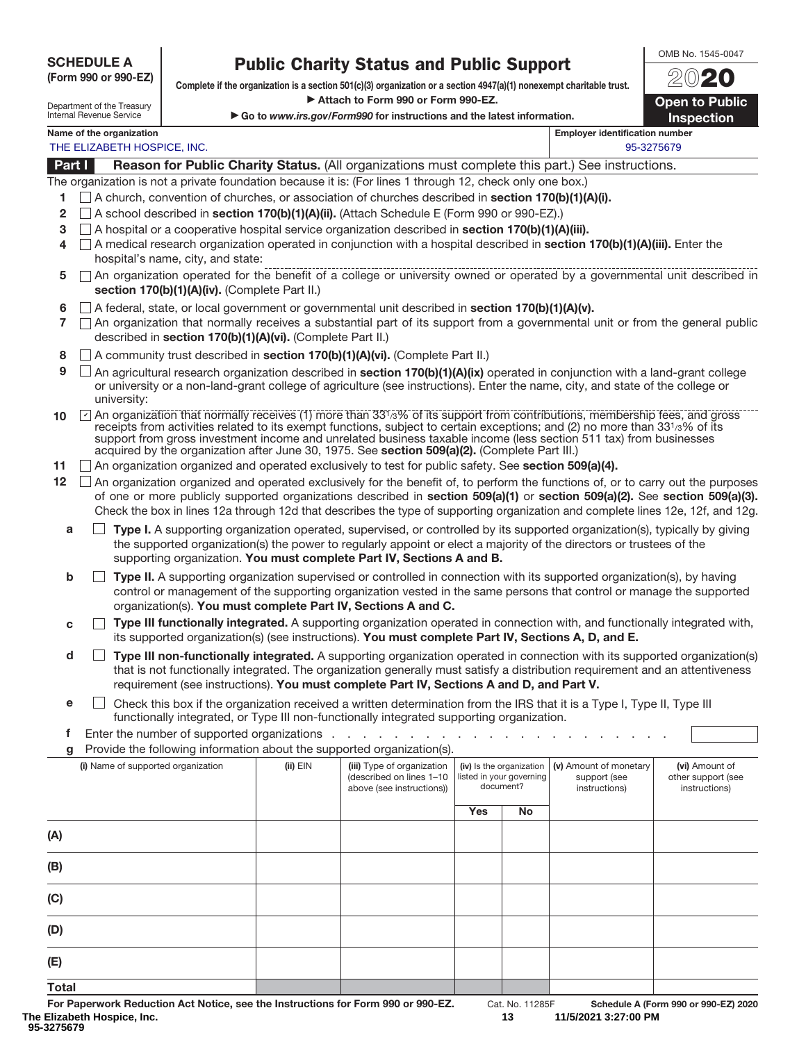### **SCHEDULE A**

#### **(Form 990 or 990-EZ)**

**Public Charity Status and Public Support Complete if the organization is a section 501(c)(3) organization or a section 4947(a)(1) nonexempt charitable trust.** a **Attach to Form 990 or Form 990-EZ.** 

Department of the Treasury Internal Revenue Service

|  |  |  |  |  |  |  | Go to www.irs.gov/Form990 for instructions and the latest information. |
|--|--|--|--|--|--|--|------------------------------------------------------------------------|
|  |  |  |  |  |  |  |                                                                        |



OMB No. 1545-0047

THE ELIZABETH HOSPICE, INC. **95-3275679** 

**Name of the organization Employer identification number Employer identification number** 

The organization is not a private foundation because it is: (For lines 1 through 12, check only one box.)

- **1** A church, convention of churches, or association of churches described in **section 170(b)(1)(A)(i).**
- **2** A school described in **section 170(b)(1)(A)(ii).** (Attach Schedule E (Form 990 or 990-EZ).)
- **3** A hospital or a cooperative hospital service organization described in **section 170(b)(1)(A)(iii).**
- **4** A medical research organization operated in conjunction with a hospital described in **section 170(b)(1)(A)(iii).** Enter the hospital's name, city, and state:
- 5  $\Box$  An organization operated for the benefit of a college or university owned or operated by a governmental unit described in **section 170(b)(1)(A)(iv).** (Complete Part II.)
- **6** A federal, state, or local government or governmental unit described in **section 170(b)(1)(A)(v).**
- **7** An organization that normally receives a substantial part of its support from a governmental unit or from the general public described in **section 170(b)(1)(A)(vi).** (Complete Part II.)
- **8** □ A community trust described in **section 170(b)(1)(A)(vi).** (Complete Part II.)
- **9**  $\Box$  An agricultural research organization described in **section 170(b)(1)(A)(ix)** operated in conjunction with a land-grant college or university or a non-land-grant college of agriculture (see instructions). Enter the name, city, and state of the college or university:
- 10  $\Box$  An organization that normally receives (1) more than 331/3% of its support from contributions, membership fees, and gross receipts from activities related to its exempt functions, subject to certain exceptions; and (2) no more than 331/3% of its support from gross investment income and unrelated business taxable income (less section 511 tax) from businesses acquired by the organization after June 30, 1975. See **section 509(a)(2).** (Complete Part III.)
- **11** An organization organized and operated exclusively to test for public safety. See **section 509(a)(4).**
- **12** An organization organized and operated exclusively for the benefit of, to perform the functions of, or to carry out the purposes of one or more publicly supported organizations described in **section 509(a)(1)** or **section 509(a)(2).** See **section 509(a)(3).**  Check the box in lines 12a through 12d that describes the type of supporting organization and complete lines 12e, 12f, and 12g.
	- **a Type I.** A supporting organization operated, supervised, or controlled by its supported organization(s), typically by giving the supported organization(s) the power to regularly appoint or elect a majority of the directors or trustees of the supporting organization. **You must complete Part IV, Sections A and B.**
	- **b Type II.** A supporting organization supervised or controlled in connection with its supported organization(s), by having control or management of the supporting organization vested in the same persons that control or manage the supported organization(s). **You must complete Part IV, Sections A and C.**
	- **c Type III functionally integrated.** A supporting organization operated in connection with, and functionally integrated with, its supported organization(s) (see instructions). **You must complete Part IV, Sections A, D, and E.**
	- **d Type III non-functionally integrated.** A supporting organization operated in connection with its supported organization(s) that is not functionally integrated. The organization generally must satisfy a distribution requirement and an attentiveness requirement (see instructions). **You must complete Part IV, Sections A and D, and Part V.**
	- **e** □ Check this box if the organization received a written determination from the IRS that it is a Type I, Type II, Type III functionally integrated, or Type III non-functionally integrated supporting organization.
	- **f** Enter the number of supported organizations . . . . .
	- **g** Provide the following information about the supported organization(s).

| ັ<br>(i) Name of supported organization | (ii) EIN | (iii) Type of organization<br>(described on lines 1-10<br>above (see instructions)) | (iv) Is the organization<br>listed in your governing<br>document? |    | (v) Amount of monetary<br>support (see<br>instructions) | (vi) Amount of<br>other support (see<br>instructions) |
|-----------------------------------------|----------|-------------------------------------------------------------------------------------|-------------------------------------------------------------------|----|---------------------------------------------------------|-------------------------------------------------------|
|                                         |          |                                                                                     | <b>Yes</b>                                                        | No |                                                         |                                                       |
| (A)                                     |          |                                                                                     |                                                                   |    |                                                         |                                                       |
| (B)                                     |          |                                                                                     |                                                                   |    |                                                         |                                                       |
| (C)                                     |          |                                                                                     |                                                                   |    |                                                         |                                                       |
| (D)                                     |          |                                                                                     |                                                                   |    |                                                         |                                                       |
| (E)                                     |          |                                                                                     |                                                                   |    |                                                         |                                                       |
| <b>Total</b>                            |          |                                                                                     |                                                                   |    |                                                         |                                                       |

**13 11/5/2021 3:27:00 PM**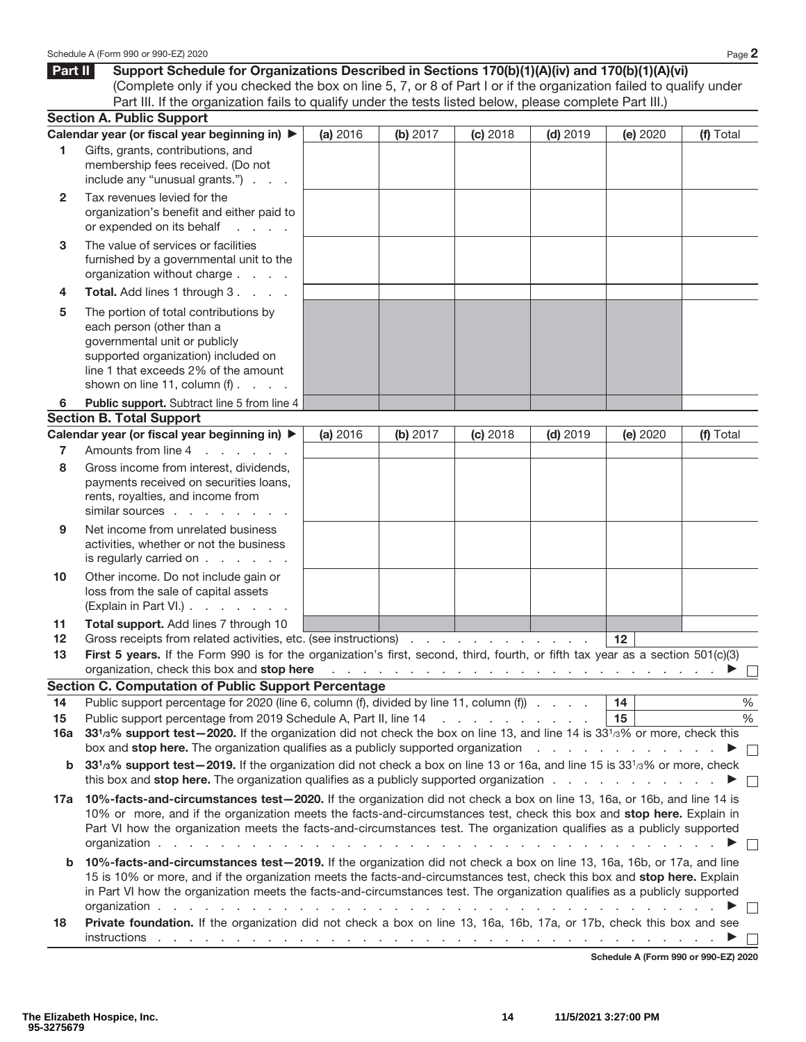**Part II** Support Schedule for Organizations Described in Sections 170(b)(1)(A)(iv) and 170(b)(1)(A)(vi) (Complete only if you checked the box on line 5, 7, or 8 of Part I or if the organization failed to qualify under Part III. If the organization fails to qualify under the tests listed below, please complete Part III.)

|                | <b>Section A. Public Support</b>                                                                                                                                                                                                                                                                                                                                                                 |          |                 |                                     |            |          |                                                                                                                                                                                                                                                                                     |
|----------------|--------------------------------------------------------------------------------------------------------------------------------------------------------------------------------------------------------------------------------------------------------------------------------------------------------------------------------------------------------------------------------------------------|----------|-----------------|-------------------------------------|------------|----------|-------------------------------------------------------------------------------------------------------------------------------------------------------------------------------------------------------------------------------------------------------------------------------------|
|                | Calendar year (or fiscal year beginning in) ▶                                                                                                                                                                                                                                                                                                                                                    | (a) 2016 | (b) 2017        | (c) 2018                            | $(d)$ 2019 | (e) 2020 | (f) Total                                                                                                                                                                                                                                                                           |
| 1.             | Gifts, grants, contributions, and<br>membership fees received. (Do not<br>include any "unusual grants.")                                                                                                                                                                                                                                                                                         |          |                 |                                     |            |          |                                                                                                                                                                                                                                                                                     |
| $\mathbf{2}$   | Tax revenues levied for the<br>organization's benefit and either paid to<br>or expended on its behalf<br><b>Carl Control</b>                                                                                                                                                                                                                                                                     |          |                 |                                     |            |          |                                                                                                                                                                                                                                                                                     |
| 3              | The value of services or facilities<br>furnished by a governmental unit to the<br>organization without charge                                                                                                                                                                                                                                                                                    |          |                 |                                     |            |          |                                                                                                                                                                                                                                                                                     |
| 4              | Total. Add lines 1 through 3.                                                                                                                                                                                                                                                                                                                                                                    |          |                 |                                     |            |          |                                                                                                                                                                                                                                                                                     |
| 5              | The portion of total contributions by<br>each person (other than a<br>governmental unit or publicly<br>supported organization) included on<br>line 1 that exceeds 2% of the amount<br>shown on line 11, column $(f)$ .                                                                                                                                                                           |          |                 |                                     |            |          |                                                                                                                                                                                                                                                                                     |
| 6              | Public support. Subtract line 5 from line 4                                                                                                                                                                                                                                                                                                                                                      |          |                 |                                     |            |          |                                                                                                                                                                                                                                                                                     |
|                | <b>Section B. Total Support</b>                                                                                                                                                                                                                                                                                                                                                                  |          |                 |                                     |            |          |                                                                                                                                                                                                                                                                                     |
|                | Calendar year (or fiscal year beginning in) ▶                                                                                                                                                                                                                                                                                                                                                    | (a) 2016 | (b) 2017        | (c) 2018                            | $(d)$ 2019 | (e) 2020 | (f) Total                                                                                                                                                                                                                                                                           |
| $\overline{7}$ | Amounts from line 4<br>and the contract of the con-                                                                                                                                                                                                                                                                                                                                              |          |                 |                                     |            |          |                                                                                                                                                                                                                                                                                     |
| 8              | Gross income from interest, dividends,<br>payments received on securities loans,<br>rents, royalties, and income from<br>similar sources                                                                                                                                                                                                                                                         |          |                 |                                     |            |          |                                                                                                                                                                                                                                                                                     |
| 9              | Net income from unrelated business<br>activities, whether or not the business<br>is regularly carried on $\ldots$ $\ldots$ $\ldots$                                                                                                                                                                                                                                                              |          |                 |                                     |            |          |                                                                                                                                                                                                                                                                                     |
| 10             | Other income. Do not include gain or<br>loss from the sale of capital assets<br>(Explain in Part VI.)                                                                                                                                                                                                                                                                                            |          |                 |                                     |            |          |                                                                                                                                                                                                                                                                                     |
| 11             | Total support. Add lines 7 through 10                                                                                                                                                                                                                                                                                                                                                            |          |                 |                                     |            |          |                                                                                                                                                                                                                                                                                     |
| 12             | Gross receipts from related activities, etc. (see instructions)                                                                                                                                                                                                                                                                                                                                  |          |                 |                                     |            | 12       |                                                                                                                                                                                                                                                                                     |
| 13             | First 5 years. If the Form 990 is for the organization's first, second, third, fourth, or fifth tax year as a section 501(c)(3)<br>organization, check this box and stop here<br><b>Section C. Computation of Public Support Percentage</b>                                                                                                                                                      |          |                 |                                     |            |          | $\mathcal{L}_{\mathcal{A}}(\mathcal{A},\mathcal{A},\mathcal{A},\mathcal{A},\mathcal{A},\mathcal{A},\mathcal{A},\mathcal{A},\mathcal{A},\mathcal{A},\mathcal{A},\mathcal{A},\mathcal{A},\mathcal{A},\mathcal{A},\mathcal{A},\mathcal{A},\mathcal{A})\cong \mathcal{L}_{\mathcal{A}}$ |
| 14             | Public support percentage for 2020 (line 6, column (f), divided by line 11, column (f))                                                                                                                                                                                                                                                                                                          |          |                 |                                     |            | 14       | $\%$                                                                                                                                                                                                                                                                                |
| 15             | Public support percentage from 2019 Schedule A, Part II, line 14                                                                                                                                                                                                                                                                                                                                 |          |                 | and the contract of the contract of |            | 15       | $\%$                                                                                                                                                                                                                                                                                |
| 16a            | 33 <sup>1</sup> /3% support test-2020. If the organization did not check the box on line 13, and line 14 is 33 <sup>1</sup> /3% or more, check this                                                                                                                                                                                                                                              |          |                 |                                     |            |          |                                                                                                                                                                                                                                                                                     |
|                | box and stop here. The organization qualifies as a publicly supported organization                                                                                                                                                                                                                                                                                                               |          |                 |                                     |            |          |                                                                                                                                                                                                                                                                                     |
| b              | 331/3% support test-2019. If the organization did not check a box on line 13 or 16a, and line 15 is 331/3% or more, check<br>this box and <b>stop here.</b> The organization qualifies as a publicly supported organization                                                                                                                                                                      |          |                 |                                     |            |          |                                                                                                                                                                                                                                                                                     |
| 17a            | 10%-facts-and-circumstances test-2020. If the organization did not check a box on line 13, 16a, or 16b, and line 14 is<br>10% or more, and if the organization meets the facts-and-circumstances test, check this box and stop here. Explain in<br>Part VI how the organization meets the facts-and-circumstances test. The organization qualifies as a publicly supported<br>organization.      |          | <b>Contract</b> |                                     |            |          |                                                                                                                                                                                                                                                                                     |
| b              | 10%-facts-and-circumstances test-2019. If the organization did not check a box on line 13, 16a, 16b, or 17a, and line<br>15 is 10% or more, and if the organization meets the facts-and-circumstances test, check this box and stop here. Explain<br>in Part VI how the organization meets the facts-and-circumstances test. The organization qualifies as a publicly supported<br>organization. |          |                 |                                     |            |          |                                                                                                                                                                                                                                                                                     |
| 18             | Private foundation. If the organization did not check a box on line 13, 16a, 16b, 17a, or 17b, check this box and see                                                                                                                                                                                                                                                                            |          |                 |                                     |            |          |                                                                                                                                                                                                                                                                                     |
|                |                                                                                                                                                                                                                                                                                                                                                                                                  |          |                 |                                     |            |          | Schedule A (Form 990 or 990-EZ) 2020                                                                                                                                                                                                                                                |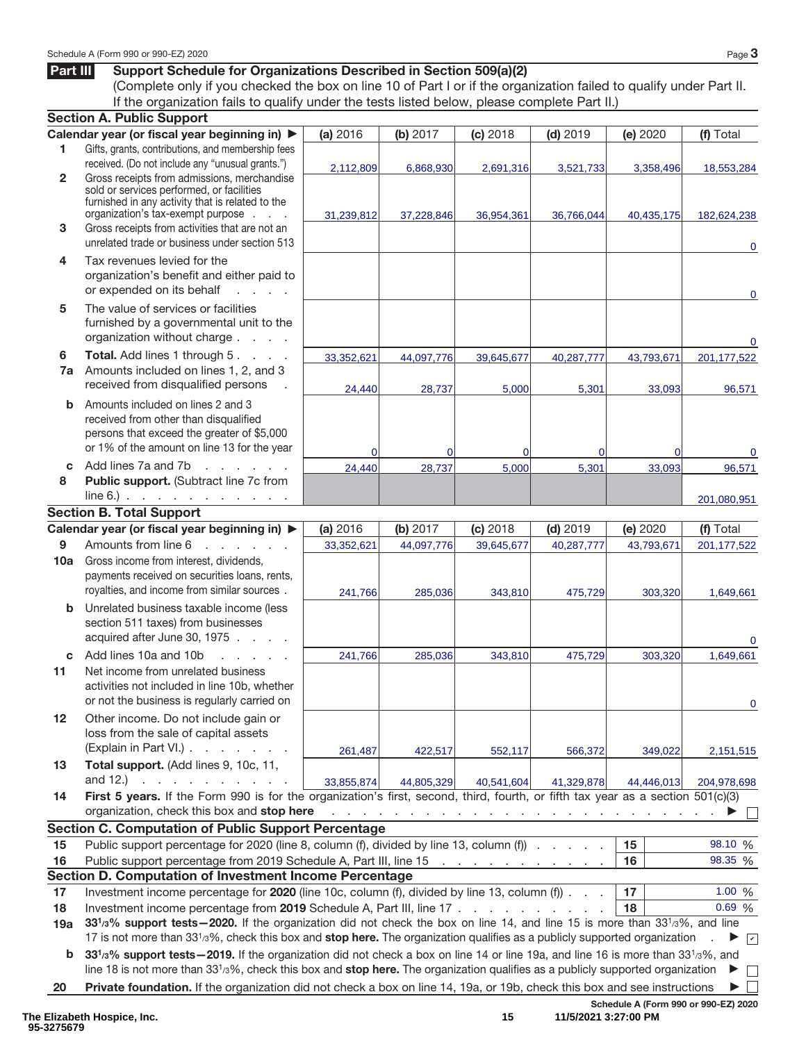### **Part III** Support Schedule for Organizations Described in Section 509(a)(2)

(Complete only if you checked the box on line 10 of Part I or if the organization failed to qualify under Part II. If the organization fails to qualify under the tests listed below, please complete Part II.)

|                | <b>Section A. Public Support</b>                                                                                                                                                                                                                                      |            |            |                                                                                                                                                                                                                                |            |                                      |               |
|----------------|-----------------------------------------------------------------------------------------------------------------------------------------------------------------------------------------------------------------------------------------------------------------------|------------|------------|--------------------------------------------------------------------------------------------------------------------------------------------------------------------------------------------------------------------------------|------------|--------------------------------------|---------------|
|                | Calendar year (or fiscal year beginning in) ▶                                                                                                                                                                                                                         | (a) 2016   | (b) 2017   | (c) 2018                                                                                                                                                                                                                       | $(d)$ 2019 | (e) 2020                             | (f) Total     |
| 1              | Gifts, grants, contributions, and membership fees                                                                                                                                                                                                                     |            |            |                                                                                                                                                                                                                                |            |                                      |               |
|                | received. (Do not include any "unusual grants.")                                                                                                                                                                                                                      | 2,112,809  | 6,868,930  | 2,691,316                                                                                                                                                                                                                      | 3,521,733  | 3,358,496                            | 18,553,284    |
| $\overline{2}$ | Gross receipts from admissions, merchandise<br>sold or services performed, or facilities                                                                                                                                                                              |            |            |                                                                                                                                                                                                                                |            |                                      |               |
|                | furnished in any activity that is related to the                                                                                                                                                                                                                      |            |            |                                                                                                                                                                                                                                |            |                                      |               |
|                | organization's tax-exempt purpose                                                                                                                                                                                                                                     | 31,239,812 | 37,228,846 | 36,954,361                                                                                                                                                                                                                     | 36,766,044 | 40,435,175                           | 182,624,238   |
| 3              | Gross receipts from activities that are not an                                                                                                                                                                                                                        |            |            |                                                                                                                                                                                                                                |            |                                      |               |
|                | unrelated trade or business under section 513                                                                                                                                                                                                                         |            |            |                                                                                                                                                                                                                                |            |                                      | $\mathbf{0}$  |
| 4              | Tax revenues levied for the                                                                                                                                                                                                                                           |            |            |                                                                                                                                                                                                                                |            |                                      |               |
|                | organization's benefit and either paid to                                                                                                                                                                                                                             |            |            |                                                                                                                                                                                                                                |            |                                      |               |
|                | or expended on its behalf<br>and a state                                                                                                                                                                                                                              |            |            |                                                                                                                                                                                                                                |            |                                      | 0             |
| 5              | The value of services or facilities                                                                                                                                                                                                                                   |            |            |                                                                                                                                                                                                                                |            |                                      |               |
|                | furnished by a governmental unit to the                                                                                                                                                                                                                               |            |            |                                                                                                                                                                                                                                |            |                                      |               |
|                | organization without charge                                                                                                                                                                                                                                           |            |            |                                                                                                                                                                                                                                |            |                                      | 0             |
| 6              | Total. Add lines 1 through 5.                                                                                                                                                                                                                                         | 33,352,621 | 44,097,776 | 39,645,677                                                                                                                                                                                                                     | 40,287,777 | 43,793,671                           | 201, 177, 522 |
| 7a             | Amounts included on lines 1, 2, and 3<br>received from disqualified persons                                                                                                                                                                                           |            |            |                                                                                                                                                                                                                                |            |                                      |               |
|                |                                                                                                                                                                                                                                                                       | 24,440     | 28.737     | 5,000                                                                                                                                                                                                                          | 5,301      | 33,093                               | 96,571        |
| b              | Amounts included on lines 2 and 3                                                                                                                                                                                                                                     |            |            |                                                                                                                                                                                                                                |            |                                      |               |
|                | received from other than disqualified<br>persons that exceed the greater of \$5,000                                                                                                                                                                                   |            |            |                                                                                                                                                                                                                                |            |                                      |               |
|                | or 1% of the amount on line 13 for the year                                                                                                                                                                                                                           |            |            |                                                                                                                                                                                                                                |            |                                      |               |
|                | Add lines 7a and 7b<br>and the company of the company of                                                                                                                                                                                                              | $\Omega$   | $\Omega$   | $\Omega$                                                                                                                                                                                                                       | $\Omega$   | $\Omega$                             | 0             |
| C.<br>8        | Public support. (Subtract line 7c from                                                                                                                                                                                                                                | 24,440     | 28,737     | 5,000                                                                                                                                                                                                                          | 5,301      | 33,093                               | 96,571        |
|                | $line 6.)$                                                                                                                                                                                                                                                            |            |            |                                                                                                                                                                                                                                |            |                                      |               |
|                | <b>Section B. Total Support</b>                                                                                                                                                                                                                                       |            |            |                                                                                                                                                                                                                                |            |                                      | 201,080,951   |
|                | Calendar year (or fiscal year beginning in) ▶                                                                                                                                                                                                                         | (a) 2016   | (b) 2017   | (c) 2018                                                                                                                                                                                                                       | $(d)$ 2019 | (e) 2020                             | (f) Total     |
| 9              | Amounts from line 6<br>and a straight                                                                                                                                                                                                                                 | 33,352,621 | 44,097,776 | 39,645,677                                                                                                                                                                                                                     | 40,287,777 | 43,793,671                           | 201, 177, 522 |
| 10a            | Gross income from interest, dividends,                                                                                                                                                                                                                                |            |            |                                                                                                                                                                                                                                |            |                                      |               |
|                | payments received on securities loans, rents,                                                                                                                                                                                                                         |            |            |                                                                                                                                                                                                                                |            |                                      |               |
|                | royalties, and income from similar sources.                                                                                                                                                                                                                           | 241,766    | 285,036    | 343,810                                                                                                                                                                                                                        | 475,729    | 303,320                              | 1,649,661     |
| b              | Unrelated business taxable income (less                                                                                                                                                                                                                               |            |            |                                                                                                                                                                                                                                |            |                                      |               |
|                | section 511 taxes) from businesses                                                                                                                                                                                                                                    |            |            |                                                                                                                                                                                                                                |            |                                      |               |
|                | acquired after June 30, 1975                                                                                                                                                                                                                                          |            |            |                                                                                                                                                                                                                                |            |                                      | $\Omega$      |
| C              | Add lines 10a and 10b<br>and a state of                                                                                                                                                                                                                               | 241,766    | 285,036    | 343,810                                                                                                                                                                                                                        | 475,729    | 303,320                              | 1,649,661     |
| 11             | Net income from unrelated business                                                                                                                                                                                                                                    |            |            |                                                                                                                                                                                                                                |            |                                      |               |
|                | activities not included in line 10b, whether                                                                                                                                                                                                                          |            |            |                                                                                                                                                                                                                                |            |                                      |               |
|                | or not the business is regularly carried on                                                                                                                                                                                                                           |            |            |                                                                                                                                                                                                                                |            |                                      | 0             |
| 12             | Other income. Do not include gain or                                                                                                                                                                                                                                  |            |            |                                                                                                                                                                                                                                |            |                                      |               |
|                | loss from the sale of capital assets                                                                                                                                                                                                                                  |            |            |                                                                                                                                                                                                                                |            |                                      |               |
|                | (Explain in Part VI.)                                                                                                                                                                                                                                                 | 261,487    | 422,517    | 552,117                                                                                                                                                                                                                        | 566,372    | 349,022                              | 2,151,515     |
| 13             | Total support. (Add lines 9, 10c, 11,                                                                                                                                                                                                                                 |            |            |                                                                                                                                                                                                                                |            |                                      |               |
|                | and $12.$ )<br>the contract of the contract of                                                                                                                                                                                                                        | 33,855,874 | 44,805,329 | 40,541,604                                                                                                                                                                                                                     | 41,329,878 | 44,446,013                           | 204,978,698   |
| 14             | First 5 years. If the Form 990 is for the organization's first, second, third, fourth, or fifth tax year as a section 501(c)(3)                                                                                                                                       |            |            |                                                                                                                                                                                                                                |            |                                      |               |
|                | organization, check this box and stop here                                                                                                                                                                                                                            |            |            | the contract of the contract of the contract of the contract of the contract of the contract of the contract of the contract of the contract of the contract of the contract of the contract of the contract of the contract o |            |                                      |               |
|                | <b>Section C. Computation of Public Support Percentage</b>                                                                                                                                                                                                            |            |            |                                                                                                                                                                                                                                |            |                                      |               |
| 15             | Public support percentage for 2020 (line 8, column (f), divided by line 13, column (f)                                                                                                                                                                                |            |            |                                                                                                                                                                                                                                |            | 15                                   | 98.10 %       |
| 16             | Public support percentage from 2019 Schedule A, Part III, line 15                                                                                                                                                                                                     |            |            | and a series of the company of the                                                                                                                                                                                             |            | 16                                   | 98.35 %       |
|                | Section D. Computation of Investment Income Percentage                                                                                                                                                                                                                |            |            |                                                                                                                                                                                                                                |            |                                      |               |
| 17             | Investment income percentage for 2020 (line 10c, column (f), divided by line 13, column (f))                                                                                                                                                                          |            |            |                                                                                                                                                                                                                                |            | 17                                   | 1.00 %        |
| 18             | Investment income percentage from 2019 Schedule A, Part III, line 17                                                                                                                                                                                                  |            |            |                                                                                                                                                                                                                                |            | 18                                   | 0.69 %        |
| 19a            | 331/3% support tests - 2020. If the organization did not check the box on line 14, and line 15 is more than 331/3%, and line                                                                                                                                          |            |            |                                                                                                                                                                                                                                |            |                                      |               |
|                | 17 is not more than 33 <sup>1</sup> /3%, check this box and stop here. The organization qualifies as a publicly supported organization                                                                                                                                |            |            |                                                                                                                                                                                                                                |            |                                      | ▶ ⊡           |
| b              | 331/3% support tests - 2019. If the organization did not check a box on line 14 or line 19a, and line 16 is more than 331/3%, and<br>line 18 is not more than $3313%$ , check this box and stop here. The organization qualifies as a publicly supported organization |            |            |                                                                                                                                                                                                                                |            |                                      | ▶             |
|                |                                                                                                                                                                                                                                                                       |            |            |                                                                                                                                                                                                                                |            |                                      | $\Box$        |
| 20             | Private foundation. If the organization did not check a box on line 14, 19a, or 19b, check this box and see instructions                                                                                                                                              |            |            |                                                                                                                                                                                                                                |            |                                      | $\perp$<br>▶  |
|                |                                                                                                                                                                                                                                                                       |            |            |                                                                                                                                                                                                                                |            | Schedule A (Form 990 or 990-EZ) 2020 |               |

**15 11/5/2021 3:27:00 PM**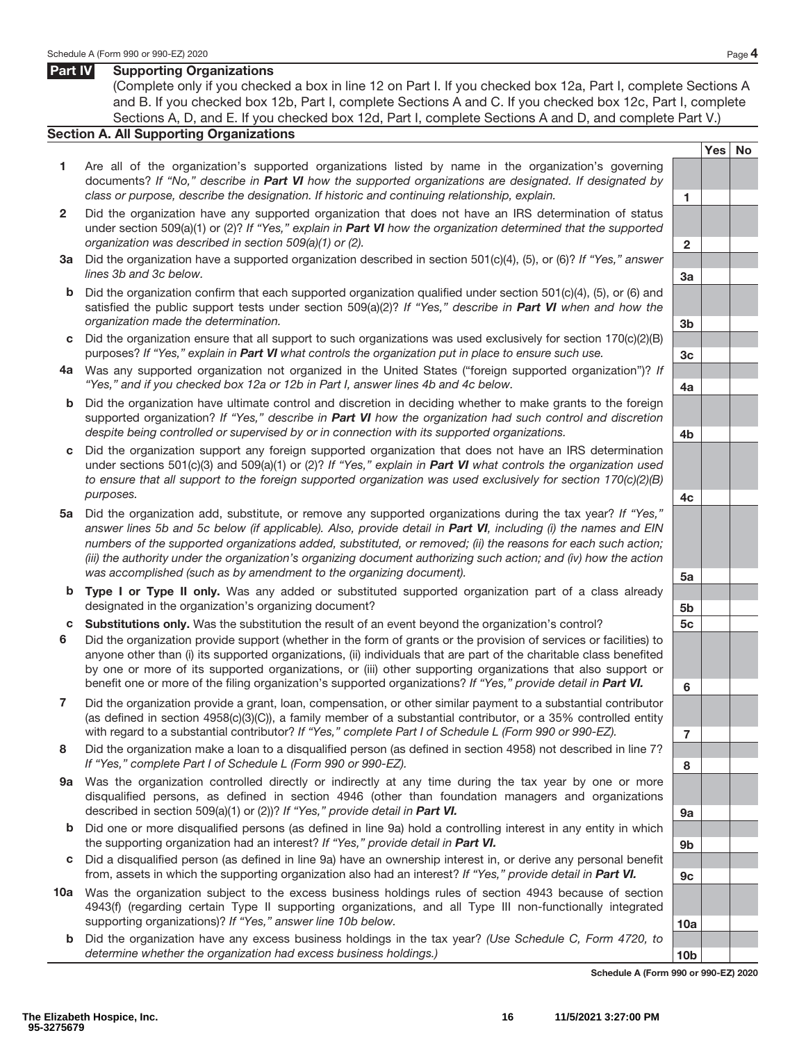#### **Part IV Supporting Organizations**

(Complete only if you checked a box in line 12 on Part I. If you checked box 12a, Part I, complete Sections A and B. If you checked box 12b, Part I, complete Sections A and C. If you checked box 12c, Part I, complete Sections A, D, and E. If you checked box 12d, Part I, complete Sections A and D, and complete Part V.)

#### **Section A. All Supporting Organizations**

- **1** Are all of the organization's supported organizations listed by name in the organization's governing documents? If "No," describe in *Part VI* how the supported organizations are designated. If designated by class or purpose, describe the designation. If historic and continuing relationship, explain. **1**
- **2** Did the organization have any supported organization that does not have an IRS determination of status under section 509(a)(1) or (2)? If "Yes," explain in *Part VI* how the organization determined that the supported organization was described in section 509(a)(1) or (2). **2**
- **3a** Did the organization have a supported organization described in section 501(c)(4), (5), or (6)? If "Yes," answer lines 3b and 3c below. **3a**
- **b** Did the organization confirm that each supported organization qualified under section 501(c)(4), (5), or (6) and satisfied the public support tests under section 509(a)(2)? If "Yes," describe in **Part VI** when and how the organization made the determination. **3b**
- **c** Did the organization ensure that all support to such organizations was used exclusively for section 170(c)(2)(B) purposes? If "Yes," explain in *Part VI* what controls the organization put in place to ensure such use. **3c**
- **4a** Was any supported organization not organized in the United States ("foreign supported organization")? If "Yes," and if you checked box 12a or 12b in Part I, answer lines 4b and 4c below. **4a**
- **b** Did the organization have ultimate control and discretion in deciding whether to make grants to the foreign supported organization? If "Yes," describe in *Part VI* how the organization had such control and discretion despite being controlled or supervised by or in connection with its supported organizations. **4b**
- **c** Did the organization support any foreign supported organization that does not have an IRS determination under sections 501(c)(3) and 509(a)(1) or (2)? If "Yes," explain in *Part VI* what controls the organization used to ensure that all support to the foreign supported organization was used exclusively for section 170(c)(2)(B) purposes. **4c**
- **5a** Did the organization add, substitute, or remove any supported organizations during the tax year? If "Yes," answer lines 5b and 5c below (if applicable). Also, provide detail in *Part VI*, including (i) the names and EIN numbers of the supported organizations added, substituted, or removed; (ii) the reasons for each such action; (iii) the authority under the organization's organizing document authorizing such action; and (iv) how the action was accomplished (such as by amendment to the organizing document). **5a**
- **b Type I or Type II only.** Was any added or substituted supported organization part of a class already designated in the organization's organizing document? **5b**
- **c Substitutions only.** Was the substitution the result of an event beyond the organization's control? **5c**
- **6** Did the organization provide support (whether in the form of grants or the provision of services or facilities) to anyone other than (i) its supported organizations, (ii) individuals that are part of the charitable class benefited by one or more of its supported organizations, or (iii) other supporting organizations that also support or benefit one or more of the filing organization's supported organizations? If "Yes," provide detail in *Part VI.* **6**
- **7** Did the organization provide a grant, loan, compensation, or other similar payment to a substantial contributor (as defined in section 4958(c)(3)(C)), a family member of a substantial contributor, or a 35% controlled entity with regard to a substantial contributor? If "Yes," complete Part I of Schedule L (Form 990 or 990-EZ). **7**
- **8** Did the organization make a loan to a disqualified person (as defined in section 4958) not described in line 7? If "Yes," complete Part I of Schedule L (Form 990 or 990-EZ). **8**
- **9a** Was the organization controlled directly or indirectly at any time during the tax year by one or more disqualified persons, as defined in section 4946 (other than foundation managers and organizations described in section 509(a)(1) or (2))? If "Yes," provide detail in **Part VI. 1999**
- **b** Did one or more disqualified persons (as defined in line 9a) hold a controlling interest in any entity in which the supporting organization had an interest? If "Yes," provide detail in *Part VI.* **9b**
- **c** Did a disqualified person (as defined in line 9a) have an ownership interest in, or derive any personal benefit from, assets in which the supporting organization also had an interest? If "Yes," provide detail in *Part VI.* **9c**
- **10a** Was the organization subject to the excess business holdings rules of section 4943 because of section 4943(f) (regarding certain Type II supporting organizations, and all Type III non-functionally integrated supporting organizations)? If "Yes," answer line 10b below. **10a**
	- **b** Did the organization have any excess business holdings in the tax year? (Use Schedule C, Form 4720, to determine whether the organization had excess business holdings.) **10b**

**Schedule A (Form 990 or 990-EZ) 2020**

**Yes No**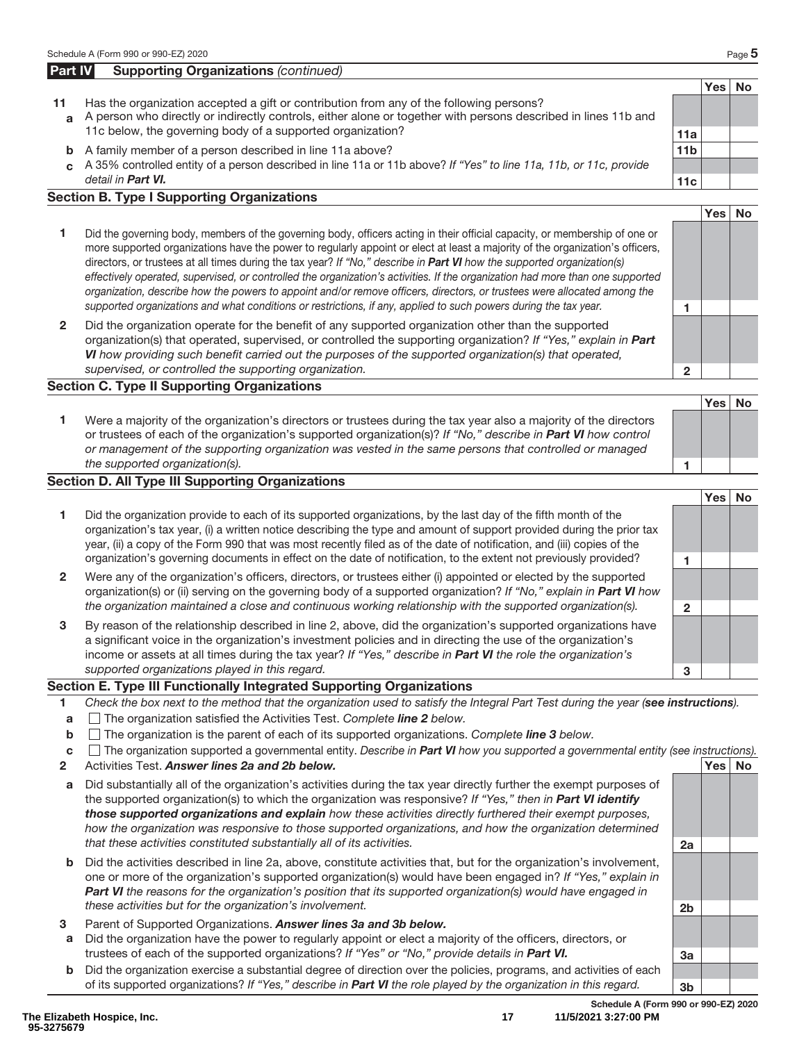#### **Part IV** Supporting Organizations (continued)

- **11** Has the organization accepted a gift or contribution from any of the following persons? **a** A person who directly or indirectly controls, either alone or together with persons described in lines 11b and
	- 11c below, the governing body of a supported organization? **11a**
	- **b** A family member of a person described in line 11a above? **11b 11b**
	- **c** A 35% controlled entity of a person described in line 11a or 11b above? If "Yes" to line 11a, 11b, or 11c, provide detail in *Part VI.* **11c**

#### **Section B. Type I Supporting Organizations**

- **1** Did the governing body, members of the governing body, officers acting in their official capacity, or membership of one or more supported organizations have the power to regularly appoint or elect at least a majority of the organization's officers, directors, or trustees at all times during the tax year? If "No," describe in *Part VI* how the supported organization(s) effectively operated, supervised, or controlled the organization's activities. If the organization had more than one supported organization, describe how the powers to appoint and/or remove officers, directors, or trustees were allocated among the supported organizations and what conditions or restrictions, if any, applied to such powers during the tax year. **1**
- **2** Did the organization operate for the benefit of any supported organization other than the supported organization(s) that operated, supervised, or controlled the supporting organization? If "Yes," explain in *Part VI* how providing such benefit carried out the purposes of the supported organization(s) that operated, supervised, or controlled the supporting organization. **2**

#### **Section C. Type II Supporting Organizations**

**1** Were a majority of the organization's directors or trustees during the tax year also a majority of the directors or trustees of each of the organization's supported organization(s)? If "No," describe in *Part VI* how control or management of the supporting organization was vested in the same persons that controlled or managed the supported organization(s). **1**

#### **Section D. All Type III Supporting Organizations**

- **Yes No 1** Did the organization provide to each of its supported organizations, by the last day of the fifth month of the organization's tax year, (i) a written notice describing the type and amount of support provided during the prior tax year, (ii) a copy of the Form 990 that was most recently filed as of the date of notification, and (iii) copies of the organization's governing documents in effect on the date of notification, to the extent not previously provided? **1 2** Were any of the organization's officers, directors, or trustees either (i) appointed or elected by the supported organization(s) or (ii) serving on the governing body of a supported organization? If "No," explain in *Part VI* how the organization maintained a close and continuous working relationship with the supported organization(s). **2 3** By reason of the relationship described in line 2, above, did the organization's supported organizations have
- a significant voice in the organization's investment policies and in directing the use of the organization's income or assets at all times during the tax year? If "Yes," describe in *Part VI* the role the organization's supported organizations played in this regard. **3**

#### **Section E. Type III Functionally Integrated Supporting Organizations**

- **1** Check the box next to the method that the organization used to satisfy the Integral Part Test during the year (*see instructions*).
- **a** The organization satisfied the Activities Test. Complete *line 2* below.
- **b** The organization is the parent of each of its supported organizations. Complete **line 3** below.
- **c** The organization supported a governmental entity. Describe in *Part VI* how you supported a governmental entity (see instructions).
- **2** Activities Test. *Answer lines 2a and 2b below.* **Yes No**
- **a** Did substantially all of the organization's activities during the tax year directly further the exempt purposes of the supported organization(s) to which the organization was responsive? If "Yes," then in *Part VI identify those supported organizations and explain* how these activities directly furthered their exempt purposes, how the organization was responsive to those supported organizations, and how the organization determined that these activities constituted substantially all of its activities. **2a**
- **b** Did the activities described in line 2a, above, constitute activities that, but for the organization's involvement, one or more of the organization's supported organization(s) would have been engaged in? If "Yes," explain in **Part VI** the reasons for the organization's position that its supported organization(s) would have engaged in these activities but for the organization's involvement. **2b**
- **3** Parent of Supported Organizations. *Answer lines 3a and 3b below.*
- **a** Did the organization have the power to regularly appoint or elect a majority of the officers, directors, or trustees of each of the supported organizations? If "Yes" or "No," provide details in *Part VI.* **3a**
- **b** Did the organization exercise a substantial degree of direction over the policies, programs, and activities of each of its supported organizations? If "Yes," describe in *Part VI* the role played by the organization in this regard. **3b**

**Yes No**

**Yes No**

**Yes No**

**17 11/5/2021 3:27:00 PM**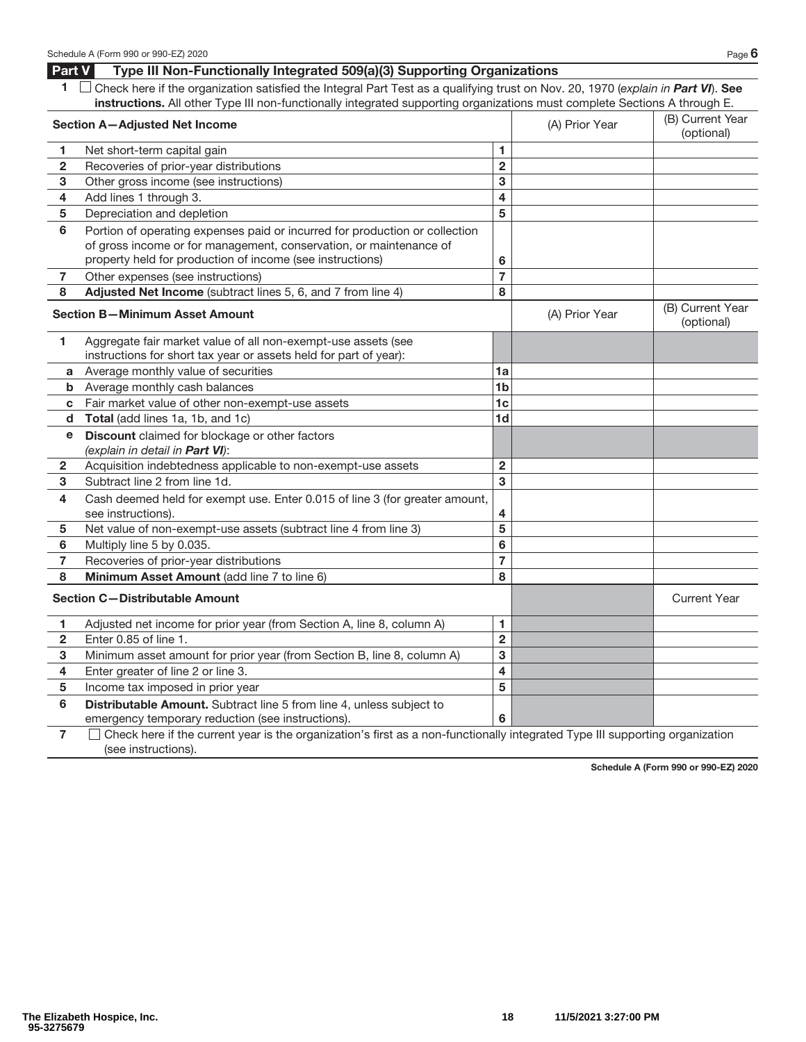#### **Part V Type III Non-Functionally Integrated 509(a)(3) Supporting Organizations**

**1** Check here if the organization satisfied the Integral Part Test as a qualifying trust on Nov. 20, 1970 (explain in *Part VI*). **See instructions.** All other Type III non-functionally integrated supporting organizations must complete Sections A through E.

|                         | <b>Section A-Adjusted Net Income</b>                                                                                            |                         | (A) Prior Year | (B) Current Year<br>(optional) |
|-------------------------|---------------------------------------------------------------------------------------------------------------------------------|-------------------------|----------------|--------------------------------|
| 1                       | Net short-term capital gain                                                                                                     | 1                       |                |                                |
| $\mathbf{2}$            | Recoveries of prior-year distributions                                                                                          | $\overline{2}$          |                |                                |
| 3                       | Other gross income (see instructions)                                                                                           | 3                       |                |                                |
| 4                       | Add lines 1 through 3.                                                                                                          | $\overline{\mathbf{4}}$ |                |                                |
| 5                       | Depreciation and depletion                                                                                                      | 5                       |                |                                |
| 6                       | Portion of operating expenses paid or incurred for production or collection                                                     |                         |                |                                |
|                         | of gross income or for management, conservation, or maintenance of<br>property held for production of income (see instructions) | 6                       |                |                                |
| $\overline{7}$          | Other expenses (see instructions)                                                                                               | $\overline{7}$          |                |                                |
| 8                       | Adjusted Net Income (subtract lines 5, 6, and 7 from line 4)                                                                    | 8                       |                |                                |
|                         | <b>Section B-Minimum Asset Amount</b>                                                                                           |                         | (A) Prior Year | (B) Current Year<br>(optional) |
| 1.                      | Aggregate fair market value of all non-exempt-use assets (see                                                                   |                         |                |                                |
|                         | instructions for short tax year or assets held for part of year):                                                               |                         |                |                                |
| a                       | Average monthly value of securities                                                                                             | 1a                      |                |                                |
| b                       | Average monthly cash balances                                                                                                   | 1 <sub>b</sub>          |                |                                |
| C                       | Fair market value of other non-exempt-use assets                                                                                | 1 <sub>c</sub>          |                |                                |
| d                       | Total (add lines 1a, 1b, and 1c)                                                                                                | 1 <sub>d</sub>          |                |                                |
| е                       | Discount claimed for blockage or other factors<br>(explain in detail in Part VI):                                               |                         |                |                                |
| $\overline{\mathbf{2}}$ | Acquisition indebtedness applicable to non-exempt-use assets                                                                    | $\overline{2}$          |                |                                |
| 3                       | Subtract line 2 from line 1d.                                                                                                   | 3                       |                |                                |
| 4                       | Cash deemed held for exempt use. Enter 0.015 of line 3 (for greater amount,<br>see instructions).                               | 4                       |                |                                |
| 5                       | Net value of non-exempt-use assets (subtract line 4 from line 3)                                                                | 5                       |                |                                |
| 6                       | Multiply line 5 by 0.035.                                                                                                       | 6                       |                |                                |
| 7                       | Recoveries of prior-year distributions                                                                                          | $\overline{7}$          |                |                                |
| 8                       | Minimum Asset Amount (add line 7 to line 6)                                                                                     | 8                       |                |                                |
|                         | <b>Section C-Distributable Amount</b>                                                                                           |                         |                | <b>Current Year</b>            |
| 1                       | Adjusted net income for prior year (from Section A, line 8, column A)                                                           | $\mathbf{1}$            |                |                                |
| $\overline{\mathbf{c}}$ | Enter 0.85 of line 1.                                                                                                           | $\overline{2}$          |                |                                |
| 3                       | Minimum asset amount for prior year (from Section B, line 8, column A)                                                          | 3                       |                |                                |
| 4                       | Enter greater of line 2 or line 3.                                                                                              | $\overline{\mathbf{4}}$ |                |                                |
| 5                       | Income tax imposed in prior year                                                                                                | 5                       |                |                                |
| 6                       | Distributable Amount. Subtract line 5 from line 4, unless subject to                                                            |                         |                |                                |
|                         | emergency temporary reduction (see instructions).                                                                               | 6                       |                |                                |
|                         |                                                                                                                                 |                         |                |                                |

**7** ◯ Check here if the current year is the organization's first as a non-functionally integrated Type III supporting organization (see instructions).

**Schedule A (Form 990 or 990-EZ) 2020**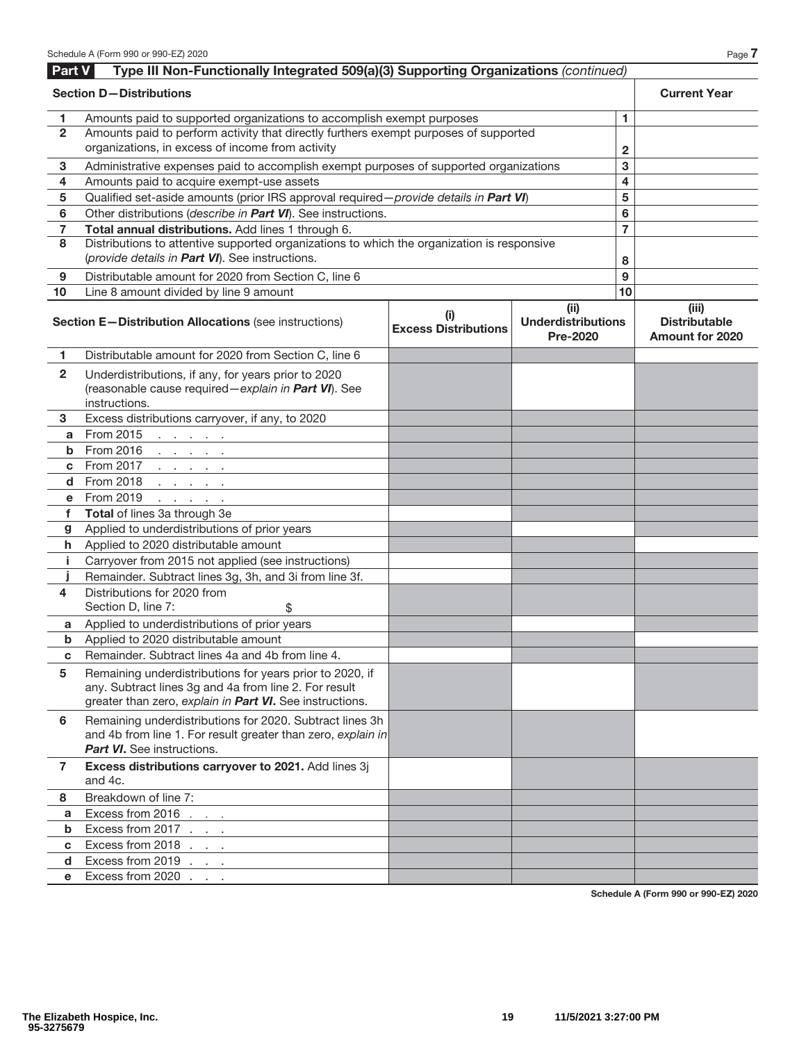| Part V                  | Type III Non-Functionally Integrated 509(a)(3) Supporting Organizations (continued)                                                                                           |                                                      |   |                                                         |                     |
|-------------------------|-------------------------------------------------------------------------------------------------------------------------------------------------------------------------------|------------------------------------------------------|---|---------------------------------------------------------|---------------------|
|                         | <b>Section D-Distributions</b>                                                                                                                                                |                                                      |   |                                                         | <b>Current Year</b> |
| 1.                      | Amounts paid to supported organizations to accomplish exempt purposes                                                                                                         |                                                      |   | 1.                                                      |                     |
| $\overline{2}$          | Amounts paid to perform activity that directly furthers exempt purposes of supported<br>organizations, in excess of income from activity                                      |                                                      |   | $\overline{2}$                                          |                     |
| 3                       | Administrative expenses paid to accomplish exempt purposes of supported organizations                                                                                         |                                                      |   | 3                                                       |                     |
| 4                       | Amounts paid to acquire exempt-use assets                                                                                                                                     |                                                      |   | 4                                                       |                     |
| 5                       | Qualified set-aside amounts (prior IRS approval required - provide details in Part VI)                                                                                        |                                                      |   | 5                                                       |                     |
| 6                       | Other distributions (describe in Part VI). See instructions.                                                                                                                  |                                                      |   | 6                                                       |                     |
| 7                       | Total annual distributions. Add lines 1 through 6.                                                                                                                            |                                                      |   | $\overline{7}$                                          |                     |
| 8                       | Distributions to attentive supported organizations to which the organization is responsive<br>(provide details in Part VI). See instructions.                                 |                                                      | 8 |                                                         |                     |
| 9                       | Distributable amount for 2020 from Section C, line 6                                                                                                                          |                                                      |   | 9                                                       |                     |
| 10                      | Line 8 amount divided by line 9 amount                                                                                                                                        |                                                      |   | 10                                                      |                     |
|                         | Section E-Distribution Allocations (see instructions)                                                                                                                         | (ii)<br><b>Underdistributions</b><br><b>Pre-2020</b> |   | (iii)<br><b>Distributable</b><br><b>Amount for 2020</b> |                     |
| 1.                      | Distributable amount for 2020 from Section C, line 6                                                                                                                          |                                                      |   |                                                         |                     |
| $\overline{\mathbf{2}}$ | Underdistributions, if any, for years prior to 2020<br>(reasonable cause required - explain in Part VI). See<br>instructions.                                                 |                                                      |   |                                                         |                     |
| 3                       | Excess distributions carryover, if any, to 2020                                                                                                                               |                                                      |   |                                                         |                     |
| a                       | From 2015<br>and a state of the                                                                                                                                               |                                                      |   |                                                         |                     |
| b                       | From 2016 $\cdots$ $\cdots$                                                                                                                                                   |                                                      |   |                                                         |                     |
| C                       | From 2017<br>and a state of the                                                                                                                                               |                                                      |   |                                                         |                     |
|                         | d From 2018                                                                                                                                                                   |                                                      |   |                                                         |                     |
| e.                      | From 2019<br>and a state of                                                                                                                                                   |                                                      |   |                                                         |                     |
| f                       | Total of lines 3a through 3e                                                                                                                                                  |                                                      |   |                                                         |                     |
| g                       | Applied to underdistributions of prior years                                                                                                                                  |                                                      |   |                                                         |                     |
| h.                      | Applied to 2020 distributable amount                                                                                                                                          |                                                      |   |                                                         |                     |
| j.                      | Carryover from 2015 not applied (see instructions)                                                                                                                            |                                                      |   |                                                         |                     |
| Ĵ                       | Remainder. Subtract lines 3g, 3h, and 3i from line 3f.                                                                                                                        |                                                      |   |                                                         |                     |
| 4                       | Distributions for 2020 from<br>Section D, line 7:<br>\$                                                                                                                       |                                                      |   |                                                         |                     |
| a                       | Applied to underdistributions of prior years                                                                                                                                  |                                                      |   |                                                         |                     |
| b                       | Applied to 2020 distributable amount                                                                                                                                          |                                                      |   |                                                         |                     |
| C                       | Remainder. Subtract lines 4a and 4b from line 4.                                                                                                                              |                                                      |   |                                                         |                     |
| 5                       | Remaining underdistributions for years prior to 2020, if<br>any. Subtract lines 3g and 4a from line 2. For result<br>greater than zero, explain in Part VI. See instructions. |                                                      |   |                                                         |                     |
| 6                       | Remaining underdistributions for 2020. Subtract lines 3h<br>and 4b from line 1. For result greater than zero, explain in<br><b>Part VI.</b> See instructions.                 |                                                      |   |                                                         |                     |
| $\mathbf{7}$            | Excess distributions carryover to 2021. Add lines 3j<br>and 4c.                                                                                                               |                                                      |   |                                                         |                     |
| 8                       | Breakdown of line 7:                                                                                                                                                          |                                                      |   |                                                         |                     |
| a                       | Excess from 2016 $\ldots$                                                                                                                                                     |                                                      |   |                                                         |                     |
| b                       | Excess from 2017 $\ldots$                                                                                                                                                     |                                                      |   |                                                         |                     |
| C                       | Excess from 2018 $\ldots$ $\ldots$                                                                                                                                            |                                                      |   |                                                         |                     |
| d                       | Excess from 2019 $\ldots$ $\qquad \qquad$                                                                                                                                     |                                                      |   |                                                         |                     |
| е                       | Excess from 2020                                                                                                                                                              |                                                      |   |                                                         |                     |

**Schedule A (Form 990 or 990-EZ) 2020**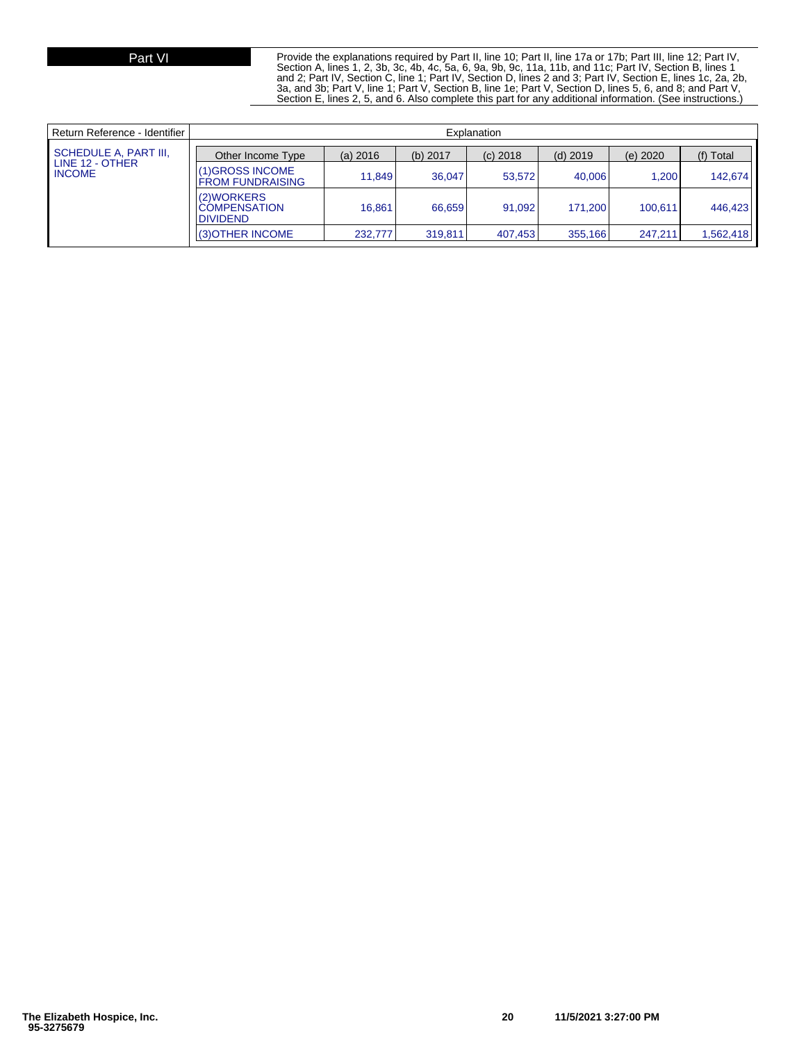Part VI Provide the explanations required by Part II, line 10; Part II, line 17a or 17b; Part III, line 12; Part IV, Section B, lines 1<br>Section A, lines 1, 2, 3b, 3c, 4b, 4c, 5a, 6, 9a, 9b, 9c, 11a, 11b, and 11c; Part IV, and 2; Part IV, Section C, line 1; Part IV, Section D, lines 2 and 3; Part IV, Section E, lines 1c, 2a, 2b, 3a, and 3b; Part V, line 1; Part V, Section B, line 1e; Part V, Section D, lines 5, 6, and 8; and Part V, Section E, lines 2, 5, and 6. Also complete this part for any additional information. (See instructions.)

| Return Reference - Identifier    | Explanation                                           |            |            |            |            |          |           |  |  |  |
|----------------------------------|-------------------------------------------------------|------------|------------|------------|------------|----------|-----------|--|--|--|
| SCHEDULE A, PART III,            | Other Income Type                                     | $(a)$ 2016 | $(b)$ 2017 | $(c)$ 2018 | $(d)$ 2019 | (e) 2020 | (f) Total |  |  |  |
| LINE 12 - OTHER<br><b>INCOME</b> | <b>1)GROSS INCOME</b><br>FROM FUNDRAISING             | 11,849     | 36.047     | 53,572     | 40,006     | 1,200    | 142,674   |  |  |  |
|                                  | (2) WORKERS<br><b>COMPENSATION</b><br><b>DIVIDEND</b> | 16.861     | 66.659     | 91.092     | 171.200    | 100.611  | 446,423   |  |  |  |
|                                  | (3) OTHER INCOME                                      | 232,777    | 319,811    | 407,453    | 355,166    | 247.211  | ,562,418  |  |  |  |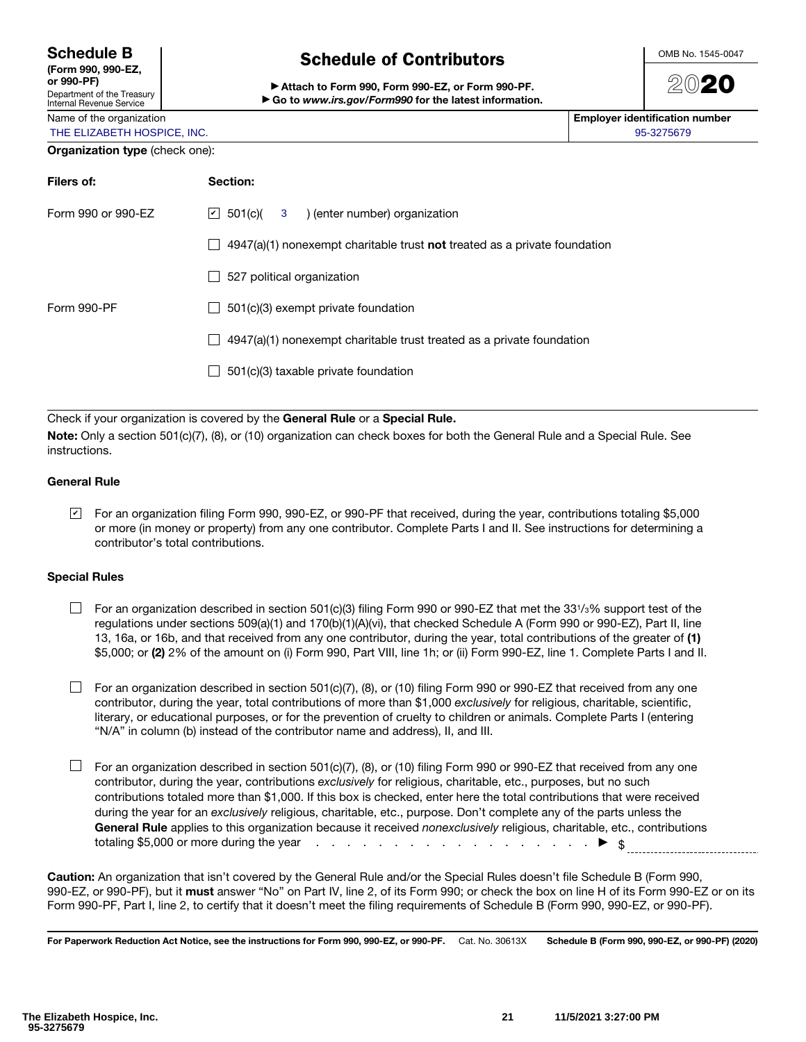| <b>Schedule B</b> |  |
|-------------------|--|
|-------------------|--|

| (Form 990, 990-EZ,        |  |
|---------------------------|--|
| or 990-PF)                |  |
| Donartmont of the Troopun |  |

## Department of the Treasury Internal Revenue Service

Schedule of Contributors

▶ Attach to Form 990, Form 990-EZ, or Form 990-PF. ▶ Go to *www.irs.gov/Form990* for the latest information. OMB No. 1545-0047

2020

| Name of the organization    | <b>Employer identification number</b> |
|-----------------------------|---------------------------------------|
| THE ELIZABETH HOSPICE. INC. | 95-3275679                            |

Organization type (check one): THE ELIZABETH HOSPICE, INC.

| Filers of:         | Section:                                                                           |
|--------------------|------------------------------------------------------------------------------------|
| Form 990 or 990-EZ | $\boxed{\vee}$ 501(c)( 3 ) (enter number) organization                             |
|                    | $4947(a)(1)$ nonexempt charitable trust <b>not</b> treated as a private foundation |
|                    | 527 political organization                                                         |
| Form 990-PF        | 501(c)(3) exempt private foundation                                                |
|                    | 4947(a)(1) nonexempt charitable trust treated as a private foundation              |
|                    | 501(c)(3) taxable private foundation                                               |
|                    |                                                                                    |

Check if your organization is covered by the General Rule or a Special Rule.

Note: Only a section 501(c)(7), (8), or (10) organization can check boxes for both the General Rule and a Special Rule. See instructions.

#### General Rule

For an organization filing Form 990, 990-EZ, or 990-PF that received, during the year, contributions totaling \$5,000 ✔ or more (in money or property) from any one contributor. Complete Parts I and II. See instructions for determining a contributor's total contributions.

#### Special Rules

 $\Box$  For an organization described in section 501(c)(3) filing Form 990 or 990-EZ that met the 331/3% support test of the regulations under sections 509(a)(1) and 170(b)(1)(A)(vi), that checked Schedule A (Form 990 or 990-EZ), Part II, line 13, 16a, or 16b, and that received from any one contributor, during the year, total contributions of the greater of (1) \$5,000; or (2) 2% of the amount on (i) Form 990, Part VIII, line 1h; or (ii) Form 990-EZ, line 1. Complete Parts I and II.

 $\Box$  For an organization described in section 501(c)(7), (8), or (10) filing Form 990 or 990-EZ that received from any one contributor, during the year, total contributions of more than \$1,000 *exclusively* for religious, charitable, scientific, literary, or educational purposes, or for the prevention of cruelty to children or animals. Complete Parts I (entering "N/A" in column (b) instead of the contributor name and address), II, and III.

 $\Box$  For an organization described in section 501(c)(7), (8), or (10) filing Form 990 or 990-EZ that received from any one contributor, during the year, contributions *exclusively* for religious, charitable, etc., purposes, but no such contributions totaled more than \$1,000. If this box is checked, enter here the total contributions that were received during the year for an *exclusively* religious, charitable, etc., purpose. Don't complete any of the parts unless the General Rule applies to this organization because it received *nonexclusively* religious, charitable, etc., contributions totaling \$5,000 or more during the year . . . . . . . . . . . . . . . . . . ▶ \$

Caution: An organization that isn't covered by the General Rule and/or the Special Rules doesn't file Schedule B (Form 990, 990-EZ, or 990-PF), but it must answer "No" on Part IV, line 2, of its Form 990; or check the box on line H of its Form 990-EZ or on its Form 990-PF, Part I, line 2, to certify that it doesn't meet the filing requirements of Schedule B (Form 990, 990-EZ, or 990-PF).

For Paperwork Reduction Act Notice, see the instructions for Form 990, 990-EZ, or 990-PF. Cat. No. 30613X Schedule B (Form 990, 990-EZ, or 990-PF) (2020)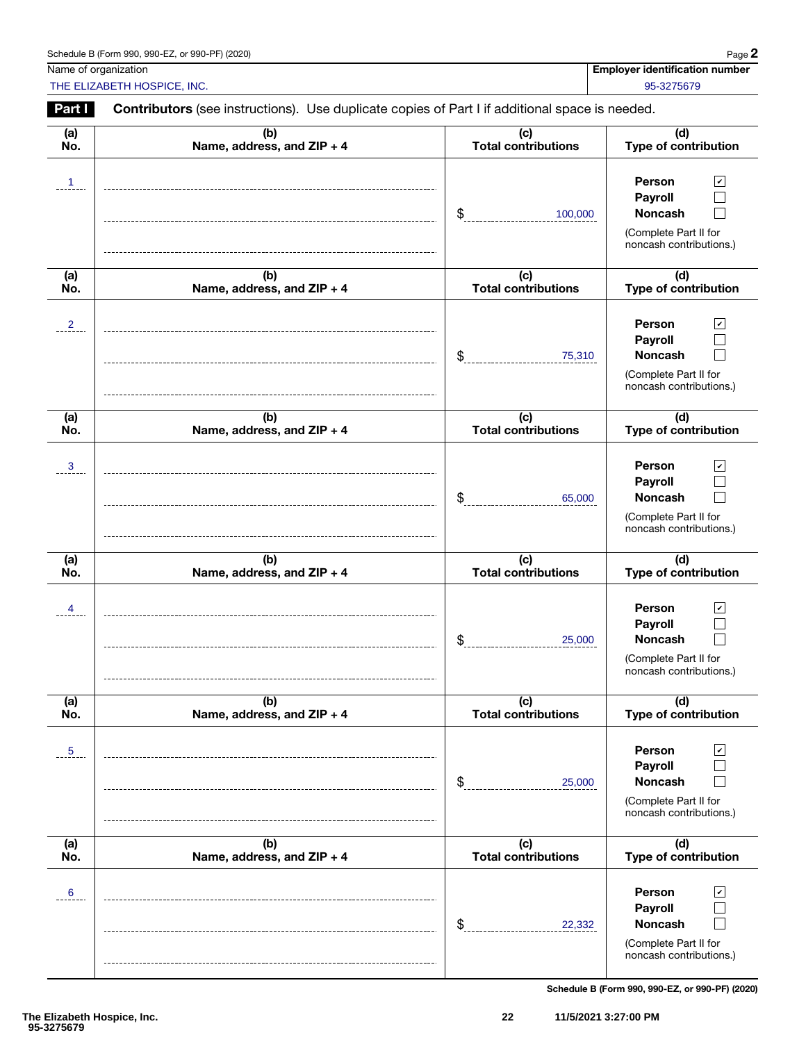| Schedule B (Form 990, 990-EZ, or 990-PF) (2020) | Page |
|-------------------------------------------------|------|
|-------------------------------------------------|------|

THE ELIZABETH HOSPICE, INC. **EXECUTE:** 95-3275679

| Part I              | <b>Contributors</b> (see instructions). Use duplicate copies of Part I if additional space is needed. |                                   |                                                                                                                        |
|---------------------|-------------------------------------------------------------------------------------------------------|-----------------------------------|------------------------------------------------------------------------------------------------------------------------|
| (a)<br>No.          | (b)<br>Name, address, and ZIP + 4                                                                     | (c)<br><b>Total contributions</b> | (d)<br>Type of contribution                                                                                            |
| $\mathbf{1}$        |                                                                                                       | \$<br>100,000                     | Person<br>$\mathbf{v}$<br>Payroll<br><b>Noncash</b>                                                                    |
|                     |                                                                                                       |                                   | (Complete Part II for<br>noncash contributions.)                                                                       |
| (a)<br>No.          | (b)<br>Name, address, and ZIP + 4                                                                     | (c)<br><b>Total contributions</b> | (d)<br>Type of contribution                                                                                            |
| $\frac{2}{\pi}$     |                                                                                                       | \$<br>75,310                      | Person<br>$\mathbf v$<br>Payroll<br><b>Noncash</b>                                                                     |
|                     |                                                                                                       |                                   | (Complete Part II for<br>noncash contributions.)                                                                       |
| (a)<br>No.          | (b)<br>Name, address, and ZIP + 4                                                                     | (c)<br>Total contributions        | (d)<br>Type of contribution                                                                                            |
| $\frac{3}{2}$       |                                                                                                       | \$<br>65,000                      | Person<br>$\overline{\mathbf{v}}$<br>Payroll<br><b>Noncash</b>                                                         |
|                     |                                                                                                       |                                   | (Complete Part II for<br>noncash contributions.)                                                                       |
| (a)<br>No.          | (b)<br>Name, address, and ZIP + 4                                                                     | (c)<br><b>Total contributions</b> | (d)<br>Type of contribution                                                                                            |
| 4                   |                                                                                                       | \$<br>25,000                      | Person<br>$\mathbf{v}$<br>Payroll<br><b>Noncash</b><br>(Complete Part II for<br>noncash contributions.)                |
| (a)<br>No.          | (b)<br>Name, address, and ZIP + 4                                                                     | (c)<br><b>Total contributions</b> | (d)<br><b>Type of contribution</b>                                                                                     |
| $5$ <sub>----</sub> |                                                                                                       | \$<br>25,000                      | Person<br>$\left  \mathbf{v} \right $<br>Payroll<br><b>Noncash</b><br>(Complete Part II for<br>noncash contributions.) |
| (a)<br>No.          | (b)<br>Name, address, and ZIP + 4                                                                     | (c)<br><b>Total contributions</b> | (d)<br><b>Type of contribution</b>                                                                                     |
| $6\overline{6}$     |                                                                                                       | \$<br>22,332                      | Person<br>V<br>Payroll<br><b>Noncash</b><br>(Complete Part II for                                                      |
|                     |                                                                                                       |                                   | noncash contributions.)                                                                                                |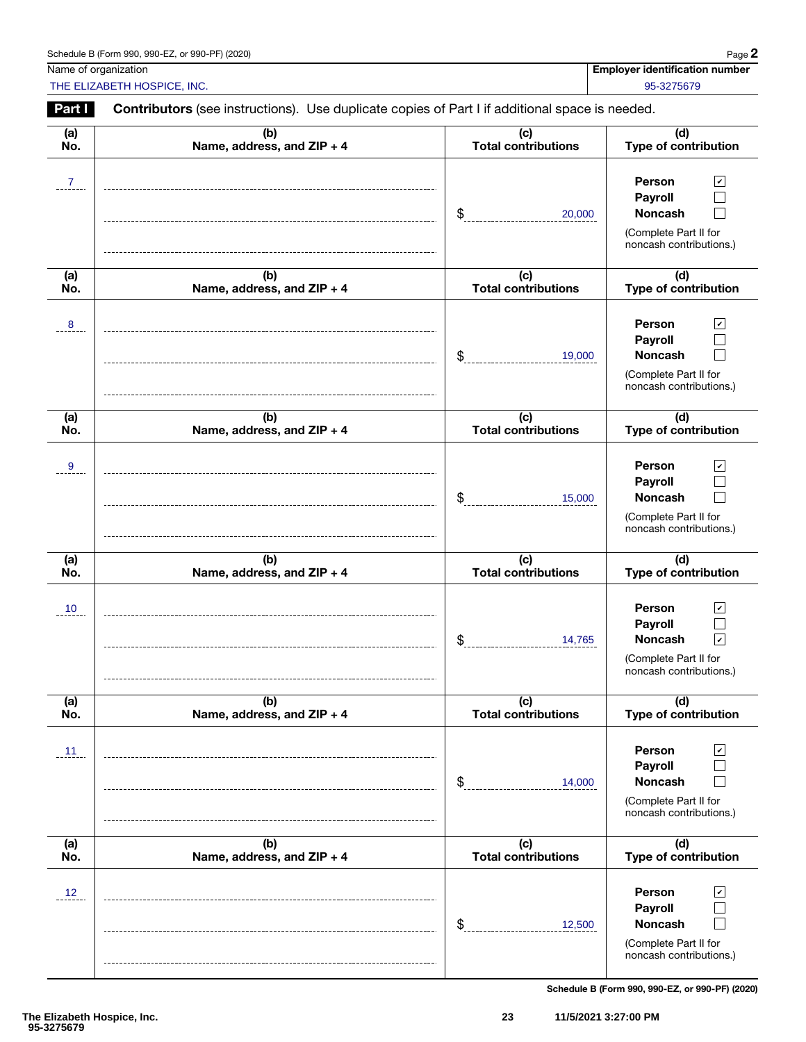| Schedule B (Form 990, 990-EZ, or 990-PF) (2020) | Page |
|-------------------------------------------------|------|
|-------------------------------------------------|------|

THE ELIZABETH HOSPICE, INC. **EXECUTE:** 95-3275679

| <b>Part I</b>  | <b>Contributors</b> (see instructions). Use duplicate copies of Part I if additional space is needed. |                                   |                                                                                                                                          |
|----------------|-------------------------------------------------------------------------------------------------------|-----------------------------------|------------------------------------------------------------------------------------------------------------------------------------------|
| (a)<br>No.     | (b)<br>Name, address, and ZIP + 4                                                                     | (c)<br>Total contributions        | (d)<br>Type of contribution                                                                                                              |
| $\frac{7}{2}$  |                                                                                                       | \$<br>20,000                      | Person<br>$\overline{\mathbf{r}}$<br>Payroll<br><b>College</b><br><b>Noncash</b><br>$\sim$<br>(Complete Part II for                      |
| (a)<br>No.     | (b)<br>Name, address, and ZIP + 4                                                                     | (c)<br>Total contributions        | noncash contributions.)<br>(d)<br>Type of contribution                                                                                   |
|                |                                                                                                       |                                   |                                                                                                                                          |
| 8              |                                                                                                       | \$<br>19,000                      | Person<br>$\overline{\mathbf{r}}$<br>Payroll<br><b>Noncash</b><br><b>College</b>                                                         |
|                |                                                                                                       |                                   | (Complete Part II for<br>noncash contributions.)                                                                                         |
| (a)<br>No.     | (b)<br>Name, address, and ZIP + 4                                                                     | (c)<br><b>Total contributions</b> | (d)<br>Type of contribution                                                                                                              |
| $\overline{9}$ |                                                                                                       | \$<br>15,000                      | $\mathbf{\nabla}$<br>Person<br>Payroll<br><b>College</b><br><b>Noncash</b><br>$\Box$<br>(Complete Part II for<br>noncash contributions.) |
| (a)<br>No.     | (b)<br>Name, address, and ZIP + 4                                                                     | (c)<br><b>Total contributions</b> | (d)<br>Type of contribution                                                                                                              |
| 10             |                                                                                                       | \$<br>14,765                      | $\overline{\mathbf{v}}$<br>Person<br>Payroll<br>L.<br>$\checkmark$<br><b>Noncash</b><br>(Complete Part II for<br>noncash contributions.) |
| (a)<br>No.     | (b)<br>Name, address, and ZIP + 4                                                                     | (c)<br><b>Total contributions</b> | (d)<br><b>Type of contribution</b>                                                                                                       |
| 11             |                                                                                                       | \$<br>14,000                      | Person<br>V<br>Payroll<br><b>Noncash</b><br>(Complete Part II for<br>noncash contributions.)                                             |
| (a)<br>No.     | (b)<br>Name, address, and ZIP + 4                                                                     | (c)<br><b>Total contributions</b> | (d)<br><b>Type of contribution</b>                                                                                                       |
| 12             |                                                                                                       | \$<br>12,500                      | Person<br>V<br>Payroll<br><b>Noncash</b><br>(Complete Part II for<br>noncash contributions.)                                             |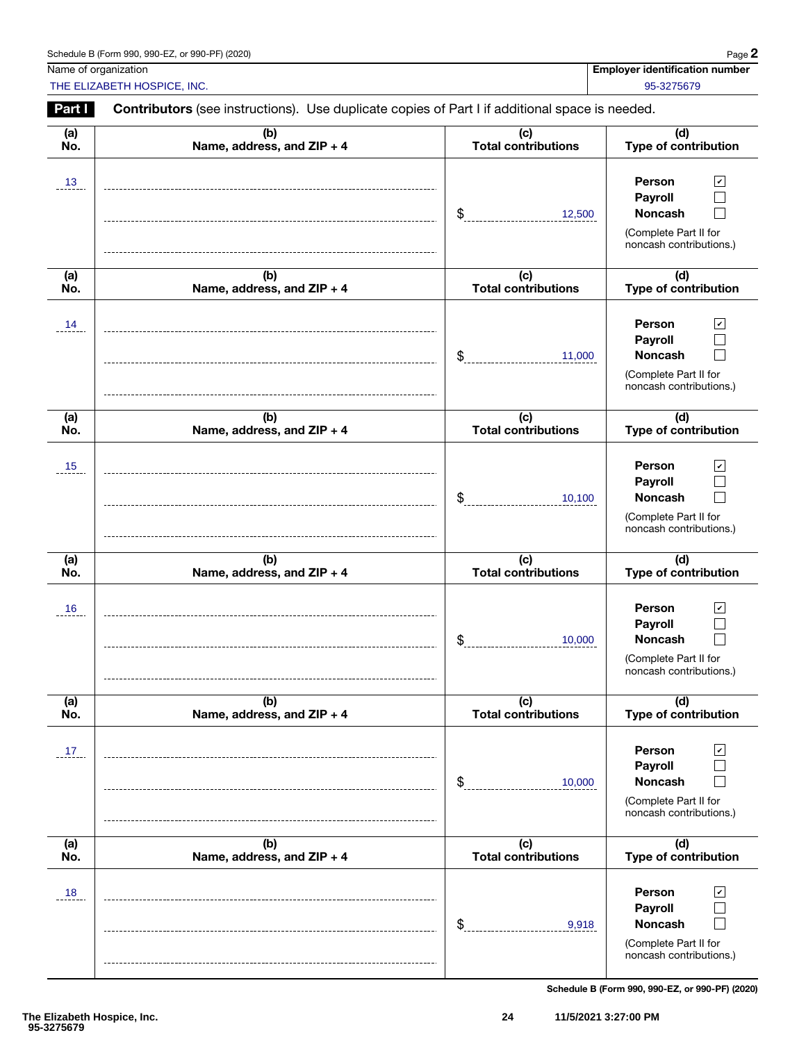| Schedule B (Form 990, 990-EZ, or 990-PF) (2020) | Page |
|-------------------------------------------------|------|
|-------------------------------------------------|------|

THE ELIZABETH HOSPICE, INC. SAND THE SAND FOR THE SECOND SECOND SECOND SECOND SECOND SECOND SECOND SECOND SECOND SECOND SECOND SECOND SECOND SECOND SECOND SECOND SECOND SECOND SECOND SECOND SECOND SECOND SECOND SECOND SECO

| Part I     | <b>Contributors</b> (see instructions). Use duplicate copies of Part I if additional space is needed. |                                   |                                                                                                                   |
|------------|-------------------------------------------------------------------------------------------------------|-----------------------------------|-------------------------------------------------------------------------------------------------------------------|
| (a)<br>No. | (b)<br>Name, address, and ZIP + 4                                                                     | (c)<br><b>Total contributions</b> | (d)<br>Type of contribution                                                                                       |
| 13         |                                                                                                       | \$<br>12,500                      | Person<br>$\mathbf{v}$<br>Payroll<br>Noncash<br>(Complete Part II for<br>noncash contributions.)                  |
| (a)<br>No. | (b)<br>Name, address, and ZIP + 4                                                                     | (c)<br><b>Total contributions</b> | (d)<br>Type of contribution                                                                                       |
| 14         |                                                                                                       | \$<br>11,000                      | Person<br>$\mathbf{v}$<br>Payroll<br><b>Noncash</b><br>(Complete Part II for<br>noncash contributions.)           |
| (a)<br>No. | (b)<br>Name, address, and ZIP + 4                                                                     | (c)<br><b>Total contributions</b> | (d)<br>Type of contribution                                                                                       |
| 15         |                                                                                                       | \$<br>10,100                      | Person<br>$\mathbf{v}$<br>Payroll<br><b>Noncash</b><br>(Complete Part II for<br>noncash contributions.)           |
| (a)<br>No. | (b)<br>Name, address, and ZIP + 4                                                                     | (c)<br><b>Total contributions</b> | (d)<br>Type of contribution                                                                                       |
| 16         |                                                                                                       | \$<br>10,000                      | <b>Person</b><br>$\mathbf{v}$<br>Payroll<br>Noncash<br>(Complete Part II for<br>noncash contributions.)           |
| (a)<br>No. | (b)<br>Name, address, and ZIP + 4                                                                     | (c)<br><b>Total contributions</b> | (d)<br>Type of contribution                                                                                       |
| 17         |                                                                                                       | \$<br>10,000                      | Person<br>$\vert\mathbf{v}\vert$<br>Payroll<br><b>Noncash</b><br>(Complete Part II for<br>noncash contributions.) |
| (a)<br>No. | (b)<br>Name, address, and ZIP + 4                                                                     | (c)<br><b>Total contributions</b> | (d)<br>Type of contribution                                                                                       |
| 18         |                                                                                                       | \$<br>9,918                       | Person<br>$\vert\mathbf{v}\vert$<br>Payroll<br>Noncash<br>(Complete Part II for<br>noncash contributions.)        |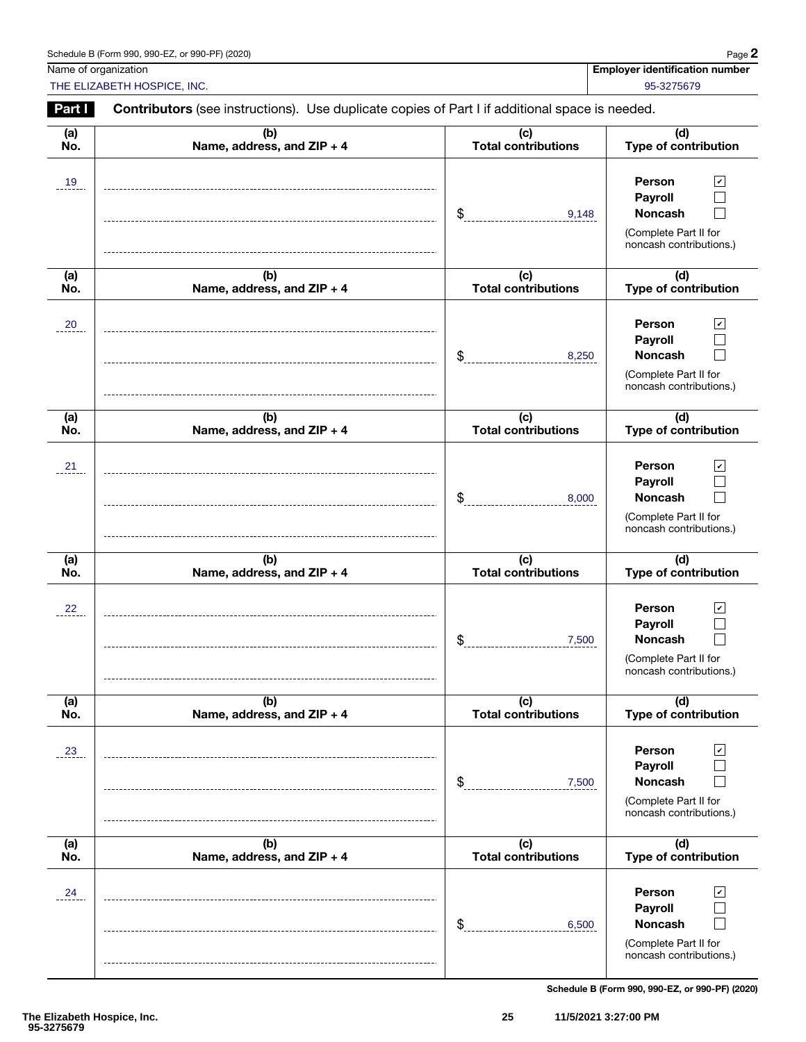| Schedule B (Form 990, 990-EZ, or 990-PF) (2020) | Page |
|-------------------------------------------------|------|
|-------------------------------------------------|------|

THE ELIZABETH HOSPICE, INC. 2008 2009 12:00 12:00 12:00 12:00 12:00 12:00 12:00 12:00 12:00 12:00 12:00 12:00 12:00 12:00 12:00 12:00 12:00 12:00 12:00 12:00 12:00 12:00 12:00 12:00 12:00 12:00 12:00 12:00 12:00 12:00 12:0

| Part I     | <b>Contributors</b> (see instructions). Use duplicate copies of Part I if additional space is needed. |                                   |                                                                                                                                           |
|------------|-------------------------------------------------------------------------------------------------------|-----------------------------------|-------------------------------------------------------------------------------------------------------------------------------------------|
| (a)<br>No. | (b)<br>Name, address, and ZIP + 4                                                                     | (c)<br>Total contributions        | (d)<br>Type of contribution                                                                                                               |
| 19.        |                                                                                                       | \$<br>9,148                       | $\mathbf{v}$<br>Person<br>Payroll<br>$\vert \ \ \vert$<br><b>Noncash</b><br>$\Box$<br>(Complete Part II for<br>noncash contributions.)    |
| (a)<br>No. | (b)<br>Name, address, and ZIP + 4                                                                     | (c)<br>Total contributions        | (d)<br>Type of contribution                                                                                                               |
| 20         |                                                                                                       | \$<br>8,250                       | $\boldsymbol{\mathcal{C}}$<br>Person<br>Payroll<br>$\Box$<br>$\Box$<br><b>Noncash</b><br>(Complete Part II for<br>noncash contributions.) |
| (a)<br>No. | (b)<br>Name, address, and ZIP + 4                                                                     | (c)<br>Total contributions        | (d)<br>Type of contribution                                                                                                               |
| 21         |                                                                                                       | \$<br>8,000                       | Person<br>$\blacktriangledown$<br>Payroll<br>$\Box$<br><b>Noncash</b><br>$\Box$<br>(Complete Part II for<br>noncash contributions.)       |
| (a)<br>No. | (b)<br>Name, address, and ZIP + 4                                                                     | (c)<br><b>Total contributions</b> | (d)<br>Type of contribution                                                                                                               |
| 22         |                                                                                                       | \$<br>7,500                       | $\mathbf{v}$<br>Person<br>Payroll<br>$\Box$<br>Noncash<br>(Complete Part II for<br>noncash contributions.)                                |
| (a)<br>No. | (b)<br>Name, address, and ZIP + 4                                                                     | (c)<br><b>Total contributions</b> | (d)<br><b>Type of contribution</b>                                                                                                        |
| 23         |                                                                                                       | \$<br>7,500                       | $\checkmark$<br>Person<br>Payroll<br><b>Noncash</b><br>(Complete Part II for<br>noncash contributions.)                                   |
| (a)<br>No. | (b)<br>Name, address, and ZIP + 4                                                                     | (c)<br><b>Total contributions</b> | (d)<br><b>Type of contribution</b>                                                                                                        |
| 24         |                                                                                                       | \$<br>6,500                       | Person<br>V<br>Payroll<br><b>Noncash</b><br>(Complete Part II for<br>noncash contributions.)                                              |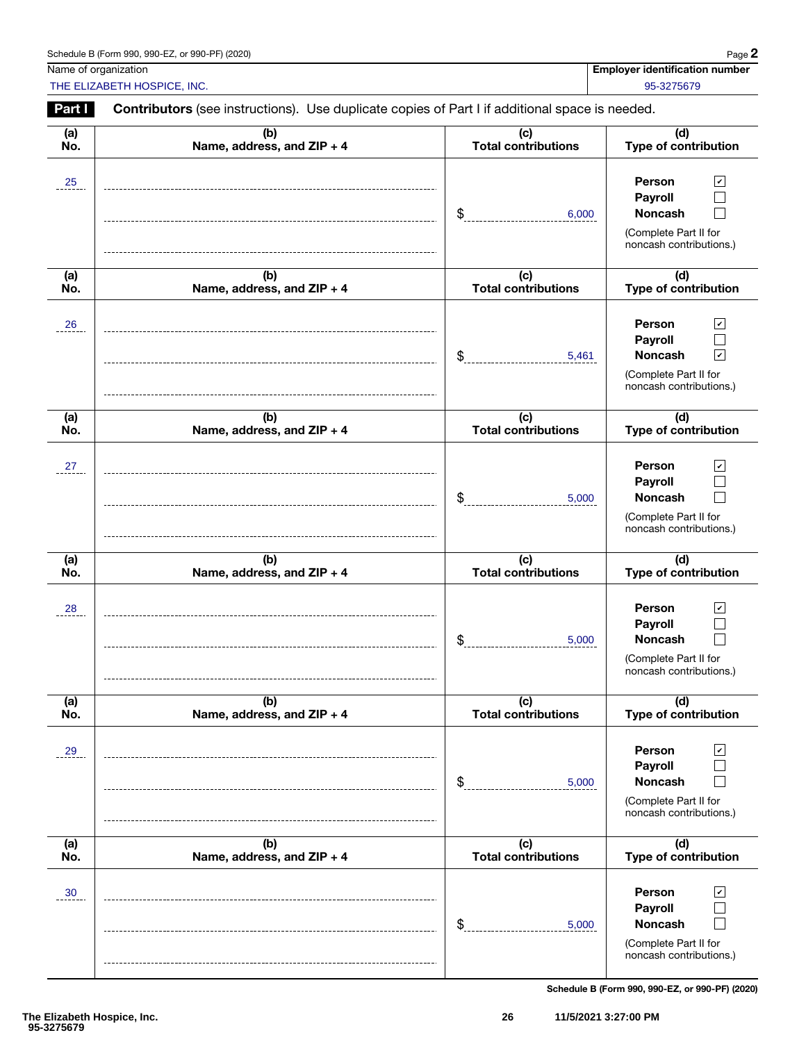| Schedule B (Form 990, 990-EZ, or 990-PF) (2020) | Page |
|-------------------------------------------------|------|
|-------------------------------------------------|------|

THE ELIZABETH HOSPICE, INC. **EXECUTE:** 95-3275679

| Part I     | <b>Contributors</b> (see instructions). Use duplicate copies of Part I if additional space is needed. |                                           |                                                                                                                      |
|------------|-------------------------------------------------------------------------------------------------------|-------------------------------------------|----------------------------------------------------------------------------------------------------------------------|
| (a)<br>No. | (b)<br>Name, address, and ZIP + 4                                                                     | (c)<br><b>Total contributions</b>         | (d)<br>Type of contribution                                                                                          |
| 25         |                                                                                                       | \$<br>6,000                               | Person<br>$\mathbf{v}$<br>Payroll<br><b>Noncash</b>                                                                  |
|            |                                                                                                       |                                           | (Complete Part II for<br>noncash contributions.)                                                                     |
| (a)<br>No. | (b)<br>Name, address, and ZIP + 4                                                                     | (c)<br><b>Total contributions</b>         | (d)<br>Type of contribution                                                                                          |
| 26         |                                                                                                       | \$<br>5,461                               | Person<br>$\check{\phantom{0}}$<br>Payroll<br>$\mathbf{v}$<br><b>Noncash</b>                                         |
|            |                                                                                                       |                                           | (Complete Part II for<br>noncash contributions.)                                                                     |
| (a)<br>No. | (b)<br>Name, address, and ZIP + 4                                                                     | (c)<br><b>Total contributions</b>         | (d)<br>Type of contribution                                                                                          |
| $-27$      |                                                                                                       | \$<br>5,000                               | Person<br>$\checkmark$<br>Payroll<br><b>Noncash</b><br>(Complete Part II for<br>noncash contributions.)              |
| (a)<br>No. | (b)<br>Name, address, and ZIP + 4                                                                     | (c)<br><b>Total contributions</b>         | (d)<br>Type of contribution                                                                                          |
| 28         |                                                                                                       | \$<br>5,000                               | Person<br>$\mathbf v$<br>Payroll<br>$\Box$<br><b>Noncash</b><br>(Complete Part II for<br>noncash contributions.)     |
| (a)<br>No. | (b)<br>Name, address, and ZIP + 4                                                                     | (c)<br><b>Total contributions</b>         | (d)<br><b>Type of contribution</b>                                                                                   |
| 29         |                                                                                                       | \$<br>5,000                               | Person<br>V<br>Payroll<br>Noncash<br>(Complete Part II for                                                           |
| (a)        | (b)                                                                                                   | (c)                                       | noncash contributions.)<br>(d)                                                                                       |
| No.<br>30  | Name, address, and ZIP + 4                                                                            | <b>Total contributions</b><br>\$<br>5,000 | <b>Type of contribution</b><br>Person<br>V<br>Payroll<br>Noncash<br>(Complete Part II for<br>noncash contributions.) |

Schedule B (Form 990, 990-EZ, or 990-PF) (2020)

**The Elizabeth Hospice, Inc. 95-3275679**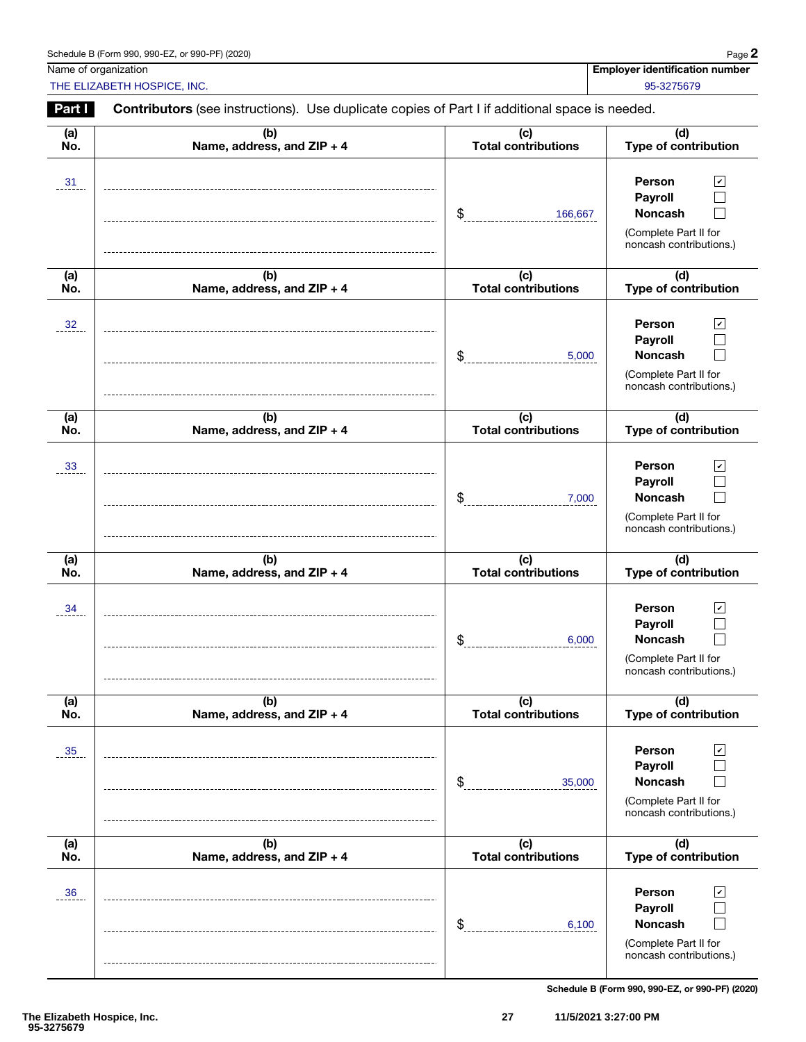| Schedule B (Form 990, 990-EZ, or 990-PF) (2020) | Page |
|-------------------------------------------------|------|
|-------------------------------------------------|------|

THE ELIZABETH HOSPICE, INC. SAND THE SAND FOR THE SECOND SECOND SECOND SECOND SECOND SECOND SECOND SECOND SECOND SECOND SECOND SECOND SECOND SECOND SECOND SECOND SECOND SECOND SECOND SECOND SECOND SECOND SECOND SECOND SECO

| Part I     | Contributors (see instructions). Use duplicate copies of Part I if additional space is needed. |                                   |                                                                                                                            |  |  |  |
|------------|------------------------------------------------------------------------------------------------|-----------------------------------|----------------------------------------------------------------------------------------------------------------------------|--|--|--|
| (a)<br>No. | (b)<br>Name, address, and ZIP + 4                                                              | (c)<br><b>Total contributions</b> | (d)<br>Type of contribution                                                                                                |  |  |  |
| 31         |                                                                                                | \$<br>166,667                     | <b>Person</b><br>$\overline{\mathbf{v}}$<br>Payroll<br><b>Noncash</b><br>(Complete Part II for<br>noncash contributions.)  |  |  |  |
| (a)<br>No. | (b)<br>Name, address, and ZIP + 4                                                              | (c)<br><b>Total contributions</b> | (d)<br><b>Type of contribution</b>                                                                                         |  |  |  |
| 32         |                                                                                                | \$<br>5,000                       | <b>Person</b><br>$\overline{\mathcal{L}}$<br>Payroll<br><b>Noncash</b><br>(Complete Part II for<br>noncash contributions.) |  |  |  |
| (a)<br>No. | (b)<br>Name, address, and ZIP + 4                                                              | (c)<br><b>Total contributions</b> | (d)<br>Type of contribution                                                                                                |  |  |  |
| 33         |                                                                                                | \$<br>7,000                       | Person<br>$\overline{\mathcal{L}}$<br>Payroll<br><b>Noncash</b><br>(Complete Part II for<br>noncash contributions.)        |  |  |  |
| (a)<br>No. | (b)<br>Name, address, and ZIP + 4                                                              | (c)<br><b>Total contributions</b> | (d)<br>Type of contribution                                                                                                |  |  |  |
| 34         |                                                                                                | \$<br>6,000                       | Person<br>⊻<br>Payroll<br><b>Noncash</b><br>(Complete Part II for<br>noncash contributions.)                               |  |  |  |
| (a)<br>No. | (b)<br>Name, address, and ZIP + 4                                                              | (c)<br><b>Total contributions</b> | (d)<br>Type of contribution                                                                                                |  |  |  |
| 35         |                                                                                                | \$<br>35,000                      | Person<br>$\mathbf{v}$<br>Payroll<br><b>Noncash</b><br>(Complete Part II for<br>noncash contributions.)                    |  |  |  |
| (a)<br>No. | (b)<br>Name, address, and ZIP + 4                                                              | (c)<br><b>Total contributions</b> | (d)<br>Type of contribution                                                                                                |  |  |  |
| 36         |                                                                                                | \$<br>6,100                       | Person<br>$\mathbf{v}$<br>Payroll<br><b>Noncash</b><br>(Complete Part II for<br>noncash contributions.)                    |  |  |  |

Schedule B (Form 990, 990-EZ, or 990-PF) (2020)

l,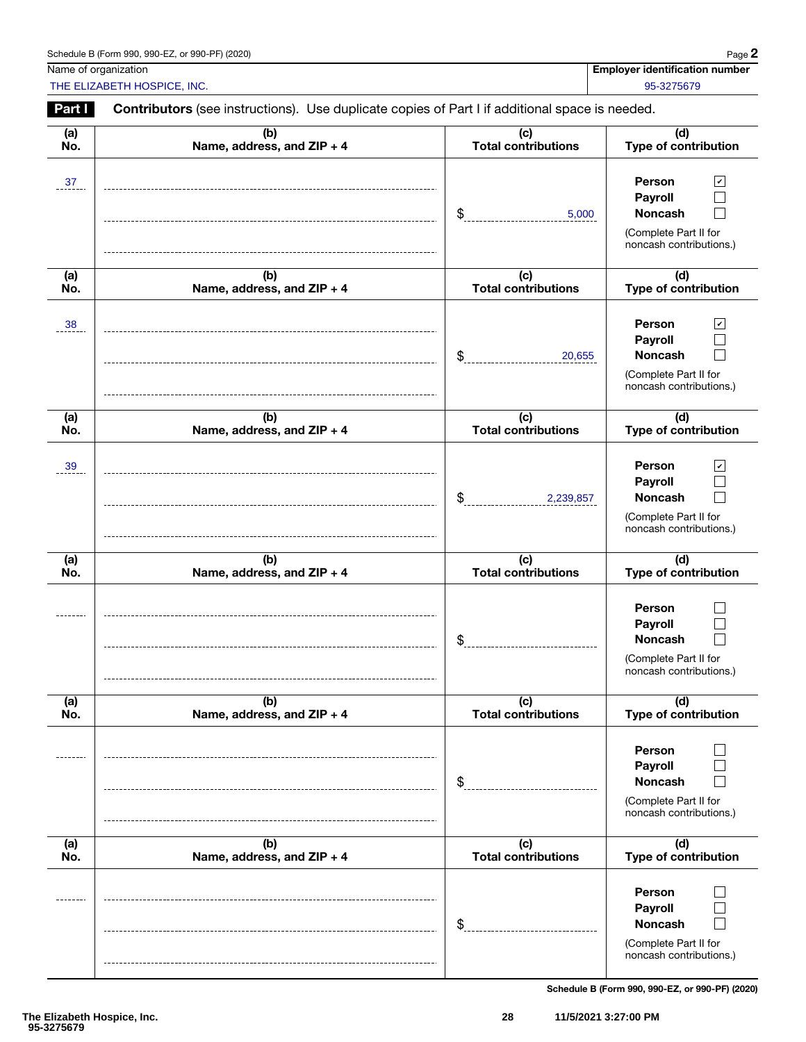| Schedule B (Form 990, 990-EZ, or 990-PF) (2020) | Page |
|-------------------------------------------------|------|
|-------------------------------------------------|------|

THE ELIZABETH HOSPICE, INC. SAND THE SAND FOR THE SECOND SECOND SECOND SECOND SECOND SECOND SECOND SECOND SECOND SECOND SECOND SECOND SECOND SECOND SECOND SECOND SECOND SECOND SECOND SECOND SECOND SECOND SECOND SECOND SECO

| <b>Part I</b> | Contributors (see instructions). Use duplicate copies of Part I if additional space is needed. |                                   |                                                                                                                     |  |  |  |
|---------------|------------------------------------------------------------------------------------------------|-----------------------------------|---------------------------------------------------------------------------------------------------------------------|--|--|--|
| (a)<br>No.    | (b)<br>Name, address, and ZIP + 4                                                              | (c)<br><b>Total contributions</b> | (d)<br>Type of contribution                                                                                         |  |  |  |
| $37 - 37$     |                                                                                                | $\frac{1}{2}$<br>5,000            | Person<br>$\overline{\mathcal{L}}$<br>Payroll<br><b>Noncash</b><br>(Complete Part II for<br>noncash contributions.) |  |  |  |
| (a)<br>No.    | (b)<br>Name, address, and ZIP + 4                                                              | (c)<br><b>Total contributions</b> | (d)<br>Type of contribution                                                                                         |  |  |  |
| 38            |                                                                                                | \$<br>20,655                      | Person<br>$\mathbf{v}$<br>Payroll<br><b>Noncash</b><br>(Complete Part II for<br>noncash contributions.)             |  |  |  |
| (a)<br>No.    | (b)<br>Name, address, and ZIP + 4                                                              | (c)<br><b>Total contributions</b> | (d)<br>Type of contribution                                                                                         |  |  |  |
| 39            |                                                                                                | \$<br>2,239,857                   | Person<br>$\overline{\mathbf{v}}$<br>Payroll<br><b>Noncash</b><br>(Complete Part II for<br>noncash contributions.)  |  |  |  |
| (a)<br>No.    | (b)<br>Name, address, and ZIP + 4                                                              | (c)<br><b>Total contributions</b> | (d)<br>Type of contribution                                                                                         |  |  |  |
|               |                                                                                                | \$                                | Person<br>Payroll<br><b>Noncash</b><br>(Complete Part II for<br>noncash contributions.)                             |  |  |  |
| (a)<br>No.    | (b)<br>Name, address, and ZIP + 4                                                              | (c)<br><b>Total contributions</b> | (d)<br>Type of contribution                                                                                         |  |  |  |
|               |                                                                                                | \$                                | Person<br>Payroll<br><b>Noncash</b><br>(Complete Part II for<br>noncash contributions.)                             |  |  |  |
| (a)<br>No.    | (b)<br>Name, address, and ZIP + 4                                                              | (c)<br><b>Total contributions</b> | (d)<br>Type of contribution                                                                                         |  |  |  |
|               |                                                                                                | \$                                | Person<br>Payroll<br><b>Noncash</b><br>(Complete Part II for<br>noncash contributions.)                             |  |  |  |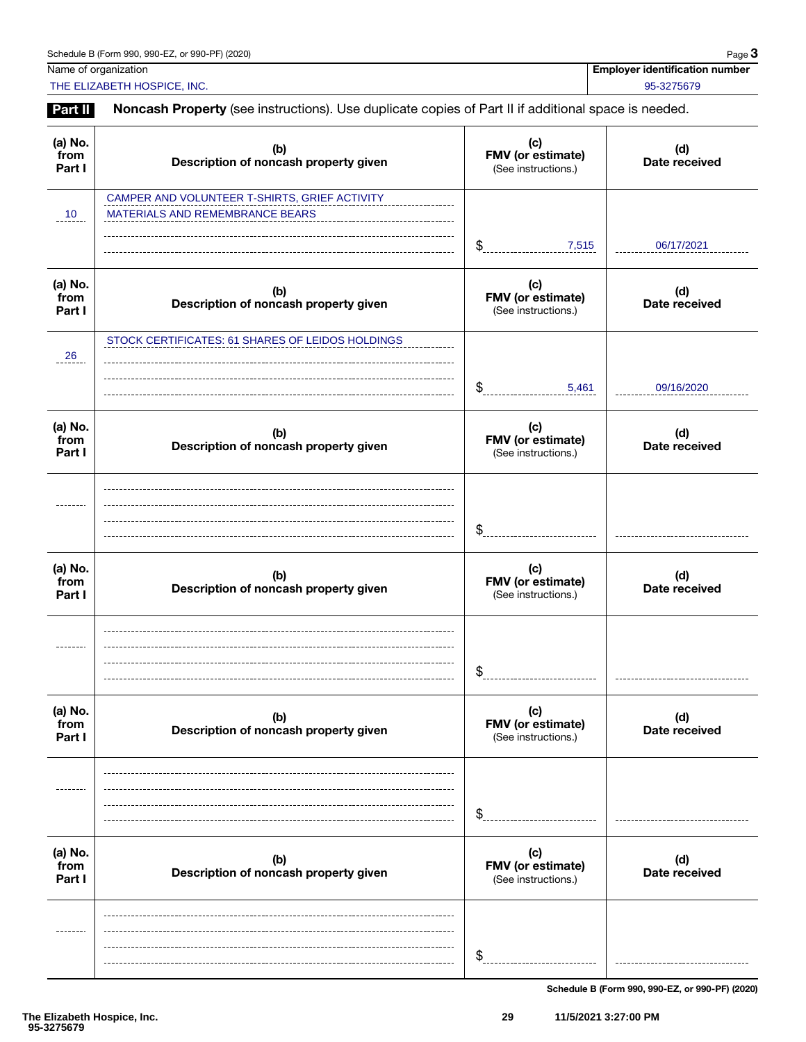#### Schedule B (Form 990, 990-EZ, or 990-PF) (2020)  $P = 3$

Name of organization **Employer identification number**  $\blacksquare$ 

 $\overline{\mathsf{T}}$ 

THE ELIZABETH HOSPICE, INC. SAND THE SAND FOR THE SECOND SECOND SECOND SECOND SECOND SECOND SECOND SECOND SECOND SECOND SECOND SECOND SECOND SECOND SECOND SECOND SECOND SECOND SECOND SECOND SECOND SECOND SECOND SECOND SECO

Part II Noncash Property (see instructions). Use duplicate copies of Part II if additional space is needed.

| (a) No.<br>(b)<br>from<br>Description of noncash property given<br>Part I |                                                                                         | (c)<br>FMV (or estimate)<br>(See instructions.) | (d)<br>Date received                            |
|---------------------------------------------------------------------------|-----------------------------------------------------------------------------------------|-------------------------------------------------|-------------------------------------------------|
| 10                                                                        | CAMPER AND VOLUNTEER T-SHIRTS, GRIEF ACTIVITY<br><b>MATERIALS AND REMEMBRANCE BEARS</b> |                                                 |                                                 |
|                                                                           |                                                                                         | \$<br>7,515                                     | 06/17/2021                                      |
| (a) No.<br>from<br>Part I                                                 | (b)<br>Description of noncash property given                                            | (c)<br>FMV (or estimate)<br>(See instructions.) | (d)<br>Date received                            |
| 26                                                                        | STOCK CERTIFICATES: 61 SHARES OF LEIDOS HOLDINGS                                        |                                                 |                                                 |
|                                                                           |                                                                                         | \$<br>5,461                                     | 09/16/2020                                      |
| (a) No.<br>from<br>Part I                                                 | (b)<br>Description of noncash property given                                            | (c)<br>FMV (or estimate)<br>(See instructions.) | (d)<br>Date received                            |
|                                                                           |                                                                                         | \$                                              |                                                 |
| (a) No.<br>from<br>Part I                                                 | (b)<br>Description of noncash property given                                            | (c)<br>FMV (or estimate)<br>(See instructions.) | (d)<br>Date received                            |
|                                                                           |                                                                                         | \$                                              |                                                 |
| (a) No.<br>from<br>Part I                                                 | (b)<br>Description of noncash property given                                            | (c)<br>FMV (or estimate)<br>(See instructions.) | (d)<br>Date received                            |
|                                                                           |                                                                                         | \$                                              |                                                 |
| (a) No.<br>from<br>Part I                                                 | (b)<br>Description of noncash property given                                            | (c)<br>FMV (or estimate)<br>(See instructions.) | (d)<br>Date received                            |
|                                                                           |                                                                                         |                                                 |                                                 |
|                                                                           |                                                                                         | \$                                              | Schedule B (Form 990, 990-EZ, or 990-PF) (2020) |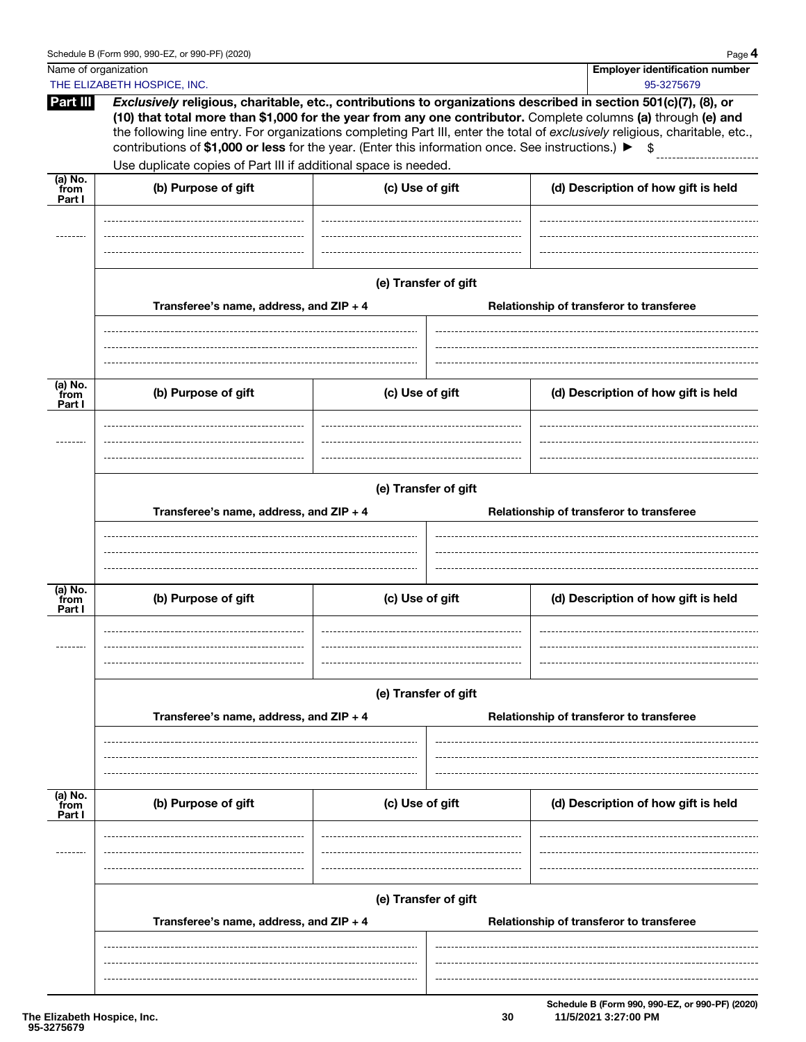| Schedule B (Form 990, 990-EZ, or 990-PF) (2020) | Page 4                                |
|-------------------------------------------------|---------------------------------------|
| Name of organization                            | <b>Emplover identification number</b> |
| THE ELIZARETH HOSPICE INC.                      | 95-3275679                            |

| ivame or organization     | THE ELIZABETH HOSPICE, INC.                                                                                     |                      |                                          | <b>Employer identification number</b><br>95-3275679                                                                                                                                                                                           |  |  |  |
|---------------------------|-----------------------------------------------------------------------------------------------------------------|----------------------|------------------------------------------|-----------------------------------------------------------------------------------------------------------------------------------------------------------------------------------------------------------------------------------------------|--|--|--|
| Part III                  | Exclusively religious, charitable, etc., contributions to organizations described in section 501(c)(7), (8), or |                      |                                          |                                                                                                                                                                                                                                               |  |  |  |
|                           | contributions of \$1,000 or less for the year. (Enter this information once. See instructions.) ▶               |                      |                                          | (10) that total more than \$1,000 for the year from any one contributor. Complete columns (a) through (e) and<br>the following line entry. For organizations completing Part III, enter the total of exclusively religious, charitable, etc., |  |  |  |
|                           | Use duplicate copies of Part III if additional space is needed.                                                 |                      |                                          |                                                                                                                                                                                                                                               |  |  |  |
| (a) No.<br>from<br>Part I | (b) Purpose of gift                                                                                             | (c) Use of gift      |                                          | (d) Description of how gift is held                                                                                                                                                                                                           |  |  |  |
|                           |                                                                                                                 |                      |                                          |                                                                                                                                                                                                                                               |  |  |  |
|                           |                                                                                                                 |                      |                                          |                                                                                                                                                                                                                                               |  |  |  |
|                           |                                                                                                                 | (e) Transfer of gift |                                          |                                                                                                                                                                                                                                               |  |  |  |
|                           | Transferee's name, address, and ZIP + 4                                                                         |                      |                                          | Relationship of transferor to transferee                                                                                                                                                                                                      |  |  |  |
|                           |                                                                                                                 |                      |                                          |                                                                                                                                                                                                                                               |  |  |  |
|                           |                                                                                                                 |                      |                                          |                                                                                                                                                                                                                                               |  |  |  |
| (a) No.<br>from           | (b) Purpose of gift                                                                                             | (c) Use of gift      |                                          | (d) Description of how gift is held                                                                                                                                                                                                           |  |  |  |
| Part I                    |                                                                                                                 |                      |                                          |                                                                                                                                                                                                                                               |  |  |  |
|                           |                                                                                                                 |                      |                                          |                                                                                                                                                                                                                                               |  |  |  |
|                           |                                                                                                                 |                      |                                          |                                                                                                                                                                                                                                               |  |  |  |
|                           |                                                                                                                 | (e) Transfer of gift |                                          |                                                                                                                                                                                                                                               |  |  |  |
|                           | Transferee's name, address, and ZIP + 4                                                                         |                      | Relationship of transferor to transferee |                                                                                                                                                                                                                                               |  |  |  |
|                           |                                                                                                                 |                      |                                          |                                                                                                                                                                                                                                               |  |  |  |
|                           |                                                                                                                 |                      |                                          |                                                                                                                                                                                                                                               |  |  |  |
| (a) No.                   |                                                                                                                 |                      |                                          |                                                                                                                                                                                                                                               |  |  |  |
| from<br>Part I            | (b) Purpose of gift                                                                                             | (c) Use of gift      |                                          | (d) Description of how gift is held                                                                                                                                                                                                           |  |  |  |
|                           |                                                                                                                 |                      |                                          |                                                                                                                                                                                                                                               |  |  |  |
|                           |                                                                                                                 |                      |                                          |                                                                                                                                                                                                                                               |  |  |  |
|                           |                                                                                                                 | (e) Transfer of gift |                                          |                                                                                                                                                                                                                                               |  |  |  |
|                           | Transferee's name, address, and ZIP + 4                                                                         |                      |                                          | Relationship of transferor to transferee                                                                                                                                                                                                      |  |  |  |
|                           |                                                                                                                 |                      |                                          |                                                                                                                                                                                                                                               |  |  |  |
|                           |                                                                                                                 |                      |                                          |                                                                                                                                                                                                                                               |  |  |  |
| (a) No.                   |                                                                                                                 |                      |                                          |                                                                                                                                                                                                                                               |  |  |  |
| from<br>Part I            | (b) Purpose of gift                                                                                             | (c) Use of gift      |                                          | (d) Description of how gift is held                                                                                                                                                                                                           |  |  |  |
|                           |                                                                                                                 |                      |                                          |                                                                                                                                                                                                                                               |  |  |  |
|                           |                                                                                                                 |                      |                                          |                                                                                                                                                                                                                                               |  |  |  |
|                           |                                                                                                                 |                      |                                          |                                                                                                                                                                                                                                               |  |  |  |
|                           | (e) Transfer of gift                                                                                            |                      |                                          |                                                                                                                                                                                                                                               |  |  |  |
|                           | Transferee's name, address, and ZIP + 4                                                                         |                      |                                          | Relationship of transferor to transferee                                                                                                                                                                                                      |  |  |  |
|                           |                                                                                                                 |                      |                                          |                                                                                                                                                                                                                                               |  |  |  |
|                           |                                                                                                                 |                      |                                          |                                                                                                                                                                                                                                               |  |  |  |

Schedule B (Form 990, 990-EZ, or 990-PF) (2020) **30 11/5/2021 3:27:00 PM**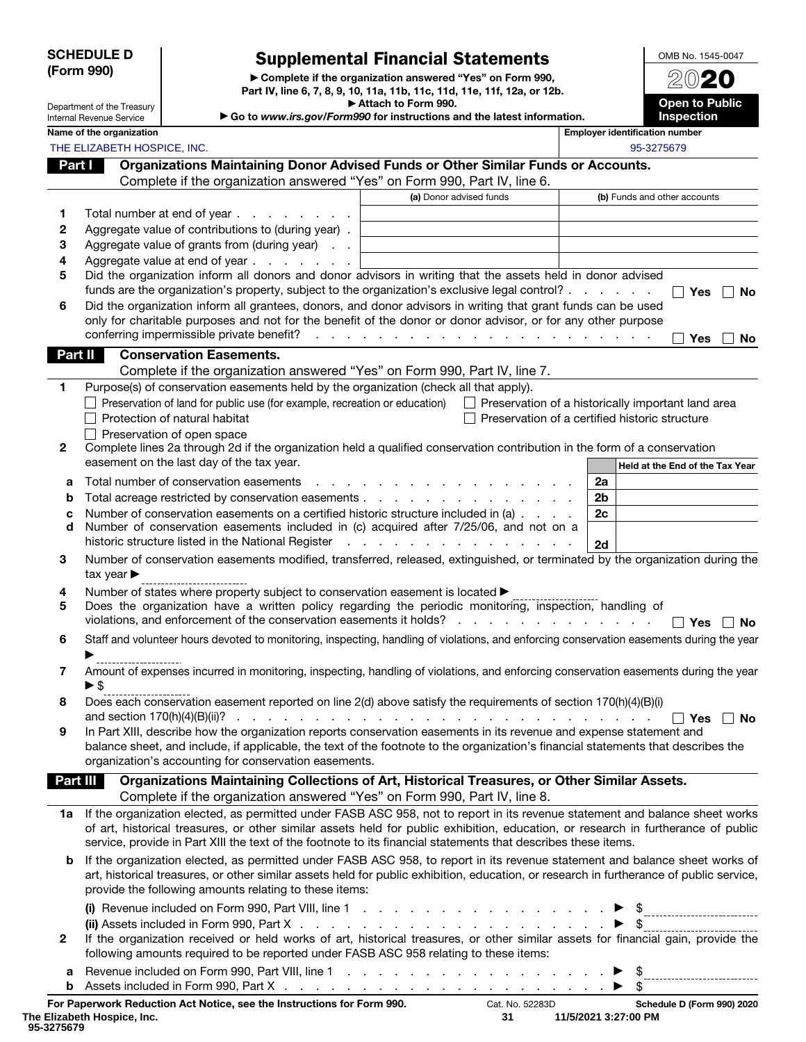### SCHEDULE D (Form 990)

Department of the Treasury Internal Revenue Service

## Supplemental Financial Statements

▶ Complete if the organization answered "Yes" on Form 990, Part IV, line 6, 7, 8, 9, 10, 11a, 11b, 11c, 11d, 11e, 11f, 12a, or 12b. ▶ Attach to Form 990.

▶ Go to *www.irs.gov/Form990* for instructions and the latest information.

Inspection Name of the organization **Employer identification number**  $\blacksquare$  Employer identification number

OMB No. 1545-0047 2020 Open to Public

| 95-3275679 |
|------------|

|             | THE ELIZABETH HOSPICE, INC.                                                                                                                                                                                                  |                                           |                                                                                                                 | 95-3275679                                                                                                                                                                                                                                                                                                        |
|-------------|------------------------------------------------------------------------------------------------------------------------------------------------------------------------------------------------------------------------------|-------------------------------------------|-----------------------------------------------------------------------------------------------------------------|-------------------------------------------------------------------------------------------------------------------------------------------------------------------------------------------------------------------------------------------------------------------------------------------------------------------|
| Part I      | Organizations Maintaining Donor Advised Funds or Other Similar Funds or Accounts.<br>Complete if the organization answered "Yes" on Form 990, Part IV, line 6.                                                               |                                           |                                                                                                                 |                                                                                                                                                                                                                                                                                                                   |
|             |                                                                                                                                                                                                                              | (a) Donor advised funds                   |                                                                                                                 | (b) Funds and other accounts                                                                                                                                                                                                                                                                                      |
|             |                                                                                                                                                                                                                              |                                           |                                                                                                                 |                                                                                                                                                                                                                                                                                                                   |
| 1.          | Total number at end of year.<br>and the company of the company of                                                                                                                                                            |                                           |                                                                                                                 |                                                                                                                                                                                                                                                                                                                   |
| 2           | Aggregate value of contributions to (during year).                                                                                                                                                                           |                                           |                                                                                                                 |                                                                                                                                                                                                                                                                                                                   |
| 3           | Aggregate value of grants from (during year)                                                                                                                                                                                 |                                           |                                                                                                                 |                                                                                                                                                                                                                                                                                                                   |
| 4           | Aggregate value at end of year                                                                                                                                                                                               |                                           |                                                                                                                 |                                                                                                                                                                                                                                                                                                                   |
| 5           | Did the organization inform all donors and donor advisors in writing that the assets held in donor advised                                                                                                                   |                                           |                                                                                                                 |                                                                                                                                                                                                                                                                                                                   |
|             | funds are the organization's property, subject to the organization's exclusive legal control?                                                                                                                                |                                           |                                                                                                                 | $\Box$ Yes<br><b>No</b>                                                                                                                                                                                                                                                                                           |
| 6           | Did the organization inform all grantees, donors, and donor advisors in writing that grant funds can be used<br>only for charitable purposes and not for the benefit of the donor or donor advisor, or for any other purpose |                                           |                                                                                                                 |                                                                                                                                                                                                                                                                                                                   |
|             | conferring impermissible private benefit?                                                                                                                                                                                    |                                           |                                                                                                                 |                                                                                                                                                                                                                                                                                                                   |
|             |                                                                                                                                                                                                                              |                                           |                                                                                                                 | Yes<br>No.                                                                                                                                                                                                                                                                                                        |
| Part II     | <b>Conservation Easements.</b><br>Complete if the organization answered "Yes" on Form 990, Part IV, line 7.                                                                                                                  |                                           |                                                                                                                 |                                                                                                                                                                                                                                                                                                                   |
| 1.          | Purpose(s) of conservation easements held by the organization (check all that apply).                                                                                                                                        |                                           |                                                                                                                 |                                                                                                                                                                                                                                                                                                                   |
|             | Preservation of land for public use (for example, recreation or education)                                                                                                                                                   |                                           |                                                                                                                 | $\Box$ Preservation of a historically important land area                                                                                                                                                                                                                                                         |
|             | Protection of natural habitat                                                                                                                                                                                                |                                           |                                                                                                                 | Preservation of a certified historic structure                                                                                                                                                                                                                                                                    |
|             | Preservation of open space                                                                                                                                                                                                   |                                           |                                                                                                                 |                                                                                                                                                                                                                                                                                                                   |
| $\mathbf 2$ | Complete lines 2a through 2d if the organization held a qualified conservation contribution in the form of a conservation                                                                                                    |                                           |                                                                                                                 |                                                                                                                                                                                                                                                                                                                   |
|             | easement on the last day of the tax year.                                                                                                                                                                                    |                                           |                                                                                                                 | Held at the End of the Tax Year                                                                                                                                                                                                                                                                                   |
| а           | Total number of conservation easements                                                                                                                                                                                       |                                           | the contract of the contract of the contract of the contract of the contract of the contract of the contract of | 2a                                                                                                                                                                                                                                                                                                                |
| b           |                                                                                                                                                                                                                              |                                           |                                                                                                                 | 2 <sub>b</sub>                                                                                                                                                                                                                                                                                                    |
| c           | Number of conservation easements on a certified historic structure included in (a)                                                                                                                                           |                                           |                                                                                                                 | 2c                                                                                                                                                                                                                                                                                                                |
| d           | Number of conservation easements included in (c) acquired after 7/25/06, and not on a                                                                                                                                        |                                           |                                                                                                                 |                                                                                                                                                                                                                                                                                                                   |
|             | historic structure listed in the National Register                                                                                                                                                                           | a carrier and a carrier and a carrier and |                                                                                                                 | 2d                                                                                                                                                                                                                                                                                                                |
| 3           | Number of conservation easements modified, transferred, released, extinguished, or terminated by the organization during the                                                                                                 |                                           |                                                                                                                 |                                                                                                                                                                                                                                                                                                                   |
|             | tax year $\blacktriangleright$                                                                                                                                                                                               |                                           |                                                                                                                 |                                                                                                                                                                                                                                                                                                                   |
| 4           | Number of states where property subject to conservation easement is located >                                                                                                                                                |                                           |                                                                                                                 |                                                                                                                                                                                                                                                                                                                   |
| 5           | Does the organization have a written policy regarding the periodic monitoring, inspection, handling of                                                                                                                       |                                           |                                                                                                                 |                                                                                                                                                                                                                                                                                                                   |
|             | violations, and enforcement of the conservation easements it holds?                                                                                                                                                          |                                           |                                                                                                                 | ∣ ∣ Yes<br><b>No</b>                                                                                                                                                                                                                                                                                              |
| 6           | Staff and volunteer hours devoted to monitoring, inspecting, handling of violations, and enforcing conservation easements during the year                                                                                    |                                           |                                                                                                                 |                                                                                                                                                                                                                                                                                                                   |
|             |                                                                                                                                                                                                                              |                                           |                                                                                                                 |                                                                                                                                                                                                                                                                                                                   |
| 7           | Amount of expenses incurred in monitoring, inspecting, handling of violations, and enforcing conservation easements during the year<br>$\blacktriangleright$ \$                                                              |                                           |                                                                                                                 |                                                                                                                                                                                                                                                                                                                   |
| 8           | Does each conservation easement reported on line 2(d) above satisfy the requirements of section 170(h)(4)(B)(i)                                                                                                              |                                           |                                                                                                                 |                                                                                                                                                                                                                                                                                                                   |
|             | and section $170(h)(4)(B)(ii)?$                                                                                                                                                                                              |                                           | المتعاون والمتعاون والمتعاون والمتعاون والمتعاون والمتعاون والمتعاون والمتعاونة                                 | Yes<br><b>No</b>                                                                                                                                                                                                                                                                                                  |
|             | In Part XIII, describe how the organization reports conservation easements in its revenue and expense statement and                                                                                                          |                                           |                                                                                                                 |                                                                                                                                                                                                                                                                                                                   |
|             | balance sheet, and include, if applicable, the text of the footnote to the organization's financial statements that describes the                                                                                            |                                           |                                                                                                                 |                                                                                                                                                                                                                                                                                                                   |
|             | organization's accounting for conservation easements.                                                                                                                                                                        |                                           |                                                                                                                 |                                                                                                                                                                                                                                                                                                                   |
| Part III    | Organizations Maintaining Collections of Art, Historical Treasures, or Other Similar Assets.                                                                                                                                 |                                           |                                                                                                                 |                                                                                                                                                                                                                                                                                                                   |
|             | Complete if the organization answered "Yes" on Form 990, Part IV, line 8.                                                                                                                                                    |                                           |                                                                                                                 |                                                                                                                                                                                                                                                                                                                   |
|             | 1a If the organization elected, as permitted under FASB ASC 958, not to report in its revenue statement and balance sheet works                                                                                              |                                           |                                                                                                                 |                                                                                                                                                                                                                                                                                                                   |
|             | of art, historical treasures, or other similar assets held for public exhibition, education, or research in furtherance of public                                                                                            |                                           |                                                                                                                 |                                                                                                                                                                                                                                                                                                                   |
|             | service, provide in Part XIII the text of the footnote to its financial statements that describes these items.                                                                                                               |                                           |                                                                                                                 |                                                                                                                                                                                                                                                                                                                   |
| b           | If the organization elected, as permitted under FASB ASC 958, to report in its revenue statement and balance sheet works of                                                                                                  |                                           |                                                                                                                 |                                                                                                                                                                                                                                                                                                                   |
|             | art, historical treasures, or other similar assets held for public exhibition, education, or research in furtherance of public service,                                                                                      |                                           |                                                                                                                 |                                                                                                                                                                                                                                                                                                                   |
|             | provide the following amounts relating to these items:                                                                                                                                                                       |                                           |                                                                                                                 |                                                                                                                                                                                                                                                                                                                   |
|             | (i) Revenue included on Form 990, Part VIII, line 1 $\ldots$ $\ldots$ $\ldots$ $\ldots$ $\ldots$ $\ldots$ $\blacktriangleright$ \$                                                                                           |                                           |                                                                                                                 |                                                                                                                                                                                                                                                                                                                   |
|             | (ii) Assets included in Form 990, Part X $\ldots$ $\ldots$ $\ldots$ $\ldots$ $\ldots$ $\ldots$ $\ldots$ $\ldots$ $\ldots$                                                                                                    |                                           |                                                                                                                 | $\triangleright$ \$ $\frac{1}{2}$ = $\frac{1}{2}$ = $\frac{1}{2}$ = $\frac{1}{2}$ = $\frac{1}{2}$ = $\frac{1}{2}$ = $\frac{1}{2}$ = $\frac{1}{2}$ = $\frac{1}{2}$ = $\frac{1}{2}$ = $\frac{1}{2}$ = $\frac{1}{2}$ = $\frac{1}{2}$ = $\frac{1}{2}$ = $\frac{1}{2}$ = $\frac{1}{2}$ = $\frac{1}{2}$ = $\frac{1}{2}$ |
| 2           | If the organization received or held works of art, historical treasures, or other similar assets for financial gain, provide the                                                                                             |                                           |                                                                                                                 |                                                                                                                                                                                                                                                                                                                   |
|             | following amounts required to be reported under FASB ASC 958 relating to these items:                                                                                                                                        |                                           |                                                                                                                 |                                                                                                                                                                                                                                                                                                                   |
| а           |                                                                                                                                                                                                                              |                                           |                                                                                                                 |                                                                                                                                                                                                                                                                                                                   |
| b           |                                                                                                                                                                                                                              |                                           |                                                                                                                 | \$                                                                                                                                                                                                                                                                                                                |
|             | For Paperwork Reduction Act Notice, see the Instructions for Form 990.                                                                                                                                                       |                                           | Cat. No. 52283D                                                                                                 | Schedule D (Form 990) 2020                                                                                                                                                                                                                                                                                        |
|             |                                                                                                                                                                                                                              |                                           |                                                                                                                 |                                                                                                                                                                                                                                                                                                                   |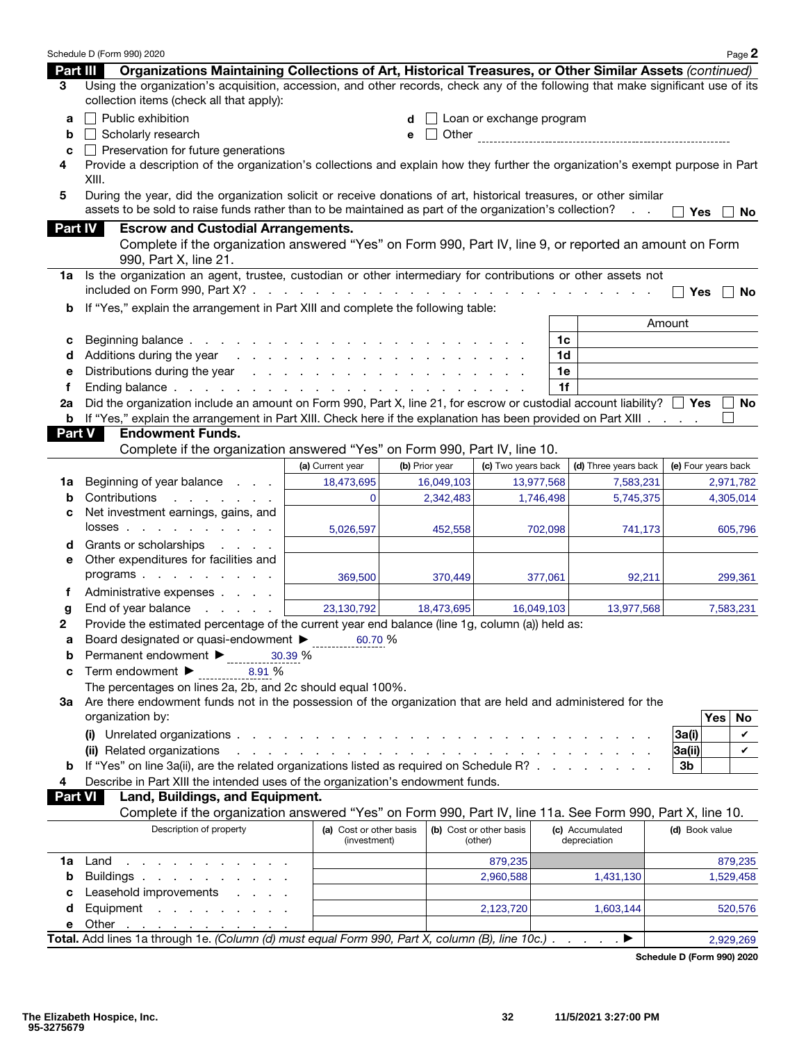|                | Schedule D (Form 990) 2020                                                                                                                                                  |                                                                                                                                                                                                                                |                |                                    |           |                                 |                     | Page 2    |
|----------------|-----------------------------------------------------------------------------------------------------------------------------------------------------------------------------|--------------------------------------------------------------------------------------------------------------------------------------------------------------------------------------------------------------------------------|----------------|------------------------------------|-----------|---------------------------------|---------------------|-----------|
| Part III       | Organizations Maintaining Collections of Art, Historical Treasures, or Other Similar Assets (continued)                                                                     |                                                                                                                                                                                                                                |                |                                    |           |                                 |                     |           |
| 3              | Using the organization's acquisition, accession, and other records, check any of the following that make significant use of its<br>collection items (check all that apply): |                                                                                                                                                                                                                                |                |                                    |           |                                 |                     |           |
| a              | $\Box$ Public exhibition                                                                                                                                                    |                                                                                                                                                                                                                                |                | Loan or exchange program           |           |                                 |                     |           |
| b              | Scholarly research                                                                                                                                                          |                                                                                                                                                                                                                                | $\perp$<br>е   |                                    |           |                                 |                     |           |
| c              | $\Box$ Preservation for future generations                                                                                                                                  |                                                                                                                                                                                                                                |                |                                    |           |                                 |                     |           |
| 4              | Provide a description of the organization's collections and explain how they further the organization's exempt purpose in Part                                              |                                                                                                                                                                                                                                |                |                                    |           |                                 |                     |           |
|                | XIII.                                                                                                                                                                       |                                                                                                                                                                                                                                |                |                                    |           |                                 |                     |           |
| 5              | During the year, did the organization solicit or receive donations of art, historical treasures, or other similar                                                           |                                                                                                                                                                                                                                |                |                                    |           |                                 |                     |           |
|                | assets to be sold to raise funds rather than to be maintained as part of the organization's collection?                                                                     |                                                                                                                                                                                                                                |                |                                    |           |                                 | <b>Yes</b>          | <b>No</b> |
| <b>Part IV</b> | <b>Escrow and Custodial Arrangements.</b>                                                                                                                                   |                                                                                                                                                                                                                                |                |                                    |           |                                 |                     |           |
|                | Complete if the organization answered "Yes" on Form 990, Part IV, line 9, or reported an amount on Form                                                                     |                                                                                                                                                                                                                                |                |                                    |           |                                 |                     |           |
|                | 990, Part X, line 21.                                                                                                                                                       |                                                                                                                                                                                                                                |                |                                    |           |                                 |                     |           |
| 1a             | Is the organization an agent, trustee, custodian or other intermediary for contributions or other assets not                                                                |                                                                                                                                                                                                                                |                |                                    |           |                                 |                     |           |
|                |                                                                                                                                                                             |                                                                                                                                                                                                                                |                |                                    |           |                                 | Yes                 | ∣ No      |
| b              | If "Yes," explain the arrangement in Part XIII and complete the following table:                                                                                            |                                                                                                                                                                                                                                |                |                                    |           |                                 |                     |           |
|                |                                                                                                                                                                             |                                                                                                                                                                                                                                |                |                                    |           |                                 | Amount              |           |
| с              | Beginning balance.                                                                                                                                                          | the contract of the contract of the contract of the contract of the contract of                                                                                                                                                |                |                                    | 1c        |                                 |                     |           |
| d              | Additions during the year                                                                                                                                                   | in the contract of the contract of the contract of the contract of the contract of the contract of the contract of the contract of the contract of the contract of the contract of the contract of the contract of the contrac |                |                                    | 1d        |                                 |                     |           |
| е              |                                                                                                                                                                             |                                                                                                                                                                                                                                |                |                                    | 1e        |                                 |                     |           |
| f              |                                                                                                                                                                             |                                                                                                                                                                                                                                |                |                                    | 1f        |                                 |                     |           |
| 2a             | Did the organization include an amount on Form 990, Part X, line 21, for escrow or custodial account liability? $\Box$ Yes $\Box$                                           |                                                                                                                                                                                                                                |                |                                    |           |                                 |                     | <b>No</b> |
|                | <b>b</b> If "Yes," explain the arrangement in Part XIII. Check here if the explanation has been provided on Part XIII                                                       |                                                                                                                                                                                                                                |                |                                    |           |                                 |                     |           |
| <b>Part V</b>  | <b>Endowment Funds.</b>                                                                                                                                                     |                                                                                                                                                                                                                                |                |                                    |           |                                 |                     |           |
|                | Complete if the organization answered "Yes" on Form 990, Part IV, line 10.                                                                                                  |                                                                                                                                                                                                                                |                |                                    |           |                                 |                     |           |
|                |                                                                                                                                                                             | (a) Current year                                                                                                                                                                                                               | (b) Prior year | (c) Two years back                 |           | (d) Three years back            | (e) Four years back |           |
| 1a             | Beginning of year balance                                                                                                                                                   | 18,473,695                                                                                                                                                                                                                     | 16,049,103     | 13,977,568                         |           | 7,583,231                       |                     | 2,971,782 |
| b              | Contributions<br>and a state of the state of the<br>Net investment earnings, gains, and                                                                                     | $\mathbf 0$                                                                                                                                                                                                                    | 2,342,483      |                                    | 1,746,498 | 5,745,375                       |                     | 4,305,014 |
| с              | $losses$                                                                                                                                                                    |                                                                                                                                                                                                                                |                |                                    |           |                                 |                     |           |
|                | Grants or scholarships                                                                                                                                                      | 5,026,597                                                                                                                                                                                                                      | 452,558        |                                    | 702,098   | 741,173                         |                     | 605,796   |
| d<br>е         | and a state of<br>Other expenditures for facilities and                                                                                                                     |                                                                                                                                                                                                                                |                |                                    |           |                                 |                     |           |
|                | programs                                                                                                                                                                    | 369,500                                                                                                                                                                                                                        | 370,449        |                                    | 377,061   | 92,211                          |                     | 299,361   |
| Ť              | Administrative expenses                                                                                                                                                     |                                                                                                                                                                                                                                |                |                                    |           |                                 |                     |           |
| g              | End of year balance<br>and a state of                                                                                                                                       | 23,130,792                                                                                                                                                                                                                     | 18,473,695     | 16,049,103                         |           | 13,977,568                      |                     | 7,583,231 |
| 2              | Provide the estimated percentage of the current year end balance (line 1g, column (a)) held as:                                                                             |                                                                                                                                                                                                                                |                |                                    |           |                                 |                     |           |
| а              | Board designated or quasi-endowment $\blacktriangleright$                                                                                                                   | 60.70 %                                                                                                                                                                                                                        |                |                                    |           |                                 |                     |           |
| b              | Permanent endowment ▶                                                                                                                                                       | 30.39 %                                                                                                                                                                                                                        |                |                                    |           |                                 |                     |           |
| c              | Term endowment ▶<br>8.91 %                                                                                                                                                  |                                                                                                                                                                                                                                |                |                                    |           |                                 |                     |           |
|                | The percentages on lines 2a, 2b, and 2c should equal 100%.                                                                                                                  |                                                                                                                                                                                                                                |                |                                    |           |                                 |                     |           |
|                | 3a Are there endowment funds not in the possession of the organization that are held and administered for the                                                               |                                                                                                                                                                                                                                |                |                                    |           |                                 |                     |           |
|                | organization by:                                                                                                                                                            |                                                                                                                                                                                                                                |                |                                    |           |                                 | <b>Yes</b>          | No        |
|                |                                                                                                                                                                             |                                                                                                                                                                                                                                |                |                                    |           |                                 | 3a(i)               | V         |
|                | (ii) Related organizations                                                                                                                                                  |                                                                                                                                                                                                                                |                |                                    |           |                                 | 3a(i)               | ✓         |
| b              | If "Yes" on line 3a(ii), are the related organizations listed as required on Schedule R?                                                                                    |                                                                                                                                                                                                                                |                |                                    |           |                                 | 3 <sub>b</sub>      |           |
| 4              | Describe in Part XIII the intended uses of the organization's endowment funds.                                                                                              |                                                                                                                                                                                                                                |                |                                    |           |                                 |                     |           |
| <b>Part VI</b> | Land, Buildings, and Equipment.                                                                                                                                             |                                                                                                                                                                                                                                |                |                                    |           |                                 |                     |           |
|                | Complete if the organization answered "Yes" on Form 990, Part IV, line 11a. See Form 990, Part X, line 10.                                                                  |                                                                                                                                                                                                                                |                |                                    |           |                                 |                     |           |
|                | Description of property                                                                                                                                                     | (a) Cost or other basis<br>(investment)                                                                                                                                                                                        |                | (b) Cost or other basis<br>(other) |           | (c) Accumulated<br>depreciation | (d) Book value      |           |
|                |                                                                                                                                                                             |                                                                                                                                                                                                                                |                |                                    |           |                                 |                     |           |
| 1a             | Land $\ldots$ $\ldots$ $\ldots$                                                                                                                                             |                                                                                                                                                                                                                                |                | 879,235                            |           |                                 |                     | 879,235   |
| b              | Buildings                                                                                                                                                                   |                                                                                                                                                                                                                                |                | 2,960,588                          |           | 1,431,130                       |                     | 1,529,458 |
| с              | Leasehold improvements                                                                                                                                                      |                                                                                                                                                                                                                                |                |                                    |           |                                 |                     |           |
| d              | Equipment                                                                                                                                                                   |                                                                                                                                                                                                                                |                | 2,123,720                          |           | 1,603,144                       |                     | 520,576   |
| е              | Other<br>Total. Add lines 1a through 1e. (Column (d) must equal Form 990, Part X, column (B), line 10c.) ▶                                                                  |                                                                                                                                                                                                                                |                |                                    |           |                                 |                     | 2,929,269 |
|                |                                                                                                                                                                             |                                                                                                                                                                                                                                |                |                                    |           |                                 |                     |           |

Schedule D (Form 990) 2020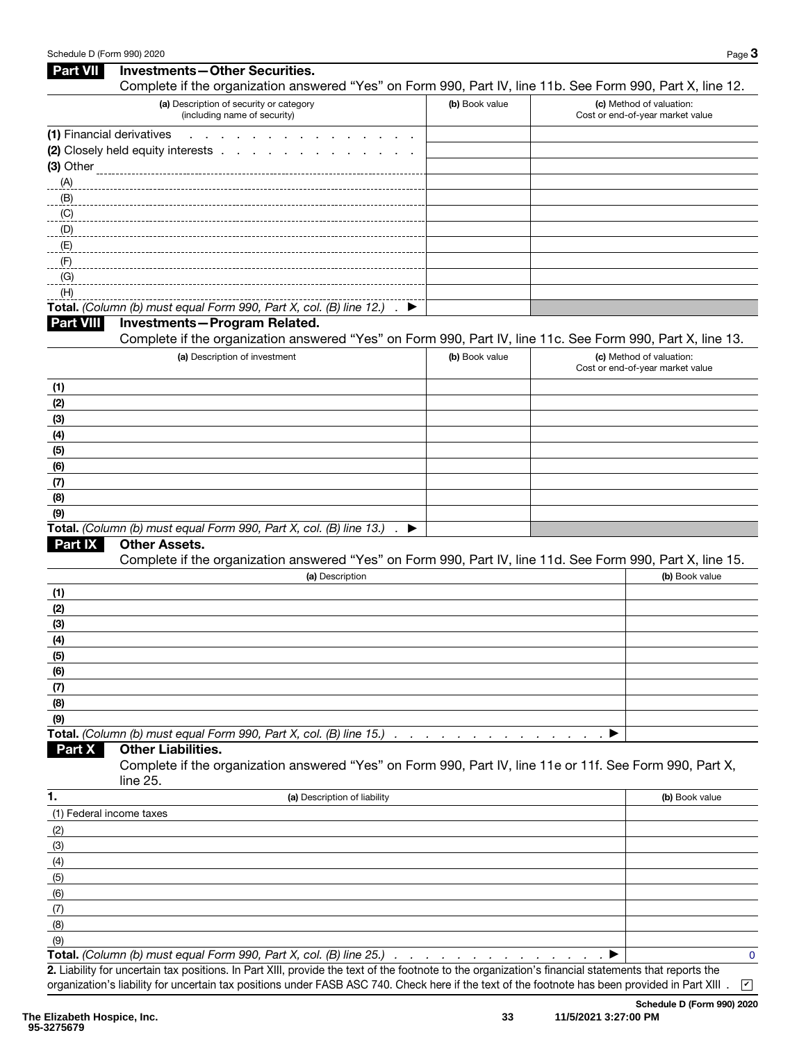| Part VII                      | <b>Investments-Other Securities.</b>                                                                                                                |                                                                  |                                                              |
|-------------------------------|-----------------------------------------------------------------------------------------------------------------------------------------------------|------------------------------------------------------------------|--------------------------------------------------------------|
|                               | Complete if the organization answered "Yes" on Form 990, Part IV, line 11b. See Form 990, Part X, line 12.                                          |                                                                  |                                                              |
|                               | (a) Description of security or category<br>(including name of security)                                                                             | (b) Book value                                                   | (c) Method of valuation:<br>Cost or end-of-year market value |
| (1) Financial derivatives     | and a state of the                                                                                                                                  |                                                                  |                                                              |
|                               | (2) Closely held equity interests                                                                                                                   |                                                                  |                                                              |
|                               |                                                                                                                                                     |                                                                  |                                                              |
| (A)                           |                                                                                                                                                     |                                                                  |                                                              |
| (B)                           |                                                                                                                                                     |                                                                  |                                                              |
| (C)                           |                                                                                                                                                     |                                                                  |                                                              |
| $\Box$ (D)                    |                                                                                                                                                     |                                                                  |                                                              |
| $\cdot$ (E)<br>$\overline{F}$ |                                                                                                                                                     |                                                                  |                                                              |
| (G)                           |                                                                                                                                                     |                                                                  |                                                              |
| (H)                           |                                                                                                                                                     |                                                                  |                                                              |
|                               | Total. (Column (b) must equal Form 990, Part X, col. (B) line 12.) . ▶                                                                              |                                                                  |                                                              |
| <b>Part VIII</b>              | Investments-Program Related.                                                                                                                        |                                                                  |                                                              |
|                               | Complete if the organization answered "Yes" on Form 990, Part IV, line 11c. See Form 990, Part X, line 13.                                          |                                                                  |                                                              |
|                               | (a) Description of investment                                                                                                                       | (b) Book value                                                   | (c) Method of valuation:<br>Cost or end-of-year market value |
| (1)                           |                                                                                                                                                     |                                                                  |                                                              |
| (2)                           |                                                                                                                                                     |                                                                  |                                                              |
| (3)                           |                                                                                                                                                     |                                                                  |                                                              |
| (4)                           |                                                                                                                                                     |                                                                  |                                                              |
| (5)                           |                                                                                                                                                     |                                                                  |                                                              |
| (6)                           |                                                                                                                                                     |                                                                  |                                                              |
| (7)                           |                                                                                                                                                     |                                                                  |                                                              |
| (8)                           |                                                                                                                                                     |                                                                  |                                                              |
| (9)                           |                                                                                                                                                     |                                                                  |                                                              |
| Part IX                       | Total. (Column (b) must equal Form 990, Part X, col. (B) line 13.) . ▶<br><b>Other Assets.</b>                                                      |                                                                  |                                                              |
|                               | Complete if the organization answered "Yes" on Form 990, Part IV, line 11d. See Form 990, Part X, line 15.                                          |                                                                  |                                                              |
|                               | (a) Description                                                                                                                                     |                                                                  | (b) Book value                                               |
| (1)                           |                                                                                                                                                     |                                                                  |                                                              |
| (2)                           |                                                                                                                                                     |                                                                  |                                                              |
| (3)                           |                                                                                                                                                     |                                                                  |                                                              |
| (4)                           |                                                                                                                                                     |                                                                  |                                                              |
| (5)                           |                                                                                                                                                     |                                                                  |                                                              |
| (6)                           |                                                                                                                                                     |                                                                  |                                                              |
| (7)                           |                                                                                                                                                     |                                                                  |                                                              |
| (8)                           |                                                                                                                                                     |                                                                  |                                                              |
| (9)                           |                                                                                                                                                     |                                                                  |                                                              |
|                               | Total. (Column (b) must equal Form 990, Part X, col. (B) line 15.)                                                                                  | $\sim$<br><b>Contract Contract</b><br>$\sim$<br>$\sim$ 100 $\mu$ |                                                              |
| Part X                        | <b>Other Liabilities.</b>                                                                                                                           |                                                                  |                                                              |
|                               | Complete if the organization answered "Yes" on Form 990, Part IV, line 11e or 11f. See Form 990, Part X,<br>line 25.                                |                                                                  |                                                              |
| 1.                            | (a) Description of liability                                                                                                                        |                                                                  | (b) Book value                                               |
| (1) Federal income taxes      |                                                                                                                                                     |                                                                  |                                                              |
| (2)                           |                                                                                                                                                     |                                                                  |                                                              |
| (3)                           |                                                                                                                                                     |                                                                  |                                                              |
| (4)                           |                                                                                                                                                     |                                                                  |                                                              |
| (5)                           |                                                                                                                                                     |                                                                  |                                                              |
| (6)                           |                                                                                                                                                     |                                                                  |                                                              |
| (7)                           |                                                                                                                                                     |                                                                  |                                                              |
| (8)                           |                                                                                                                                                     |                                                                  |                                                              |
| (9)                           | Total. (Column (b) must equal Form 990, Part X, col. (B) line 25.)                                                                                  |                                                                  | $\mathbf 0$                                                  |
|                               | 2 Liability for uncertain tax positions. In Part XIII, provide the text of the footnote to the organization's financial statements that reports the |                                                                  |                                                              |

2. Liability for uncertain tax positions. In Part XIII, provide the text of the footnote to the organization's financial statements that reports the  $\alpha$ ganization's liability for uncertain tax positions under FASB ASC 740. Check here if the text of the footnote has been provided in Part XIII .  $\;$   $\;$ 

Schedule D (Form 990) 2020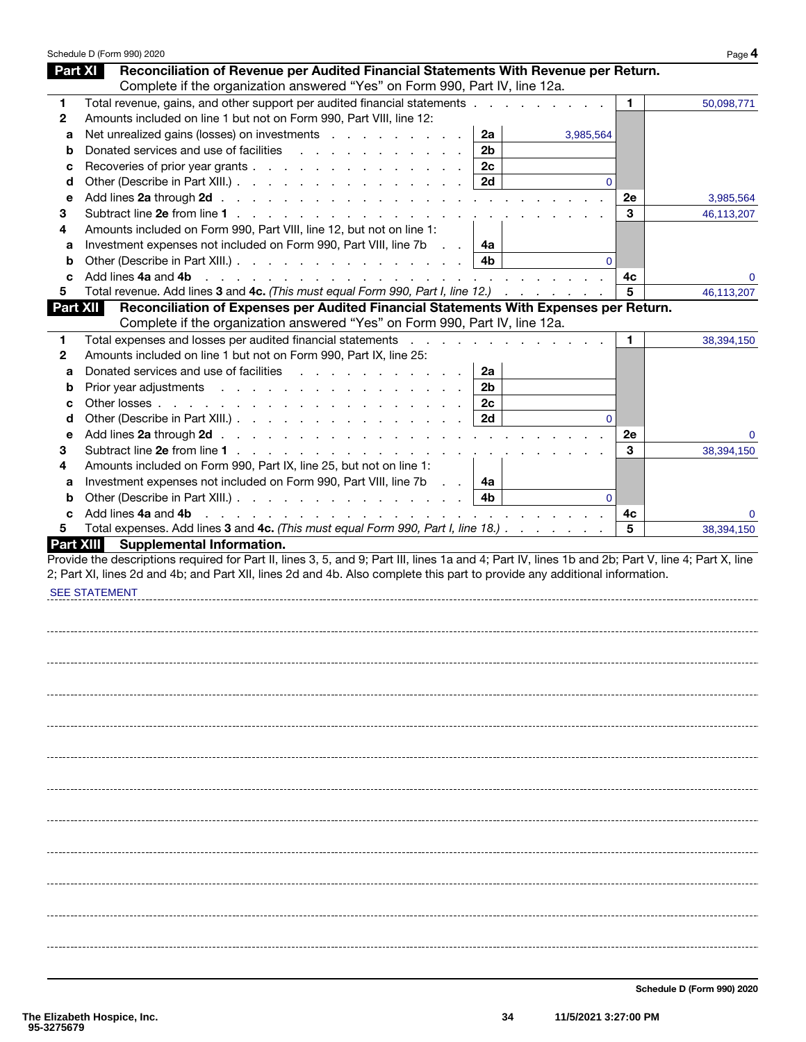|                | Schedule D (Form 990) 2020                                                                                                                         |                |           |    | Page 4     |
|----------------|----------------------------------------------------------------------------------------------------------------------------------------------------|----------------|-----------|----|------------|
| <b>Part XI</b> | Reconciliation of Revenue per Audited Financial Statements With Revenue per Return.                                                                |                |           |    |            |
|                | Complete if the organization answered "Yes" on Form 990, Part IV, line 12a.                                                                        |                |           |    |            |
| 1              | Total revenue, gains, and other support per audited financial statements                                                                           |                |           | 1. | 50,098,771 |
| $\mathbf 2$    | Amounts included on line 1 but not on Form 990, Part VIII, line 12:                                                                                |                |           |    |            |
| a              | Net unrealized gains (losses) on investments                                                                                                       | 2а             | 3,985,564 |    |            |
| b              | Donated services and use of facilities                                                                                                             | 2 <sub>b</sub> |           |    |            |
| c              | Recoveries of prior year grants                                                                                                                    | 2c             |           |    |            |
| d              | Other (Describe in Part XIII.)                                                                                                                     | 2d             | $\Omega$  |    |            |
| e              |                                                                                                                                                    |                |           | 2е | 3,985,564  |
| З              |                                                                                                                                                    |                |           | 3  | 46,113,207 |
| 4              | Amounts included on Form 990, Part VIII, line 12, but not on line 1:                                                                               |                |           |    |            |
| а              | Investment expenses not included on Form 990, Part VIII, line 7b<br><b>Carl Carl</b>                                                               | 4a             |           |    |            |
| b              | Other (Describe in Part XIII.)                                                                                                                     | 4b             | $\Omega$  |    |            |
| c              | Add lines 4a and 4b<br>the contract of the contract of the contract of the contract of the contract of the contract of the contract of             |                |           | 4c | 0          |
| 5              | Total revenue. Add lines 3 and 4c. (This must equal Form 990, Part I, line 12.)                                                                    |                |           | 5  | 46,113,207 |
| Part XII       | Reconciliation of Expenses per Audited Financial Statements With Expenses per Return.                                                              |                |           |    |            |
|                | Complete if the organization answered "Yes" on Form 990, Part IV, line 12a.                                                                        |                |           |    |            |
| 1              | Total expenses and losses per audited financial statements                                                                                         |                |           | 1. | 38,394,150 |
| $\mathbf 2$    | Amounts included on line 1 but not on Form 990, Part IX, line 25:                                                                                  |                |           |    |            |
| a              | Donated services and use of facilities                                                                                                             | 2а             |           |    |            |
| b              | Prior year adjustments                                                                                                                             | 2 <sub>b</sub> |           |    |            |
| c              |                                                                                                                                                    | 2c             |           |    |            |
| d              | Other (Describe in Part XIII.)                                                                                                                     | 2d             | $\Omega$  |    |            |
| е              |                                                                                                                                                    |                |           | 2e |            |
| 3              |                                                                                                                                                    |                |           | 3  | 38,394,150 |
| 4              | Amounts included on Form 990, Part IX, line 25, but not on line 1:                                                                                 |                |           |    |            |
| а              | Investment expenses not included on Form 990, Part VIII, line 7b<br><b>Carl Control</b>                                                            | 4a             |           |    |            |
| b              | Other (Describe in Part XIII.)                                                                                                                     | 4b             | $\Omega$  |    |            |
| c              | Add lines 4a and 4b<br>and a series of the contract of the contract of the contract of the contract of the contract of the contract of             |                |           | 4с |            |
| 5              | Total expenses. Add lines 3 and 4c. (This must equal Form 990, Part I, line 18.)                                                                   |                |           | 5  | 38,394,150 |
| Part XIII      | <b>Supplemental Information.</b>                                                                                                                   |                |           |    |            |
|                | Provide the descriptions required for Part II, lines 3, 5, and 9; Part III, lines 1a and 4; Part IV, lines 1b and 2b; Part V, line 4; Part X, line |                |           |    |            |
|                | 2; Part XI, lines 2d and 4b; and Part XII, lines 2d and 4b. Also complete this part to provide any additional information.                         |                |           |    |            |
|                | <b>SEE STATEMENT</b>                                                                                                                               |                |           |    |            |
|                |                                                                                                                                                    |                |           |    |            |
|                |                                                                                                                                                    |                |           |    |            |
|                |                                                                                                                                                    |                |           |    |            |
|                |                                                                                                                                                    |                |           |    |            |
|                |                                                                                                                                                    |                |           |    |            |
|                |                                                                                                                                                    |                |           |    |            |
|                |                                                                                                                                                    |                |           |    |            |
|                |                                                                                                                                                    |                |           |    |            |
|                |                                                                                                                                                    |                |           |    |            |
|                |                                                                                                                                                    |                |           |    |            |
|                |                                                                                                                                                    |                |           |    |            |
|                |                                                                                                                                                    |                |           |    |            |
|                |                                                                                                                                                    |                |           |    |            |
|                |                                                                                                                                                    |                |           |    |            |
|                |                                                                                                                                                    |                |           |    |            |
|                |                                                                                                                                                    |                |           |    |            |
|                |                                                                                                                                                    |                |           |    |            |
|                |                                                                                                                                                    |                |           |    |            |
|                |                                                                                                                                                    |                |           |    |            |
|                |                                                                                                                                                    |                |           |    |            |
|                |                                                                                                                                                    |                |           |    |            |
|                |                                                                                                                                                    |                |           |    |            |
|                |                                                                                                                                                    |                |           |    |            |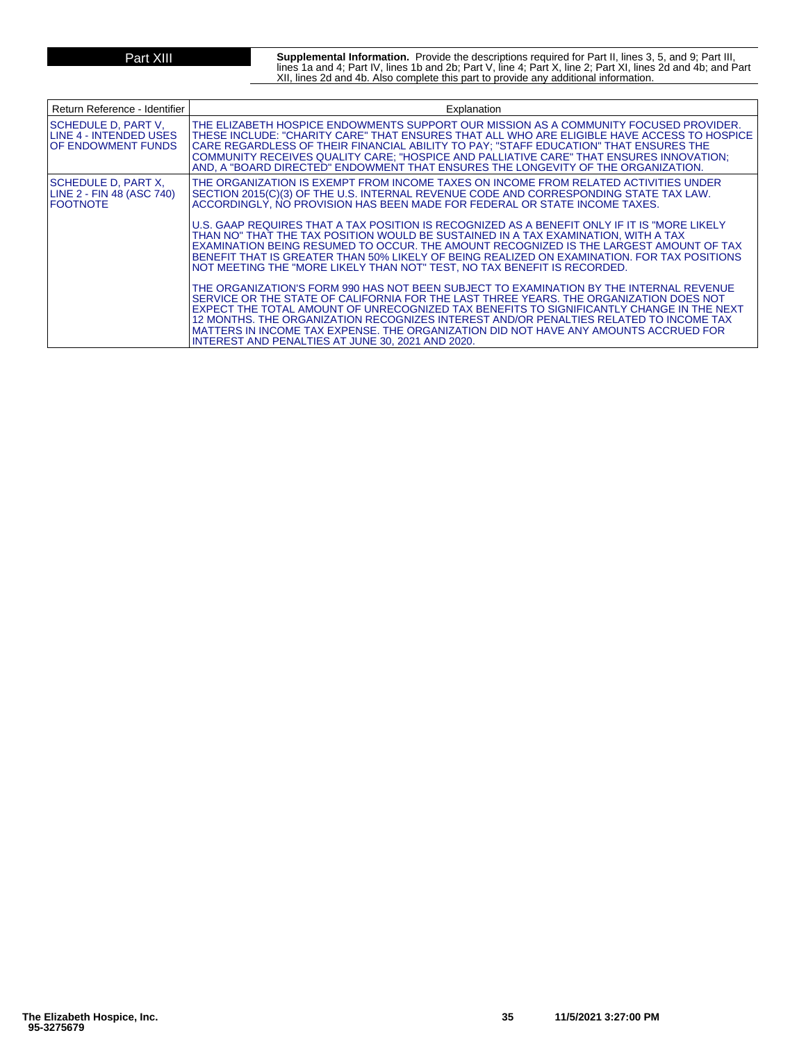**Part XIII** Supplemental Information. Provide the descriptions required for Part II, lines 3, 5, and 9; Part III,<br>lines 1a and 4; Part IV, lines 1b and 2b; Part V, line 4; Part X, line 2; Part XI, lines 2d and 4b; and Part XII, lines 2d and 4b. Also complete this part to provide any additional information.

| Return Reference - Identifier                                               | Explanation                                                                                                                                                                                                                                                                                                                                                                                                                                                                                                          |
|-----------------------------------------------------------------------------|----------------------------------------------------------------------------------------------------------------------------------------------------------------------------------------------------------------------------------------------------------------------------------------------------------------------------------------------------------------------------------------------------------------------------------------------------------------------------------------------------------------------|
| SCHEDULE D, PART V,<br>LINE 4 - INTENDED USES<br><b>IOF ENDOWMENT FUNDS</b> | THE ELIZABETH HOSPICE ENDOWMENTS SUPPORT OUR MISSION AS A COMMUNITY FOCUSED PROVIDER.<br>THESE INCLUDE: "CHARITY CARE" THAT ENSURES THAT ALL WHO ARE ELIGIBLE HAVE ACCESS TO HOSPICE<br>CARE REGARDLESS OF THEIR FINANCIAL ABILITY TO PAY: "STAFF EDUCATION" THAT ENSURES THE<br>COMMUNITY RECEIVES QUALITY CARE; "HOSPICE AND PALLIATIVE CARE" THAT ENSURES INNOVATION;<br>AND. A "BOARD DIRECTED" ENDOWMENT THAT ENSURES THE LONGEVITY OF THE ORGANIZATION.                                                        |
| SCHEDULE D, PART X,<br>LINE 2 - FIN 48 (ASC 740)<br><b>FOOTNOTE</b>         | THE ORGANIZATION IS EXEMPT FROM INCOME TAXES ON INCOME FROM RELATED ACTIVITIES UNDER<br>SECTION 2015(C)(3) OF THE U.S. INTERNAL REVENUE CODE AND CORRESPONDING STATE TAX LAW.<br>ACCORDINGLY, NO PROVISION HAS BEEN MADE FOR FEDERAL OR STATE INCOME TAXES.                                                                                                                                                                                                                                                          |
|                                                                             | U.S. GAAP REQUIRES THAT A TAX POSITION IS RECOGNIZED AS A BENEFIT ONLY IF IT IS "MORE LIKELY<br>THAN NO" THAT THE TAX POSITION WOULD BE SUSTAINED IN A TAX EXAMINATION, WITH A TAX<br>EXAMINATION BEING RESUMED TO OCCUR. THE AMOUNT RECOGNIZED IS THE LARGEST AMOUNT OF TAX<br>BENEFIT THAT IS GREATER THAN 50% LIKELY OF BEING REALIZED ON EXAMINATION. FOR TAX POSITIONS<br>NOT MEETING THE "MORE LIKELY THAN NOT" TEST, NO TAX BENEFIT IS RECORDED.                                                              |
|                                                                             | THE ORGANIZATION'S FORM 990 HAS NOT BEEN SUBJECT TO EXAMINATION BY THE INTERNAL REVENUE<br>SERVICE OR THE STATE OF CALIFORNIA FOR THE LAST THREE YEARS. THE ORGANIZATION DOES NOT<br>EXPECT THE TOTAL AMOUNT OF UNRECOGNIZED TAX BENEFITS TO SIGNIFICANTLY CHANGE IN THE NEXT<br>12 MONTHS. THE ORGANIZATION RECOGNIZES INTEREST AND/OR PENALTIES RELATED TO INCOME TAX<br>MATTERS IN INCOME TAX EXPENSE. THE ORGANIZATION DID NOT HAVE ANY AMOUNTS ACCRUED FOR<br>INTEREST AND PENALTIES AT JUNE 30, 2021 AND 2020. |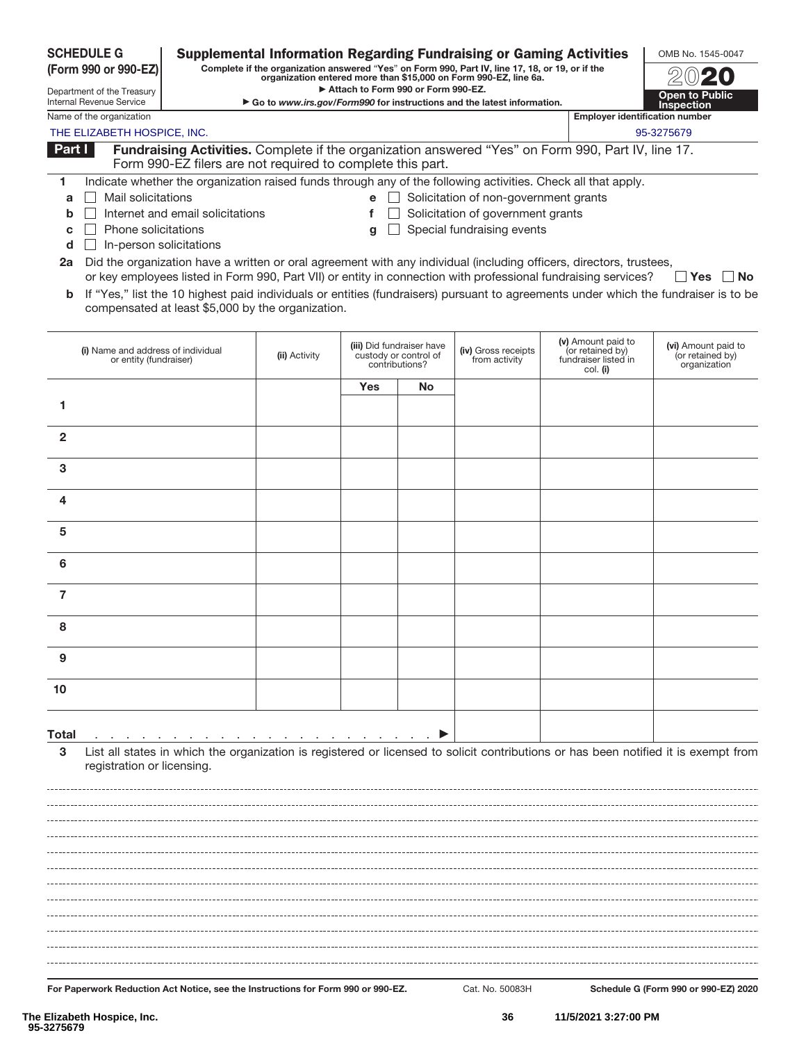|                | Department of the Treasury<br>Internal Revenue Service       | Go to www.irs.gov/Form990 for instructions and the latest information.                                                                                                                                                                | Attach to Form 990 or Form 990-EZ. |                                                                      |                                                                 |                                                                            | Open to Public<br><b>Inspection</b>                     |
|----------------|--------------------------------------------------------------|---------------------------------------------------------------------------------------------------------------------------------------------------------------------------------------------------------------------------------------|------------------------------------|----------------------------------------------------------------------|-----------------------------------------------------------------|----------------------------------------------------------------------------|---------------------------------------------------------|
|                | Name of the organization                                     |                                                                                                                                                                                                                                       |                                    |                                                                      |                                                                 | <b>Employer identification number</b>                                      |                                                         |
|                | THE ELIZABETH HOSPICE, INC.                                  |                                                                                                                                                                                                                                       |                                    |                                                                      |                                                                 |                                                                            | 95-3275679                                              |
| Part I         |                                                              | Fundraising Activities. Complete if the organization answered "Yes" on Form 990, Part IV, line 17.<br>Form 990-EZ filers are not required to complete this part.                                                                      |                                    |                                                                      |                                                                 |                                                                            |                                                         |
| 1.             |                                                              | Indicate whether the organization raised funds through any of the following activities. Check all that apply.                                                                                                                         |                                    |                                                                      |                                                                 |                                                                            |                                                         |
| a              | Mail solicitations                                           |                                                                                                                                                                                                                                       | e                                  |                                                                      | Solicitation of non-government grants                           |                                                                            |                                                         |
| b<br>с         | Internet and email solicitations<br>Phone solicitations      |                                                                                                                                                                                                                                       | f<br>q                             |                                                                      | Solicitation of government grants<br>Special fundraising events |                                                                            |                                                         |
| d              | In-person solicitations                                      |                                                                                                                                                                                                                                       |                                    |                                                                      |                                                                 |                                                                            |                                                         |
| 2a             |                                                              | Did the organization have a written or oral agreement with any individual (including officers, directors, trustees,<br>or key employees listed in Form 990, Part VII) or entity in connection with professional fundraising services? |                                    |                                                                      |                                                                 |                                                                            | ∣ ∣Yes<br>∣No                                           |
| b              |                                                              | If "Yes," list the 10 highest paid individuals or entities (fundraisers) pursuant to agreements under which the fundraiser is to be<br>compensated at least \$5,000 by the organization.                                              |                                    |                                                                      |                                                                 |                                                                            |                                                         |
|                | (i) Name and address of individual<br>or entity (fundraiser) | (ii) Activity                                                                                                                                                                                                                         |                                    | (iii) Did fundraiser have<br>custody or control of<br>contributions? | (iv) Gross receipts<br>from activity                            | (v) Amount paid to<br>(or retained by)<br>fundraiser listed in<br>col. (i) | (vi) Amount paid to<br>(or retained by)<br>organization |
|                |                                                              |                                                                                                                                                                                                                                       | <b>Yes</b>                         | No                                                                   |                                                                 |                                                                            |                                                         |
| 1              |                                                              |                                                                                                                                                                                                                                       |                                    |                                                                      |                                                                 |                                                                            |                                                         |
| $\mathbf{2}$   |                                                              |                                                                                                                                                                                                                                       |                                    |                                                                      |                                                                 |                                                                            |                                                         |
| 3              |                                                              |                                                                                                                                                                                                                                       |                                    |                                                                      |                                                                 |                                                                            |                                                         |
| 4              |                                                              |                                                                                                                                                                                                                                       |                                    |                                                                      |                                                                 |                                                                            |                                                         |
| 5              |                                                              |                                                                                                                                                                                                                                       |                                    |                                                                      |                                                                 |                                                                            |                                                         |
| 6              |                                                              |                                                                                                                                                                                                                                       |                                    |                                                                      |                                                                 |                                                                            |                                                         |
| $\overline{7}$ |                                                              |                                                                                                                                                                                                                                       |                                    |                                                                      |                                                                 |                                                                            |                                                         |
| 8              |                                                              |                                                                                                                                                                                                                                       |                                    |                                                                      |                                                                 |                                                                            |                                                         |
| 9              |                                                              |                                                                                                                                                                                                                                       |                                    |                                                                      |                                                                 |                                                                            |                                                         |
| 10             |                                                              |                                                                                                                                                                                                                                       |                                    |                                                                      |                                                                 |                                                                            |                                                         |
| <b>Total</b>   |                                                              | and a series of the contract of the contract of the contract of the contract of                                                                                                                                                       |                                    |                                                                      |                                                                 |                                                                            |                                                         |
| 3              | registration or licensing.                                   | List all states in which the organization is registered or licensed to solicit contributions or has been notified it is exempt from                                                                                                   |                                    |                                                                      |                                                                 |                                                                            |                                                         |
|                |                                                              |                                                                                                                                                                                                                                       |                                    |                                                                      |                                                                 |                                                                            |                                                         |
|                |                                                              |                                                                                                                                                                                                                                       |                                    |                                                                      |                                                                 |                                                                            |                                                         |
|                |                                                              |                                                                                                                                                                                                                                       |                                    |                                                                      |                                                                 |                                                                            |                                                         |
|                |                                                              |                                                                                                                                                                                                                                       |                                    |                                                                      |                                                                 |                                                                            |                                                         |
|                |                                                              |                                                                                                                                                                                                                                       |                                    |                                                                      |                                                                 |                                                                            |                                                         |
|                |                                                              |                                                                                                                                                                                                                                       |                                    |                                                                      |                                                                 |                                                                            |                                                         |
|                |                                                              |                                                                                                                                                                                                                                       |                                    |                                                                      |                                                                 |                                                                            |                                                         |
|                |                                                              |                                                                                                                                                                                                                                       |                                    |                                                                      |                                                                 |                                                                            |                                                         |
|                |                                                              |                                                                                                                                                                                                                                       |                                    |                                                                      |                                                                 |                                                                            |                                                         |
|                |                                                              |                                                                                                                                                                                                                                       |                                    |                                                                      |                                                                 |                                                                            |                                                         |

Complete if the organization answered "Yes" on Form 990, Part IV, line 17, 18, or 19, or if the<br>organization answered "Yes" on Form 990, Part IV, line 17, 18, or 19, or if the<br>organization entered more than \$15,000 on Form

**For Paperwork Reduction Act Notice, see the Instructions for Form 990 or 990-EZ.** Cat. No. 50083H **Schedule G (Form 990 or 990-EZ) 2020**

OMB No. 1545-0047 20**20**

**SCHEDULE G (Form 990 or 990-EZ)**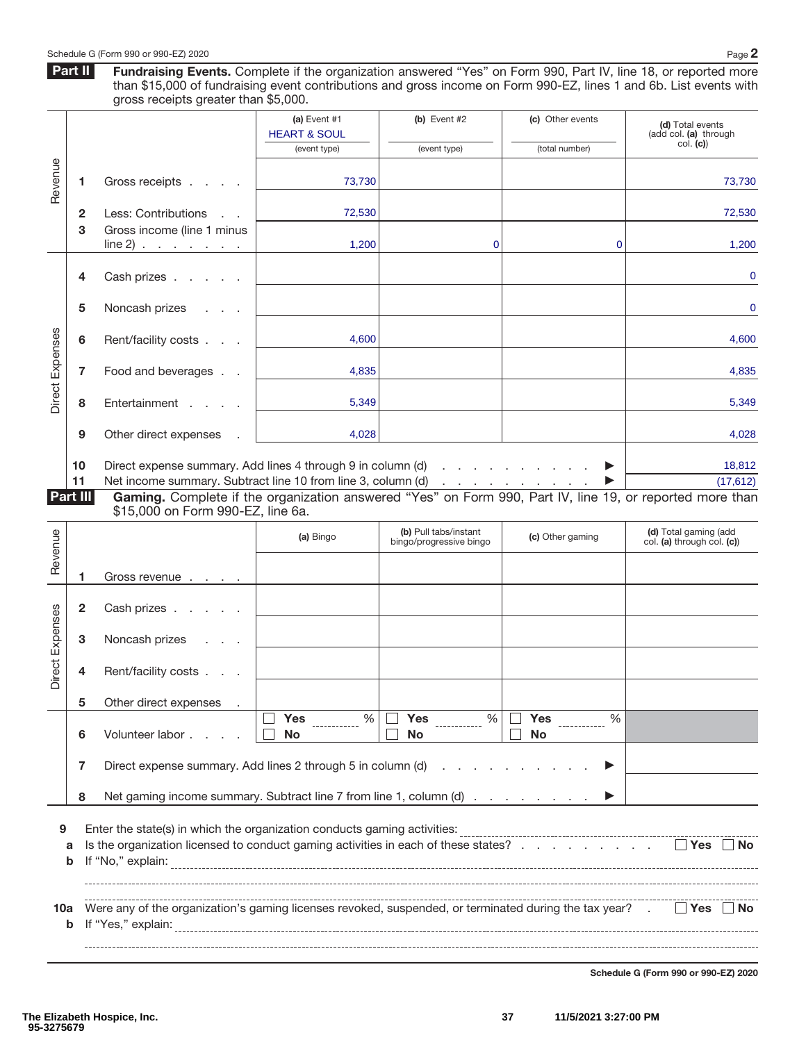**Part II Fundraising Events.** Complete if the organization answered "Yes" on Form 990, Part IV, line 18, or reported more than \$15,000 of fundraising event contributions and gross income on Form 990-EZ, lines 1 and 6b. List events with gross receipts greater than \$5,000.

|                 |          |                                                                                                                               | (a) Event #1<br><b>HEART &amp; SOUL</b> | (b) Event $#2$                                   | (c) Other events | (d) Total events<br>(add col. (a) through           |
|-----------------|----------|-------------------------------------------------------------------------------------------------------------------------------|-----------------------------------------|--------------------------------------------------|------------------|-----------------------------------------------------|
|                 |          |                                                                                                                               | (event type)                            | (event type)                                     | (total number)   | col. (c)                                            |
|                 |          |                                                                                                                               |                                         |                                                  |                  |                                                     |
| Revenue         | 1        | Gross receipts                                                                                                                | 73,730                                  |                                                  |                  | 73,730                                              |
|                 | 2        | Less: Contributions                                                                                                           | 72,530                                  |                                                  |                  | 72,530                                              |
|                 | 3        | Gross income (line 1 minus<br>$line 2)$                                                                                       | 1,200                                   | 0                                                | $\mathbf 0$      | 1,200                                               |
|                 | 4        | Cash prizes                                                                                                                   |                                         |                                                  |                  | 0                                                   |
|                 | 5        | Noncash prizes                                                                                                                |                                         |                                                  |                  | 0                                                   |
|                 | 6        | Rent/facility costs                                                                                                           | 4,600                                   |                                                  |                  | 4,600                                               |
| Direct Expenses | 7        | Food and beverages                                                                                                            | 4,835                                   |                                                  |                  | 4,835                                               |
|                 | 8        | Entertainment                                                                                                                 | 5,349                                   |                                                  |                  | 5,349                                               |
|                 | 9        | Other direct expenses                                                                                                         | 4,028                                   |                                                  |                  | 4,028                                               |
|                 | 10       | Direct expense summary. Add lines 4 through 9 in column (d)                                                                   |                                         |                                                  |                  | 18,812                                              |
|                 | 11       | Net income summary. Subtract line 10 from line 3, column (d)                                                                  |                                         |                                                  | ▶                | (17, 612)                                           |
|                 | Part III | Gaming. Complete if the organization answered "Yes" on Form 990, Part IV, line 19, or reported more than                      |                                         |                                                  |                  |                                                     |
|                 |          | \$15,000 on Form 990-EZ, line 6a.                                                                                             |                                         |                                                  |                  |                                                     |
|                 |          |                                                                                                                               |                                         |                                                  |                  |                                                     |
| Revenue         |          |                                                                                                                               | (a) Bingo                               | (b) Pull tabs/instant<br>bingo/progressive bingo | (c) Other gaming | (d) Total gaming (add<br>col. (a) through col. (c)) |
|                 |          |                                                                                                                               |                                         |                                                  |                  |                                                     |
|                 |          |                                                                                                                               |                                         |                                                  |                  |                                                     |
|                 | 1        | Gross revenue                                                                                                                 |                                         |                                                  |                  |                                                     |
|                 | 2        | Cash prizes                                                                                                                   |                                         |                                                  |                  |                                                     |
| Direct Expenses | 3        | Noncash prizes                                                                                                                |                                         |                                                  |                  |                                                     |
|                 | 4        | Rent/facility costs                                                                                                           |                                         |                                                  |                  |                                                     |
|                 | 5        | Other direct expenses                                                                                                         |                                         |                                                  |                  |                                                     |
|                 |          |                                                                                                                               | %<br><b>Yes</b>                         | $\%$<br>Yes                                      | %<br>Yes         |                                                     |
|                 | 6        | Volunteer labor.                                                                                                              | No                                      | No                                               | <b>No</b>        |                                                     |
|                 | 7        | Direct expense summary. Add lines 2 through 5 in column (d)                                                                   |                                         |                                                  |                  |                                                     |
|                 | 8        | Net gaming income summary. Subtract line 7 from line 1, column (d)                                                            |                                         |                                                  |                  |                                                     |
| 9               |          | Enter the state(s) in which the organization conducts gaming activities:                                                      |                                         |                                                  |                  |                                                     |
|                 | a<br>b   | Is the organization licensed to conduct gaming activities in each of these states?<br>If "No," explain:                       |                                         |                                                  |                  | $\Box$ Yes $\Box$<br>∣No                            |
|                 |          |                                                                                                                               |                                         |                                                  |                  |                                                     |
| 10a             | b        | Were any of the organization's gaming licenses revoked, suspended, or terminated during the tax year? .<br>If "Yes," explain: |                                         |                                                  |                  | ∣ l Yes ∃<br>∣No                                    |
|                 |          |                                                                                                                               |                                         |                                                  |                  |                                                     |

**Schedule G (Form 990 or 990-EZ) 2020**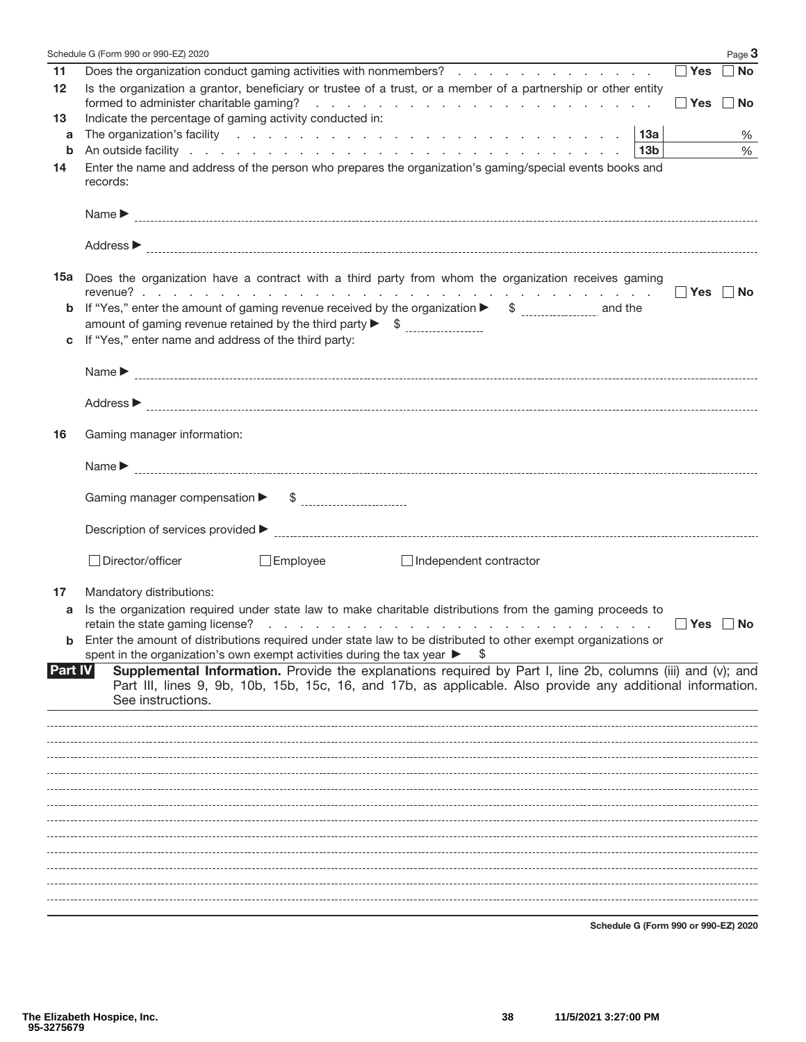|                | Schedule G (Form 990 or 990-EZ) 2020<br>Page 3                                                                                                                                                                                                                  |
|----------------|-----------------------------------------------------------------------------------------------------------------------------------------------------------------------------------------------------------------------------------------------------------------|
| 11             | $\Box$ Yes<br>Does the organization conduct gaming activities with nonmembers?<br>$\Box$ No                                                                                                                                                                     |
| 12             | Is the organization a grantor, beneficiary or trustee of a trust, or a member of a partnership or other entity<br>formed to administer charitable gaming?<br>the contract of the contract of the contract of the contract of the contract of<br>∣ ∣Yes<br>∣ ∣No |
| 13             | Indicate the percentage of gaming activity conducted in:                                                                                                                                                                                                        |
| a              | %                                                                                                                                                                                                                                                               |
| b              | $\%$<br> 13b                                                                                                                                                                                                                                                    |
| 14             | Enter the name and address of the person who prepares the organization's gaming/special events books and<br>records:                                                                                                                                            |
|                | Name $\blacktriangleright$                                                                                                                                                                                                                                      |
|                |                                                                                                                                                                                                                                                                 |
|                | 15a Does the organization have a contract with a third party from whom the organization receives gaming                                                                                                                                                         |
|                | Yes   No<br>If "Yes," enter the amount of gaming revenue received by the organization $\triangleright$ \$ ________________ and the                                                                                                                              |
| b              |                                                                                                                                                                                                                                                                 |
| C              | If "Yes," enter name and address of the third party:                                                                                                                                                                                                            |
|                |                                                                                                                                                                                                                                                                 |
|                | Name $\blacktriangleright$                                                                                                                                                                                                                                      |
|                |                                                                                                                                                                                                                                                                 |
| 16             | Gaming manager information:                                                                                                                                                                                                                                     |
|                | Name $\blacktriangleright$                                                                                                                                                                                                                                      |
|                | Gaming manager compensation $\blacktriangleright$<br>$\frac{1}{2}$                                                                                                                                                                                              |
|                |                                                                                                                                                                                                                                                                 |
|                | $\Box$ Employee<br>□ Director/officer<br>Independent contractor                                                                                                                                                                                                 |
| 17             | Mandatory distributions:                                                                                                                                                                                                                                        |
| a              | Is the organization required under state law to make charitable distributions from the gaming proceeds to<br>$\blacksquare$ Yes<br>∣ ∣No                                                                                                                        |
| b              | Enter the amount of distributions required under state law to be distributed to other exempt organizations or<br>spent in the organization's own exempt activities during the tax year ▶<br>\$                                                                  |
| <b>Part IV</b> | Supplemental Information. Provide the explanations required by Part I, line 2b, columns (iii) and (v); and<br>Part III, lines 9, 9b, 10b, 15b, 15c, 16, and 17b, as applicable. Also provide any additional information.<br>See instructions.                   |
|                |                                                                                                                                                                                                                                                                 |
|                |                                                                                                                                                                                                                                                                 |
|                |                                                                                                                                                                                                                                                                 |
|                |                                                                                                                                                                                                                                                                 |
|                |                                                                                                                                                                                                                                                                 |
|                |                                                                                                                                                                                                                                                                 |
|                |                                                                                                                                                                                                                                                                 |
|                |                                                                                                                                                                                                                                                                 |
|                |                                                                                                                                                                                                                                                                 |
|                |                                                                                                                                                                                                                                                                 |
|                |                                                                                                                                                                                                                                                                 |
|                |                                                                                                                                                                                                                                                                 |

**Schedule G (Form 990 or 990-EZ) 2020**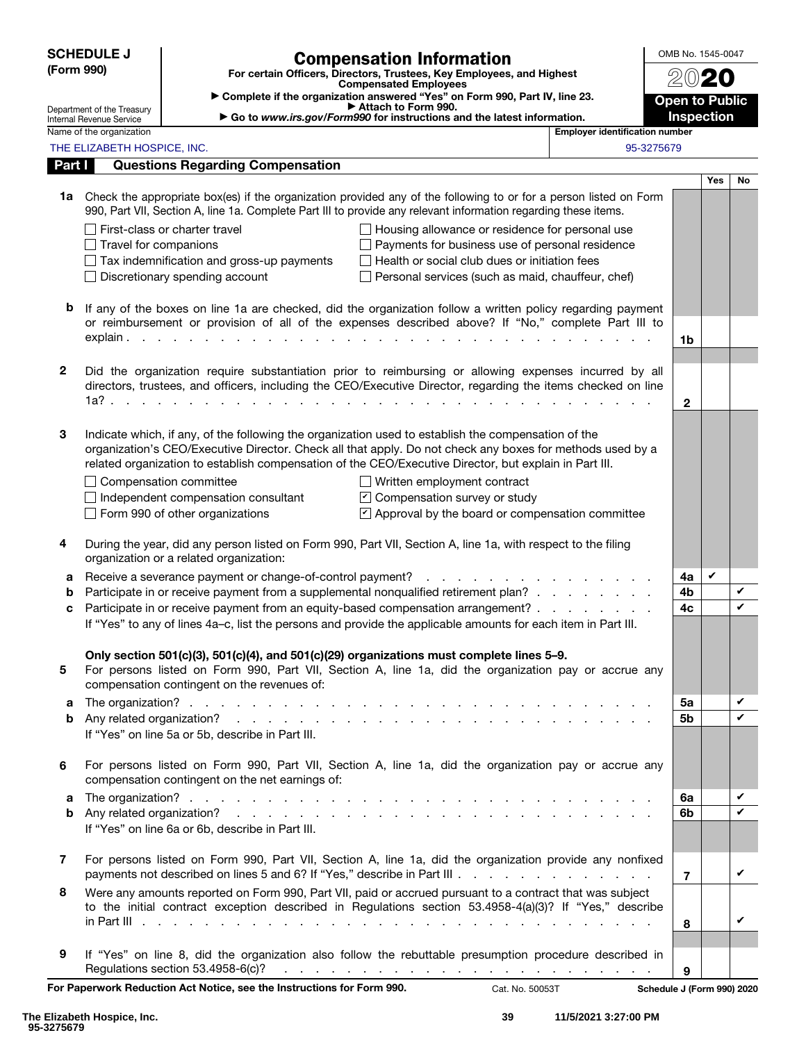| <b>SCHEDULE J</b><br>(Form 990) |                                                         | <b>Compensation Information</b>                                                                                                                                                                                                                                                                                            |                                                                                                                                                                                                          |                                       |                            |            | OMB No. 1545-0047 |  |  |  |
|---------------------------------|---------------------------------------------------------|----------------------------------------------------------------------------------------------------------------------------------------------------------------------------------------------------------------------------------------------------------------------------------------------------------------------------|----------------------------------------------------------------------------------------------------------------------------------------------------------------------------------------------------------|---------------------------------------|----------------------------|------------|-------------------|--|--|--|
|                                 |                                                         | For certain Officers, Directors, Trustees, Key Employees, and Highest<br><b>Compensated Employees</b>                                                                                                                                                                                                                      |                                                                                                                                                                                                          |                                       |                            |            | 2020              |  |  |  |
|                                 |                                                         |                                                                                                                                                                                                                                                                                                                            | > Complete if the organization answered "Yes" on Form 990, Part IV, line 23.<br>Attach to Form 990.                                                                                                      |                                       | <b>Open to Public</b>      |            |                   |  |  |  |
|                                 | Department of the Treasury<br>Internal Revenue Service  |                                                                                                                                                                                                                                                                                                                            | Go to www.irs.gov/Form990 for instructions and the latest information.                                                                                                                                   |                                       | <b>Inspection</b>          |            |                   |  |  |  |
|                                 | Name of the organization<br>THE ELIZABETH HOSPICE, INC. |                                                                                                                                                                                                                                                                                                                            |                                                                                                                                                                                                          | <b>Employer identification number</b> | 95-3275679                 |            |                   |  |  |  |
| Part I                          |                                                         | <b>Questions Regarding Compensation</b>                                                                                                                                                                                                                                                                                    |                                                                                                                                                                                                          |                                       |                            |            |                   |  |  |  |
|                                 |                                                         |                                                                                                                                                                                                                                                                                                                            |                                                                                                                                                                                                          |                                       |                            | <b>Yes</b> | No                |  |  |  |
| 1a                              |                                                         | Check the appropriate box(es) if the organization provided any of the following to or for a person listed on Form<br>990, Part VII, Section A, line 1a. Complete Part III to provide any relevant information regarding these items.                                                                                       |                                                                                                                                                                                                          |                                       |                            |            |                   |  |  |  |
|                                 | Travel for companions                                   | First-class or charter travel<br>$\Box$ Tax indemnification and gross-up payments<br>Discretionary spending account                                                                                                                                                                                                        | Housing allowance or residence for personal use<br>Payments for business use of personal residence<br>Health or social club dues or initiation fees<br>Personal services (such as maid, chauffeur, chef) |                                       |                            |            |                   |  |  |  |
| b                               |                                                         | If any of the boxes on line 1a are checked, did the organization follow a written policy regarding payment<br>or reimbursement or provision of all of the expenses described above? If "No," complete Part III to                                                                                                          |                                                                                                                                                                                                          |                                       | 1b                         |            |                   |  |  |  |
| $\overline{2}$                  |                                                         | Did the organization require substantiation prior to reimbursing or allowing expenses incurred by all<br>directors, trustees, and officers, including the CEO/Executive Director, regarding the items checked on line                                                                                                      | and a state of the state of the                                                                                                                                                                          |                                       | $\mathbf{2}$               |            |                   |  |  |  |
| 3                               |                                                         | Indicate which, if any, of the following the organization used to establish the compensation of the<br>organization's CEO/Executive Director. Check all that apply. Do not check any boxes for methods used by a<br>related organization to establish compensation of the CEO/Executive Director, but explain in Part III. |                                                                                                                                                                                                          |                                       |                            |            |                   |  |  |  |
|                                 |                                                         | $\Box$ Compensation committee<br>$\Box$ Independent compensation consultant<br>$\Box$ Form 990 of other organizations                                                                                                                                                                                                      | $\Box$ Written employment contract<br>$\triangleright$ Compensation survey or study<br>$\triangleright$ Approval by the board or compensation committee                                                  |                                       |                            |            |                   |  |  |  |
| 4                               |                                                         | During the year, did any person listed on Form 990, Part VII, Section A, line 1a, with respect to the filing<br>organization or a related organization:                                                                                                                                                                    |                                                                                                                                                                                                          |                                       |                            |            |                   |  |  |  |
| а<br>b<br>c                     |                                                         | Participate in or receive payment from a supplemental nonqualified retirement plan?<br>Participate in or receive payment from an equity-based compensation arrangement?<br>If "Yes" to any of lines 4a-c, list the persons and provide the applicable amounts for each item in Part III.                                   |                                                                                                                                                                                                          |                                       | 4a<br>4b<br>4c             | V          | V<br>V            |  |  |  |
| 5                               |                                                         | Only section 501(c)(3), 501(c)(4), and 501(c)(29) organizations must complete lines 5–9.<br>For persons listed on Form 990, Part VII, Section A, line 1a, did the organization pay or accrue any<br>compensation contingent on the revenues of:                                                                            |                                                                                                                                                                                                          |                                       |                            |            |                   |  |  |  |
| а                               |                                                         |                                                                                                                                                                                                                                                                                                                            |                                                                                                                                                                                                          |                                       | 5a                         |            | V                 |  |  |  |
| b                               |                                                         | If "Yes" on line 5a or 5b, describe in Part III.                                                                                                                                                                                                                                                                           |                                                                                                                                                                                                          |                                       | 5b                         |            | V                 |  |  |  |
| 6                               |                                                         | For persons listed on Form 990, Part VII, Section A, line 1a, did the organization pay or accrue any<br>compensation contingent on the net earnings of:                                                                                                                                                                    |                                                                                                                                                                                                          |                                       |                            |            |                   |  |  |  |
| а                               |                                                         |                                                                                                                                                                                                                                                                                                                            |                                                                                                                                                                                                          |                                       | 6a                         |            | V                 |  |  |  |
| b                               |                                                         | If "Yes" on line 6a or 6b, describe in Part III.                                                                                                                                                                                                                                                                           |                                                                                                                                                                                                          |                                       | 6b                         |            | V                 |  |  |  |
| $\overline{\mathbf{r}}$         |                                                         | For persons listed on Form 990, Part VII, Section A, line 1a, did the organization provide any nonfixed<br>payments not described on lines 5 and 6? If "Yes," describe in Part III                                                                                                                                         |                                                                                                                                                                                                          |                                       | $\overline{7}$             |            | V                 |  |  |  |
| 8                               |                                                         | Were any amounts reported on Form 990, Part VII, paid or accrued pursuant to a contract that was subject<br>to the initial contract exception described in Regulations section 53.4958-4(a)(3)? If "Yes," describe                                                                                                         |                                                                                                                                                                                                          |                                       | 8                          |            | V                 |  |  |  |
| 9                               |                                                         | If "Yes" on line 8, did the organization also follow the rebuttable presumption procedure described in<br>Regulations section 53.4958-6(c)?                                                                                                                                                                                | the contract of the contract of the contract of the contract of the contract of                                                                                                                          |                                       | 9                          |            |                   |  |  |  |
|                                 |                                                         | For Paperwork Reduction Act Notice, see the Instructions for Form 990.                                                                                                                                                                                                                                                     | Cat. No. 50053T                                                                                                                                                                                          |                                       | Schedule J (Form 990) 2020 |            |                   |  |  |  |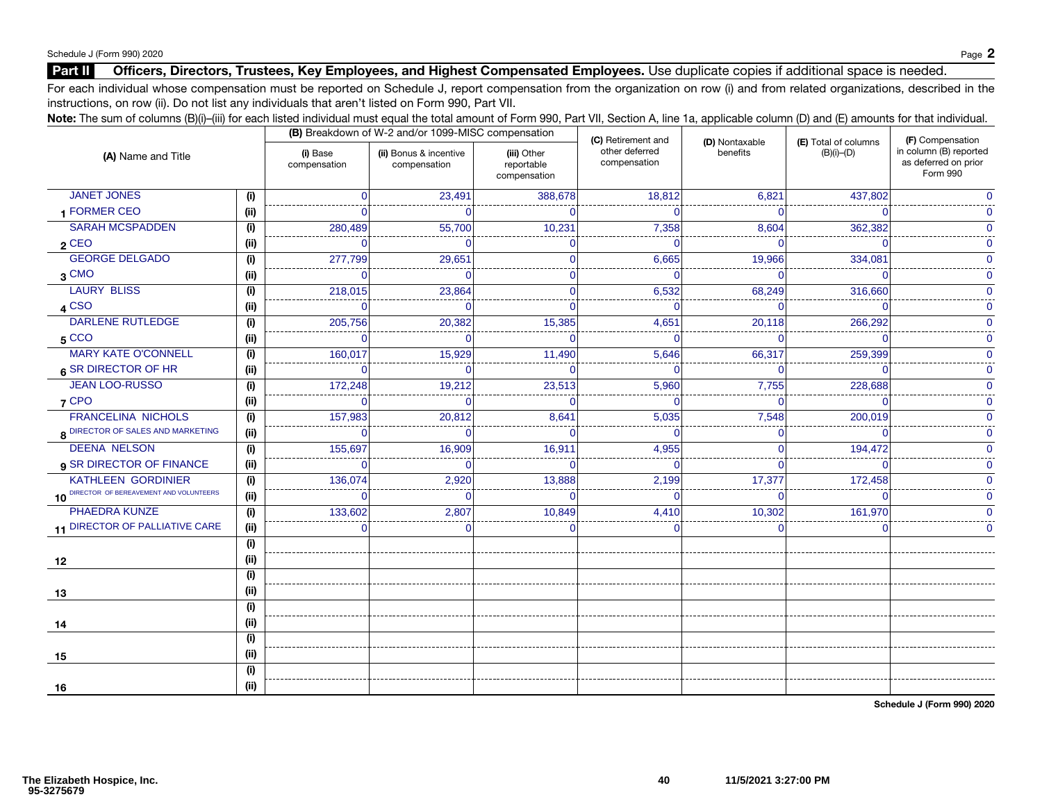#### Part II Officers, Directors, Trustees, Key Employees, and Highest Compensated Employees. Use duplicate copies if additional space is needed.

For each individual whose compensation must be reported on Schedule J, report compensation from the organization on row (i) and from related organizations, described in the instructions, on row (ii). Do not list any individuals that aren't listed on Form 990, Part VII.

| (A) Name and Title                        |      | (B) Breakdown of W-2 and/or 1099-MISC compensation<br>(i) Base<br>(ii) Bonus & incentive<br>(iii) Other |              | (C) Retirement and<br>other deferred | (D) Nontaxable<br>benefits | (E) Total of columns | (F) Compensation<br>in column (B) reported |                                  |
|-------------------------------------------|------|---------------------------------------------------------------------------------------------------------|--------------|--------------------------------------|----------------------------|----------------------|--------------------------------------------|----------------------------------|
|                                           |      | compensation                                                                                            | compensation | reportable<br>compensation           | compensation               |                      | $(B)(i)$ – $(D)$                           | as deferred on prior<br>Form 990 |
| <b>JANET JONES</b>                        | (i)  |                                                                                                         | 23,491       | 388,678                              | 18,812                     | 6,821                | 437,802                                    |                                  |
| 1 FORMER CEO                              | (ii) |                                                                                                         |              |                                      |                            |                      |                                            |                                  |
| <b>SARAH MCSPADDEN</b>                    | (i)  | 280,489                                                                                                 | 55,700       | 10,231                               | 7,358                      | 8,604                | 362,382                                    |                                  |
| 2 CEO                                     | (ii) |                                                                                                         |              |                                      |                            |                      |                                            |                                  |
| <b>GEORGE DELGADO</b>                     | (i)  | 277,799                                                                                                 | 29,651       |                                      | 6,665                      | 19,966               | 334,081                                    |                                  |
| 3 CMO                                     | (ii) |                                                                                                         |              |                                      |                            |                      |                                            |                                  |
| <b>LAURY BLISS</b>                        | (i)  | 218,015                                                                                                 | 23,864       |                                      | 6,532                      | 68,249               | 316,660                                    |                                  |
| 4 CSO                                     | (ii) |                                                                                                         |              |                                      |                            |                      |                                            |                                  |
| <b>DARLENE RUTLEDGE</b>                   | (i)  | 205,756                                                                                                 | 20,382       | 15,385                               | 4,651                      | 20,118               | 266,292                                    |                                  |
| 5 CCO                                     | (ii) |                                                                                                         |              |                                      |                            |                      |                                            |                                  |
| <b>MARY KATE O'CONNELL</b>                | (i)  | 160,017                                                                                                 | 15,929       | 11,490                               | 5,646                      | 66,317               | 259,399                                    |                                  |
| 6 SR DIRECTOR OF HR                       | (ii) |                                                                                                         |              |                                      |                            |                      |                                            |                                  |
| <b>JEAN LOO-RUSSO</b>                     | (i)  | 172,248                                                                                                 | 19,212       | 23,513                               | 5,960                      | 7,755                | 228,688                                    |                                  |
| 7 CPO                                     | (ii) |                                                                                                         |              |                                      |                            |                      |                                            |                                  |
| <b>FRANCELINA NICHOLS</b>                 | (i)  | 157,983                                                                                                 | 20,812       | 8,641                                | 5,035                      | 7,548                | 200,019                                    |                                  |
| 8 DIRECTOR OF SALES AND MARKETING         | (ii) |                                                                                                         |              |                                      |                            |                      |                                            |                                  |
| <b>DEENA NELSON</b>                       | (i)  | 155,697                                                                                                 | 16,909       | 16,911                               | 4,955                      | $\Omega$             | 194,472                                    |                                  |
| 9 SR DIRECTOR OF FINANCE                  | (ii) |                                                                                                         |              |                                      |                            |                      |                                            |                                  |
| <b>KATHLEEN GORDINIER</b>                 | (i)  | 136,074                                                                                                 | 2,920        | 13,888                               | 2,199                      | 17,377               | 172,458                                    |                                  |
| 10 DIRECTOR OF BEREAVEMENT AND VOLUNTEERS | (ii) |                                                                                                         |              |                                      |                            |                      |                                            |                                  |
| <b>PHAEDRA KUNZE</b>                      | (i)  | 133,602                                                                                                 | 2,807        | 10,849                               | 4,410                      | 10,302               | 161,970                                    |                                  |
| 11 DIRECTOR OF PALLIATIVE CARE            | (ii) |                                                                                                         |              |                                      |                            |                      |                                            |                                  |
|                                           | (i)  |                                                                                                         |              |                                      |                            |                      |                                            |                                  |
| 12                                        | (ii) |                                                                                                         |              |                                      |                            |                      |                                            |                                  |
|                                           | (i)  |                                                                                                         |              |                                      |                            |                      |                                            |                                  |
| 13                                        | (ii) |                                                                                                         |              |                                      |                            |                      |                                            |                                  |
|                                           | (i)  |                                                                                                         |              |                                      |                            |                      |                                            |                                  |
| 14                                        | (ii) |                                                                                                         |              |                                      |                            |                      |                                            |                                  |
|                                           | (i)  |                                                                                                         |              |                                      |                            |                      |                                            |                                  |
| 15                                        | (ii) |                                                                                                         |              |                                      |                            |                      |                                            |                                  |
|                                           | (i)  |                                                                                                         |              |                                      |                            |                      |                                            |                                  |
| 16                                        | (ii) |                                                                                                         |              |                                      |                            |                      |                                            |                                  |

Note: The sum of columns (B)(i)-(iii) for each listed individual must equal the total amount of Form 990, Part VII, Section A, line 1a, applicable column (D) and (E) amounts for that individual.

Schedule J (Form 990) 2020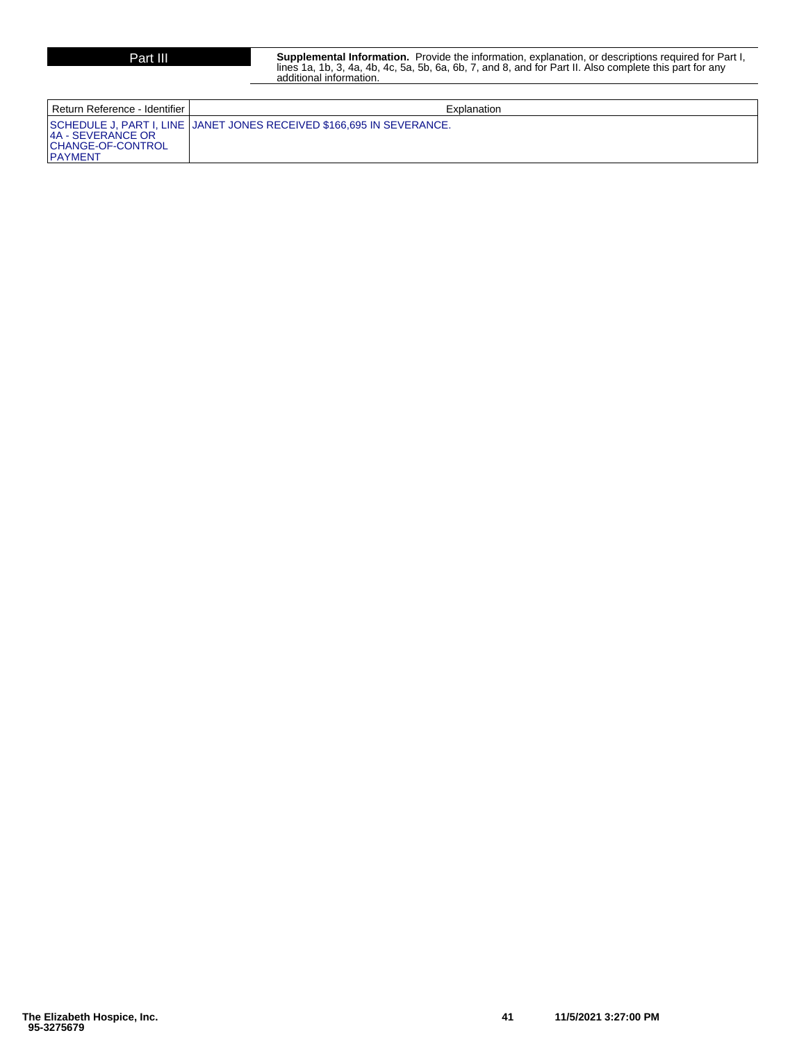Part III Supplemental Information. Provide the information, explanation, or descriptions required for Part I,<br>lines 1a, 1b, 3, 4a, 4b, 4c, 5a, 5b, 6a, 6b, 7, and 8, and for Part II. Also complete this part for any additional information.

| Return Reference - Identifier I                                    | Explanation                                                            |
|--------------------------------------------------------------------|------------------------------------------------------------------------|
| 14A - SEVERANCE OR<br><b>ICHANGE-OF-CONTROL</b><br><b>IPAYMENT</b> | SCHEDULE J, PART I, LINE JJANET JONES RECEIVED \$166,695 IN SEVERANCE. |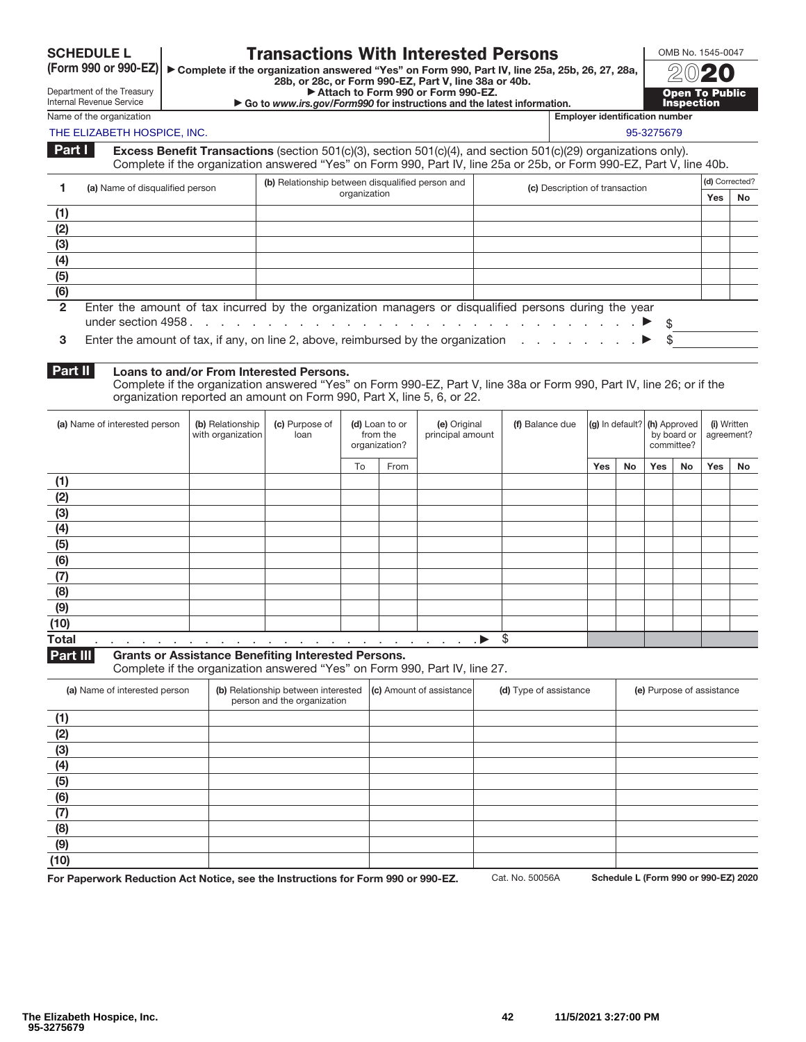| <b>SCHEDULE L</b> |  |  |
|-------------------|--|--|
|                   |  |  |

#### **(Form 990 or 990-EZ)**

▶ Go to www.irs.gov/Form990 for instructions and the latest information.

► Complete if the organization answered "Yes" on Form 990, Part IV, line 25a, 25b, 26, 27, 28a, **28b, or 28c, or Form 990-EZ, Part V, line 38a or 40b.** Attach to Form 990 or Form 990-EZ.

Department of the Treasury Internal Revenue Service

#### Name of the organization **Employer identification number**

THE ELIZABETH HOSPICE, INC. 95-3275679

OMB No. 1545-0047 20**20 Open To Public Inspection**

#### Part I **Excess Benefit Transactions** (section 501(c)(3), section 501(c)(4), and section 501(c)(29) organizations only). Complete if the organization answered "Yes" on Form 990, Part IV, line 25a or 25b, or Form 990-EZ, Part V, line 40b.

|                | (a) Name of disqualified person                                                                                                 | (b) Relationship between disqualified person and                                                      | (c) Description of transaction |            | (d) Corrected? |  |  |  |
|----------------|---------------------------------------------------------------------------------------------------------------------------------|-------------------------------------------------------------------------------------------------------|--------------------------------|------------|----------------|--|--|--|
|                |                                                                                                                                 | organization                                                                                          |                                | <b>Yes</b> | <b>No</b>      |  |  |  |
| (1)            |                                                                                                                                 |                                                                                                       |                                |            |                |  |  |  |
| (2)            |                                                                                                                                 |                                                                                                       |                                |            |                |  |  |  |
| (3)            |                                                                                                                                 |                                                                                                       |                                |            |                |  |  |  |
| (4)            |                                                                                                                                 |                                                                                                       |                                |            |                |  |  |  |
| (5)            |                                                                                                                                 |                                                                                                       |                                |            |                |  |  |  |
| (6)            |                                                                                                                                 |                                                                                                       |                                |            |                |  |  |  |
| $\overline{2}$ |                                                                                                                                 | Enter the amount of tax incurred by the organization managers or disqualified persons during the year |                                |            |                |  |  |  |
|                | under section 4958. $\ldots$ $\ldots$ $\ldots$ $\ldots$ $\ldots$ $\ldots$ $\ldots$ $\ldots$ $\ldots$ $\ldots$ $\ldots$ $\ldots$ |                                                                                                       |                                |            |                |  |  |  |
|                |                                                                                                                                 |                                                                                                       |                                |            |                |  |  |  |

**3** Enter the amount of tax, if any, on line 2, above, reimbursed by the organization  $\ldots$ ....

#### **Part II Loans to and/or From Interested Persons.**

Complete if the organization answered "Yes" on Form 990-EZ, Part V, line 38a or Form 990, Part IV, line 26; or if the organization reported an amount on Form 990, Part X, line 5, 6, or 22.

| (a) Name of interested person      | (b) Relationship<br>with organization     | (c) Purpose of<br>loan | (d) Loan to or<br>organization? | from the | (e) Original<br>principal amount                                              | (f) Balance due          | (g) In default? (h) Approved |    | committee? | by board or |     | (i) Written<br>agreement? |
|------------------------------------|-------------------------------------------|------------------------|---------------------------------|----------|-------------------------------------------------------------------------------|--------------------------|------------------------------|----|------------|-------------|-----|---------------------------|
|                                    |                                           |                        | To                              | From     |                                                                               |                          | Yes                          | No | <b>Yes</b> | No          | Yes | No                        |
| (1)                                |                                           |                        |                                 |          |                                                                               |                          |                              |    |            |             |     |                           |
| (2)                                |                                           |                        |                                 |          |                                                                               |                          |                              |    |            |             |     |                           |
| (3)                                |                                           |                        |                                 |          |                                                                               |                          |                              |    |            |             |     |                           |
| (4)                                |                                           |                        |                                 |          |                                                                               |                          |                              |    |            |             |     |                           |
| (5)                                |                                           |                        |                                 |          |                                                                               |                          |                              |    |            |             |     |                           |
| (6)                                |                                           |                        |                                 |          |                                                                               |                          |                              |    |            |             |     |                           |
| (7)                                |                                           |                        |                                 |          |                                                                               |                          |                              |    |            |             |     |                           |
| (8)                                |                                           |                        |                                 |          |                                                                               |                          |                              |    |            |             |     |                           |
| (9)                                |                                           |                        |                                 |          |                                                                               |                          |                              |    |            |             |     |                           |
| (10)                               |                                           |                        |                                 |          |                                                                               |                          |                              |    |            |             |     |                           |
| <b>Total</b><br>$\sim$<br>.<br>. . | $\sim$<br>. .<br>$\sim$<br>. .<br>$\cdot$ |                        |                                 |          | $\mathcal{A}$ , and the set of the set of the set of the set of $\mathcal{A}$ | $\overline{\mathcal{S}}$ |                              |    |            |             |     |                           |

**Part III Grants or Assistance Benefiting Interested Persons.** 

Complete if the organization answered "Yes" on Form 990, Part IV, line 27.

| (a) Name of interested person | (b) Relationship between interested<br>person and the organization | (c) Amount of assistance | (d) Type of assistance | (e) Purpose of assistance |
|-------------------------------|--------------------------------------------------------------------|--------------------------|------------------------|---------------------------|
| (1)                           |                                                                    |                          |                        |                           |
| (2)                           |                                                                    |                          |                        |                           |
| (3)                           |                                                                    |                          |                        |                           |
| (4)                           |                                                                    |                          |                        |                           |
| (5)                           |                                                                    |                          |                        |                           |
| (6)                           |                                                                    |                          |                        |                           |
| (7)                           |                                                                    |                          |                        |                           |
| (8)                           |                                                                    |                          |                        |                           |
| (9)                           |                                                                    |                          |                        |                           |
| (10)                          |                                                                    |                          |                        |                           |

**For Paperwork Reduction Act Notice, see the Instructions for Form 990 or 990-EZ.** Cat. No. 50056A **Schedule L (Form 990 or 990-EZ) 2020**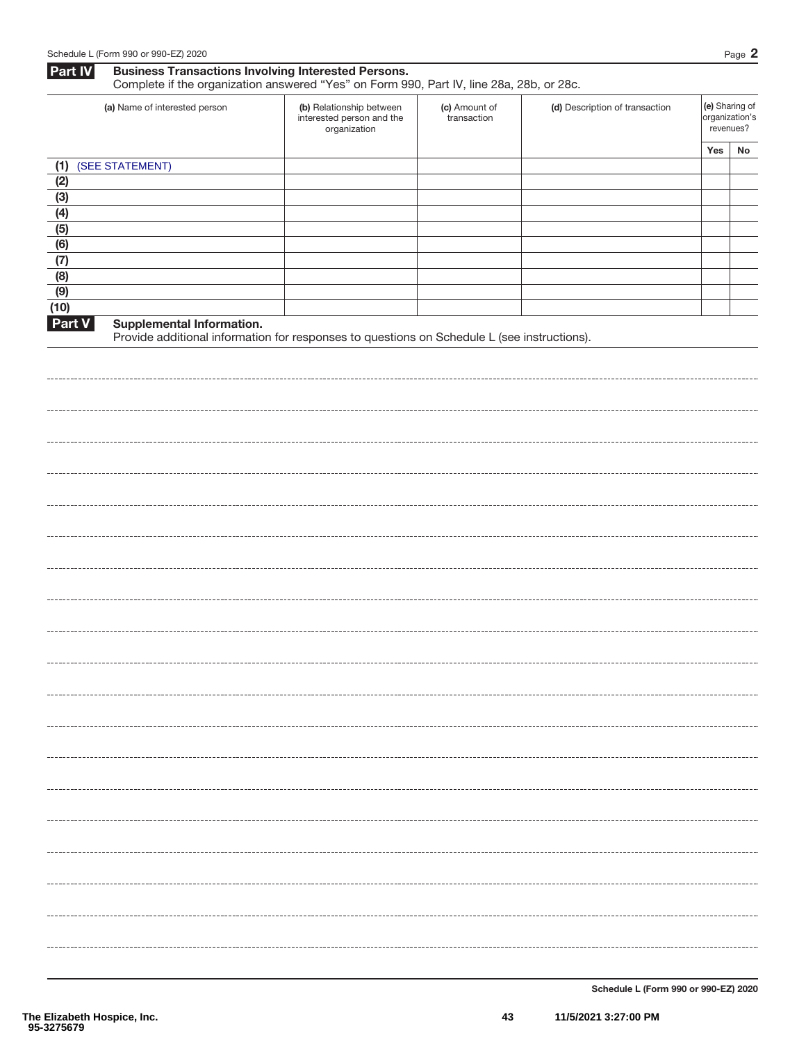#### **Part IV Business Transactions Involving Interested Persons.** Complete if the organization answered "Yes" on Form 990, Part IV, line 28a, 28b, or 28c.

| (a) Name of interested person          | (b) Relationship between<br>interested person and the<br>organization | (c) Amount of<br>transaction | (d) Description of transaction | revenues? | (e) Sharing of<br>organization's |
|----------------------------------------|-----------------------------------------------------------------------|------------------------------|--------------------------------|-----------|----------------------------------|
|                                        |                                                                       |                              |                                | Yes       | No                               |
| (SEE STATEMENT)<br>(1)                 |                                                                       |                              |                                |           |                                  |
| (2)                                    |                                                                       |                              |                                |           |                                  |
| (3)                                    |                                                                       |                              |                                |           |                                  |
| (4)                                    |                                                                       |                              |                                |           |                                  |
| (5)                                    |                                                                       |                              |                                |           |                                  |
| (6)                                    |                                                                       |                              |                                |           |                                  |
| (7)                                    |                                                                       |                              |                                |           |                                  |
| (8)                                    |                                                                       |                              |                                |           |                                  |
| (9)                                    |                                                                       |                              |                                |           |                                  |
| (10)                                   |                                                                       |                              |                                |           |                                  |
| $Dout$ $V$<br>Cunnlamontal Information |                                                                       |                              |                                |           |                                  |

#### **Part V Supplemental Information.**

Provide additional information for responses to questions on Schedule L (see instructions).

**Schedule L (Form 990 or 990-EZ) 2020**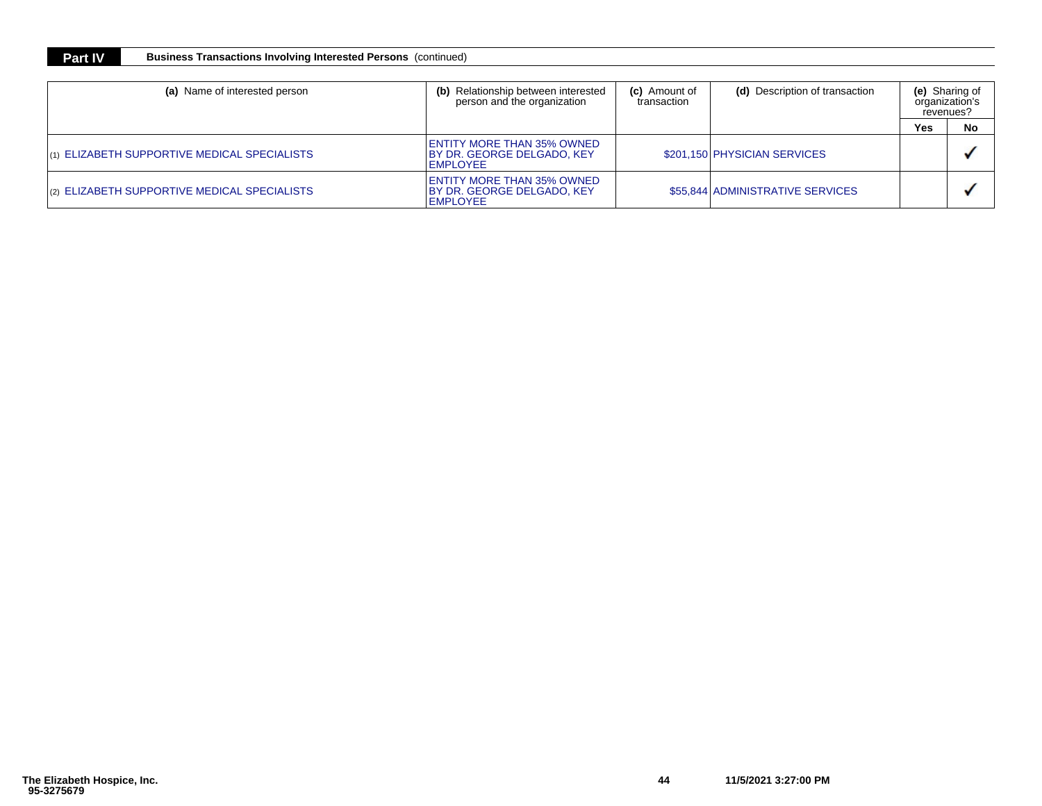**Part IV Business Transactions Involving Interested Persons** (continued)

| (a) Name of interested person                  | (b) Relationship between interested<br>person and the organization                   | (c) Amount of<br>transaction | (d) Description of transaction   |     | (e) Sharing of<br>organization's<br>revenues? |
|------------------------------------------------|--------------------------------------------------------------------------------------|------------------------------|----------------------------------|-----|-----------------------------------------------|
|                                                |                                                                                      |                              |                                  | Yes | No                                            |
| $(1)$ ELIZABETH SUPPORTIVE MEDICAL SPECIALISTS | <b>IENTITY MORE THAN 35% OWNED</b><br>IBY DR. GEORGE DELGADO. KEY<br><b>EMPLOYEE</b> |                              | \$201,150 PHYSICIAN SERVICES     |     |                                               |
| (2) ELIZABETH SUPPORTIVE MEDICAL SPECIALISTS   | <b>IENTITY MORE THAN 35% OWNED</b><br>BY DR. GEORGE DELGADO, KEY<br><b>EMPLOYEE</b>  |                              | \$55,844 ADMINISTRATIVE SERVICES |     |                                               |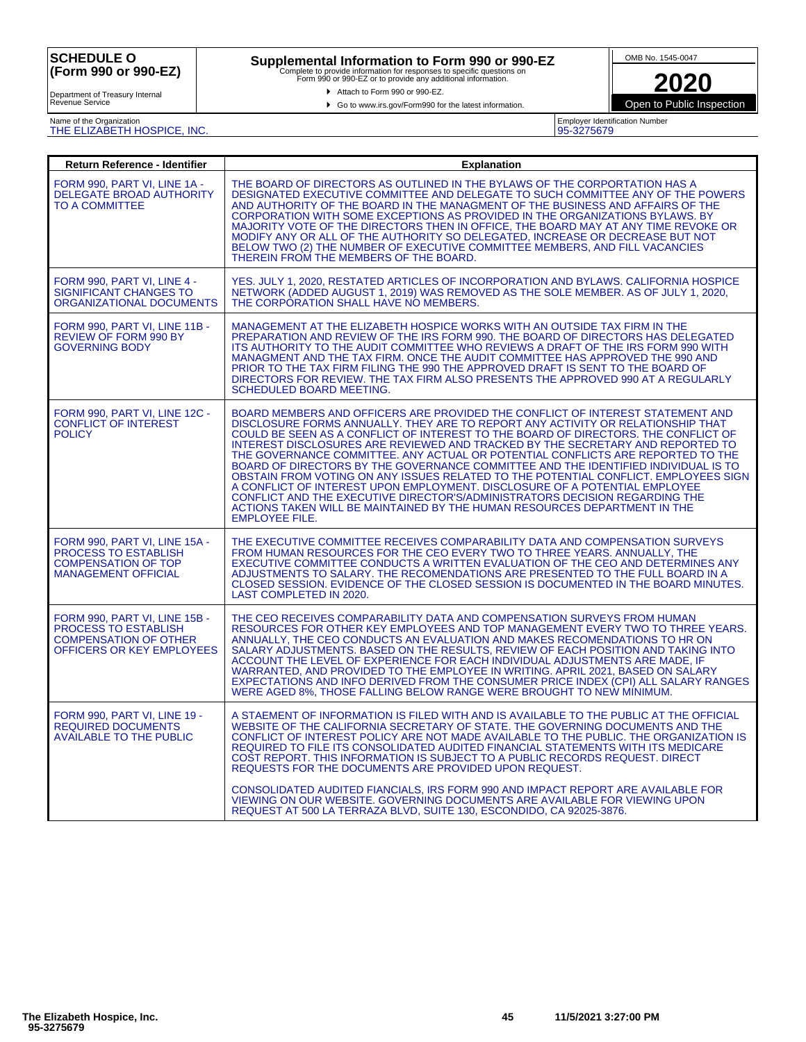Department of Treasury Internal Revenue Service

# **Supplemental Information to Form 990 or 990-EZ**<br>Complete to provide information for responses to specific questions on<br>Form 990 or 990-EZ or to provide any additional information.

- Attach to Form 990 or 990-EZ.
- ▶ Go to www.irs.gov/Form990 for the latest information.

OMB No. 1545-0047

**2020** Open to Public Inspection

| Name of the Organization<br>THE ELIZABETH HOSPICE, INC.                                                                   | <b>Employer Identification Number</b><br>95-3275679                                                                                                                                                                                                                                                                                                                                                                                                                                                                                                                                                                                                                                                                                                                                                                                                                          |
|---------------------------------------------------------------------------------------------------------------------------|------------------------------------------------------------------------------------------------------------------------------------------------------------------------------------------------------------------------------------------------------------------------------------------------------------------------------------------------------------------------------------------------------------------------------------------------------------------------------------------------------------------------------------------------------------------------------------------------------------------------------------------------------------------------------------------------------------------------------------------------------------------------------------------------------------------------------------------------------------------------------|
|                                                                                                                           |                                                                                                                                                                                                                                                                                                                                                                                                                                                                                                                                                                                                                                                                                                                                                                                                                                                                              |
| <b>Return Reference - Identifier</b>                                                                                      | <b>Explanation</b>                                                                                                                                                                                                                                                                                                                                                                                                                                                                                                                                                                                                                                                                                                                                                                                                                                                           |
| FORM 990, PART VI, LINE 1A -<br><b>DELEGATE BROAD AUTHORITY</b><br><b>TO A COMMITTEE</b>                                  | THE BOARD OF DIRECTORS AS OUTLINED IN THE BYLAWS OF THE CORPORTATION HAS A<br>DESIGNATED EXECUTIVE COMMITTEE AND DELEGATE TO SUCH COMMITTEE ANY OF THE POWERS<br>AND AUTHORITY OF THE BOARD IN THE MANAGMENT OF THE BUSINESS AND AFFAIRS OF THE<br>CORPORATION WITH SOME EXCEPTIONS AS PROVIDED IN THE ORGANIZATIONS BYLAWS. BY<br>MAJORITY VOTE OF THE DIRECTORS THEN IN OFFICE, THE BOARD MAY AT ANY TIME REVOKE OR<br>MODIFY ANY OR ALL OF THE AUTHORITY SO DELEGATED. INCREASE OR DECREASE BUT NOT<br>BELOW TWO (2) THE NUMBER OF EXECUTIVE COMMITTEE MEMBERS, AND FILL VACANCIES<br>THEREIN FROM THE MEMBERS OF THE BOARD.                                                                                                                                                                                                                                              |
| FORM 990, PART VI, LINE 4 -<br><b>SIGNIFICANT CHANGES TO</b><br><b>ORGANIZATIONAL DOCUMENTS</b>                           | YES. JULY 1, 2020, RESTATED ARTICLES OF INCORPORATION AND BYLAWS. CALIFORNIA HOSPICE<br>NETWORK (ADDED AUGUST 1, 2019) WAS REMOVED AS THE SOLE MEMBER. AS OF JULY 1, 2020,<br>THE CORPORATION SHALL HAVE NO MEMBERS.                                                                                                                                                                                                                                                                                                                                                                                                                                                                                                                                                                                                                                                         |
| FORM 990, PART VI, LINE 11B -<br><b>REVIEW OF FORM 990 BY</b><br><b>GOVERNING BODY</b>                                    | MANAGEMENT AT THE ELIZABETH HOSPICE WORKS WITH AN OUTSIDE TAX FIRM IN THE<br>PREPARATION AND REVIEW OF THE IRS FORM 990. THE BOARD OF DIRECTORS HAS DELEGATED<br>ITS AUTHORITY TO THE AUDIT COMMITTEE WHO REVIEWS A DRAFT OF THE IRS FORM 990 WITH<br>MANAGMENT AND THE TAX FIRM. ONCE THE AUDIT COMMITTEE HAS APPROVED THE 990 AND<br>PRIOR TO THE TAX FIRM FILING THE 990 THE APPROVED DRAFT IS SENT TO THE BOARD OF<br>DIRECTORS FOR REVIEW. THE TAX FIRM ALSO PRESENTS THE APPROVED 990 AT A REGULARLY<br><b>SCHEDULED BOARD MEETING.</b>                                                                                                                                                                                                                                                                                                                                |
| FORM 990, PART VI, LINE 12C -<br><b>CONFLICT OF INTEREST</b><br><b>POLICY</b>                                             | BOARD MEMBERS AND OFFICERS ARE PROVIDED THE CONFLICT OF INTEREST STATEMENT AND<br>DISCLOSURE FORMS ANNUALLY. THEY ARE TO REPORT ANY ACTIVITY OR RELATIONSHIP THAT<br>COULD BE SEEN AS A CONFLICT OF INTEREST TO THE BOARD OF DIRECTORS. THE CONFLICT OF<br>INTEREST DISCLOSURES ARE REVIEWED AND TRACKED BY THE SECRETARY AND REPORTED TO<br>THE GOVERNANCE COMMITTEE. ANY ACTUAL OR POTENTIAL CONFLICTS ARE REPORTED TO THE<br>BOARD OF DIRECTORS BY THE GOVERNANCE COMMITTEE AND THE IDENTIFIED INDIVIDUAL IS TO<br>OBSTAIN FROM VOTING ON ANY ISSUES RELATED TO THE POTENTIAL CONFLICT. EMPLOYEES SIGN<br>A CONFLICT OF INTEREST UPON EMPLOYMENT. DISCLOSURE OF A POTENTIAL EMPLOYEE<br>CONFLICT AND THE EXECUTIVE DIRECTOR'S/ADMINISTRATORS DECISION REGARDING THE<br>ACTIONS TAKEN WILL BE MAINTAINED BY THE HUMAN RESOURCES DEPARTMENT IN THE<br><b>EMPLOYEE FILE.</b> |
| FORM 990, PART VI, LINE 15A -<br><b>PROCESS TO ESTABLISH</b><br><b>COMPENSATION OF TOP</b><br><b>MANAGEMENT OFFICIAL</b>  | THE EXECUTIVE COMMITTEE RECEIVES COMPARABILITY DATA AND COMPENSATION SURVEYS<br>FROM HUMAN RESOURCES FOR THE CEO EVERY TWO TO THREE YEARS. ANNUALLY, THE<br>EXECUTIVE COMMITTEE CONDUCTS A WRITTEN EVALUATION OF THE CEO AND DETERMINES ANY<br>ADJUSTMENTS TO SALARY. THE RECOMENDATIONS ARE PRESENTED TO THE FULL BOARD IN A<br>CLOSED SESSION. EVIDENCE OF THE CLOSED SESSION IS DOCUMENTED IN THE BOARD MINUTES.<br>LAST COMPLETED IN 2020.                                                                                                                                                                                                                                                                                                                                                                                                                               |
| FORM 990, PART VI, LINE 15B -<br><b>PROCESS TO ESTABLISH</b><br><b>COMPENSATION OF OTHER</b><br>OFFICERS OR KEY EMPLOYEES | THE CEO RECEIVES COMPARABILITY DATA AND COMPENSATION SURVEYS FROM HUMAN<br>RESOURCES FOR OTHER KEY EMPLOYEES AND TOP MANAGEMENT EVERY TWO TO THREE YEARS.<br>ANNUALLY, THE CEO CONDUCTS AN EVALUATION AND MAKES RECOMENDATIONS TO HR ON<br>SALARY ADJUSTMENTS. BASED ON THE RESULTS, REVIEW OF EACH POSITION AND TAKING INTO<br>ACCOUNT THE LEVEL OF EXPERIENCE FOR EACH INDIVIDUAL ADJUSTMENTS ARE MADE, IF<br>WARRANTED, AND PROVIDED TO THE EMPLOYEE IN WRITING. APRIL 2021, BASED ON SALARY<br>EXPECTATIONS AND INFO DERIVED FROM THE CONSUMER PRICE INDEX (CPI) ALL SALARY RANGES<br>WERE AGED 8%, THOSE FALLING BELOW RANGE WERE BROUGHT TO NEW MINIMUM.                                                                                                                                                                                                               |
| FORM 990, PART VI, LINE 19 -<br><b>REQUIRED DOCUMENTS</b><br><b>AVAILABLE TO THE PUBLIC</b>                               | A STAEMENT OF INFORMATION IS FILED WITH AND IS AVAILABLE TO THE PUBLIC AT THE OFFICIAL<br>WEBSITE OF THE CALIFORNIA SECRETARY OF STATE. THE GOVERNING DOCUMENTS AND THE<br>CONFLICT OF INTEREST POLICY ARE NOT MADE AVAILABLE TO THE PUBLIC. THE ORGANIZATION IS<br>REQUIRED TO FILE ITS CONSOLIDATED AUDITED FINANCIAL STATEMENTS WITH ITS MEDICARE<br>COST REPORT. THIS INFORMATION IS SUBJECT TO A PUBLIC RECORDS REQUEST. DIRECT<br>REQUESTS FOR THE DOCUMENTS ARE PROVIDED UPON REQUEST.                                                                                                                                                                                                                                                                                                                                                                                |

CONSOLIDATED AUDITED FIANCIALS, IRS FORM 990 AND IMPACT REPORT ARE AVAILABLE FOR VIEWING ON OUR WEBSITE. GOVERNING DOCUMENTS ARE AVAILABLE FOR VIEWING UPON REQUEST AT 500 LA TERRAZA BLVD, SUITE 130, ESCONDIDO, CA 92025-3876.